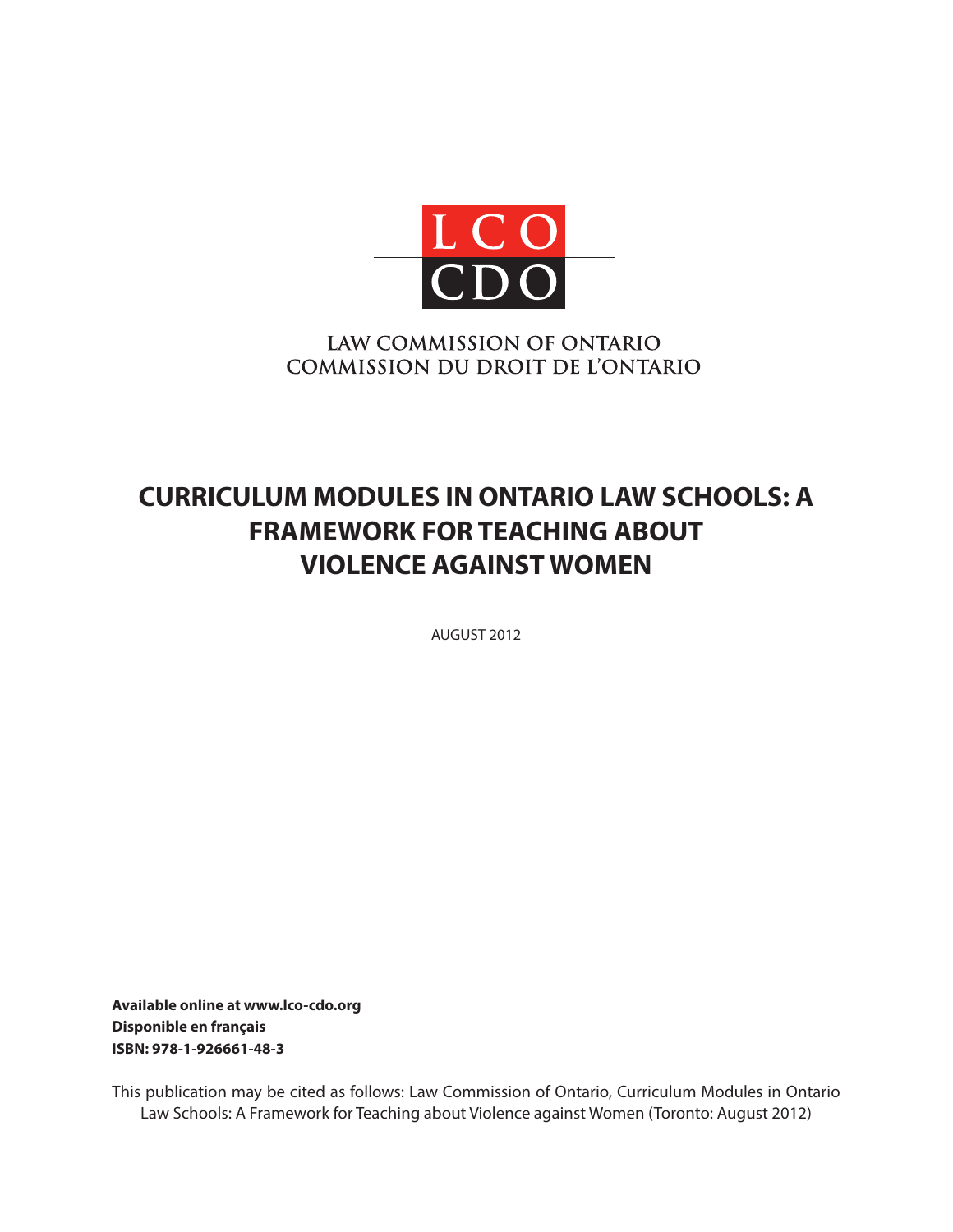

## LAW COMMISSION OF ONTARIO **COMMISSION DU DROIT DE L'ONTARIO**

# **CURRICULUM MODULES IN ONTARIO LAW SCHOOLS: A FRAMEWORK FOR TEACHING ABOUT VIOLENCE AGAINST WOMEN**

AUGUST 2012

**Available online at www.lco-cdo.org Disponible en français ISBN: 978-1-926661-48-3**

This publication may be cited as follows: Law Commission of Ontario, Curriculum Modules in Ontario Law Schools: A Framework for Teaching about Violence against Women (Toronto: August 2012)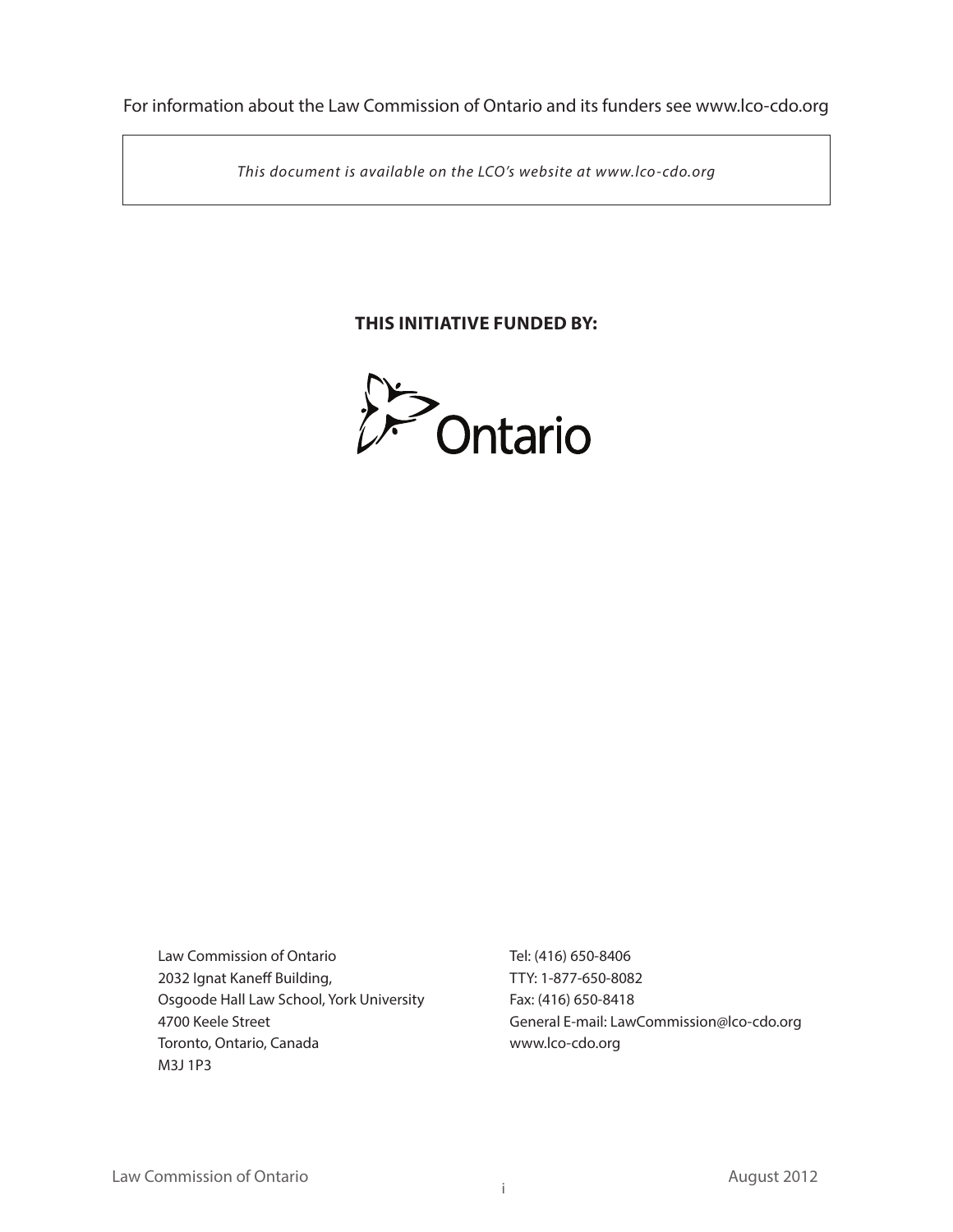For information about the Law Commission of Ontario and its funders see www.lco-cdo.org

*This document is available on the LCO's website at www.lco-cdo.org*

## **THIS INITIATIVE FUNDED BY:**



Law Commission of Ontario 2032 Ignat Kaneff Building, Osgoode Hall Law School, York University 4700 Keele Street Toronto, Ontario, Canada M3J 1P3

Tel: (416) 650-8406 TTY: 1-877-650-8082 Fax: (416) 650-8418 General E-mail: LawCommission@lco-cdo.org www.lco-cdo.org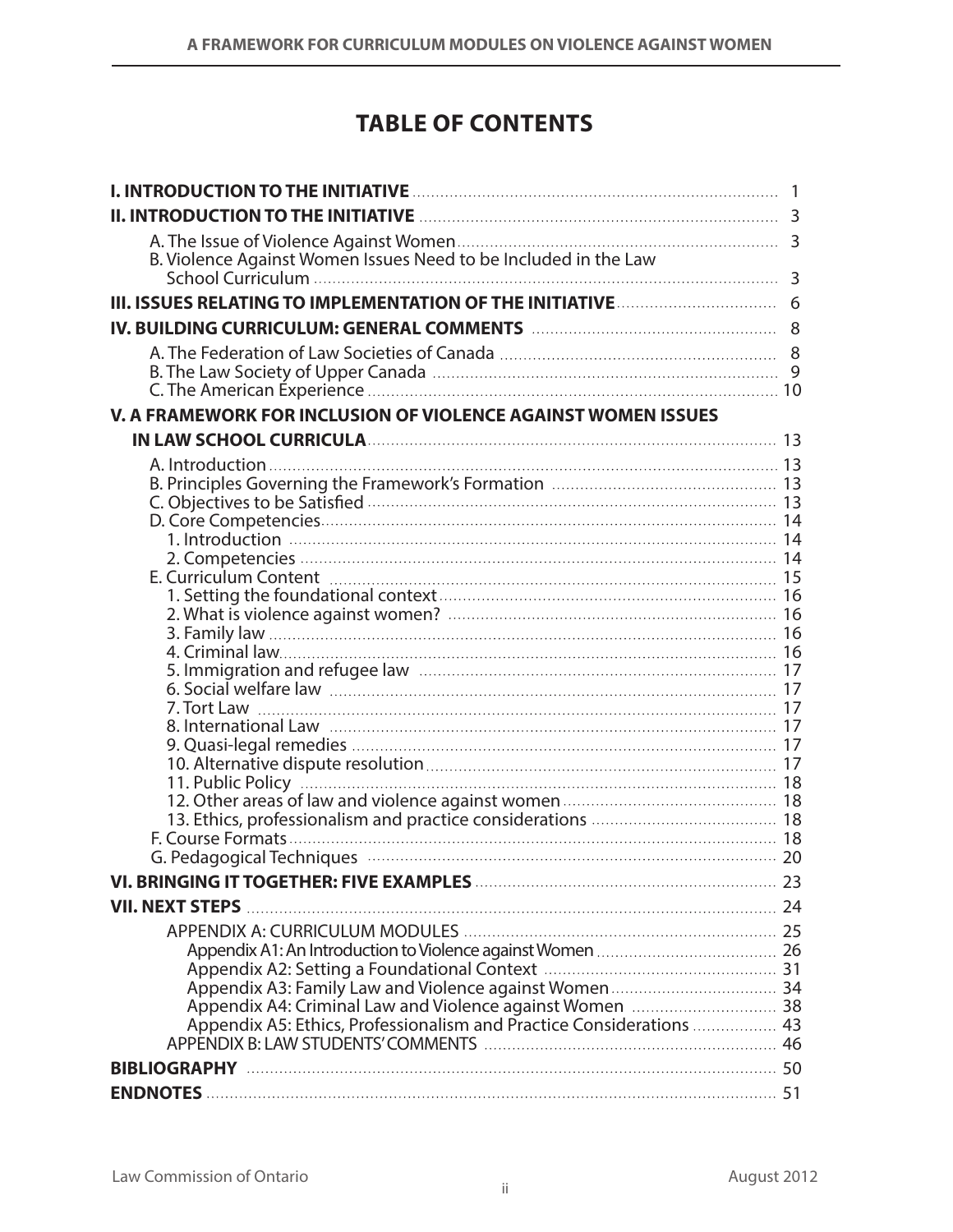# **TABLE OF CONTENTS**

| III. ISSUES RELATING TO IMPLEMENTATION OF THE INITIATIVE <b>CONSERVENTS</b> 6 |  |
|-------------------------------------------------------------------------------|--|
|                                                                               |  |
|                                                                               |  |
|                                                                               |  |
|                                                                               |  |
| V. A FRAMEWORK FOR INCLUSION OF VIOLENCE AGAINST WOMEN ISSUES                 |  |
|                                                                               |  |
|                                                                               |  |
|                                                                               |  |
|                                                                               |  |
|                                                                               |  |
|                                                                               |  |
|                                                                               |  |
|                                                                               |  |
|                                                                               |  |
|                                                                               |  |
|                                                                               |  |
|                                                                               |  |
|                                                                               |  |
|                                                                               |  |
|                                                                               |  |
|                                                                               |  |
|                                                                               |  |
|                                                                               |  |
|                                                                               |  |
|                                                                               |  |
|                                                                               |  |
|                                                                               |  |
|                                                                               |  |
| <b>VII. NEXT STEPS</b>                                                        |  |
|                                                                               |  |
|                                                                               |  |
|                                                                               |  |
|                                                                               |  |
|                                                                               |  |
|                                                                               |  |
|                                                                               |  |
|                                                                               |  |
|                                                                               |  |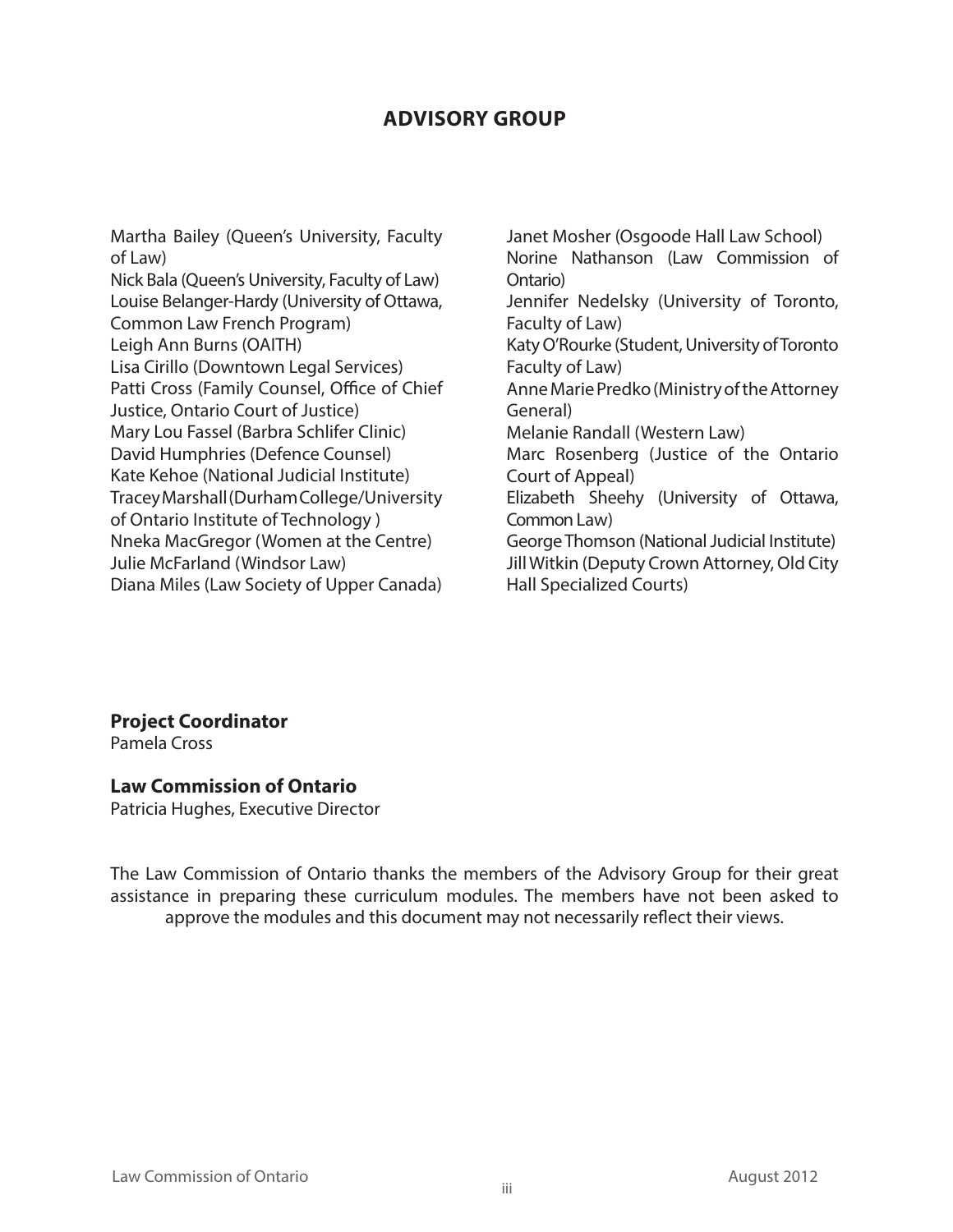## **ADVISORY GROUP**

Martha Bailey (Queen's University, Faculty of Law) Nick Bala (Queen's University, Faculty of Law) Louise Belanger-Hardy (University of Ottawa, Common Law French Program) Leigh Ann Burns (OAITH) Lisa Cirillo (Downtown Legal Services) Patti Cross (Family Counsel, Office of Chief Justice, Ontario Court of Justice) Mary Lou Fassel (Barbra Schlifer Clinic) David Humphries (Defence Counsel) Kate Kehoe (National Judicial Institute) Tracey Marshall (Durham College/University of Ontario Institute of Technology ) Nneka MacGregor (Women at the Centre) Julie McFarland (Windsor Law) Diana Miles (Law Society of Upper Canada)

Janet Mosher (Osgoode Hall Law School) Norine Nathanson (Law Commission of Ontario) Jennifer Nedelsky (University of Toronto, Faculty of Law) Katy O'Rourke (Student, University of Toronto Faculty of Law) Anne Marie Predko (Ministry of the Attorney General) Melanie Randall (Western Law) Marc Rosenberg (Justice of the Ontario Court of Appeal) Elizabeth Sheehy (University of Ottawa, Common Law) George Thomson (National Judicial Institute) Jill Witkin (Deputy Crown Attorney, Old City Hall Specialized Courts)

**Project Coordinator**

Pamela Cross

#### **Law Commission of Ontario**

Patricia Hughes, Executive Director

The Law Commission of Ontario thanks the members of the Advisory Group for their great assistance in preparing these curriculum modules. The members have not been asked to approve the modules and this document may not necessarily reflect their views.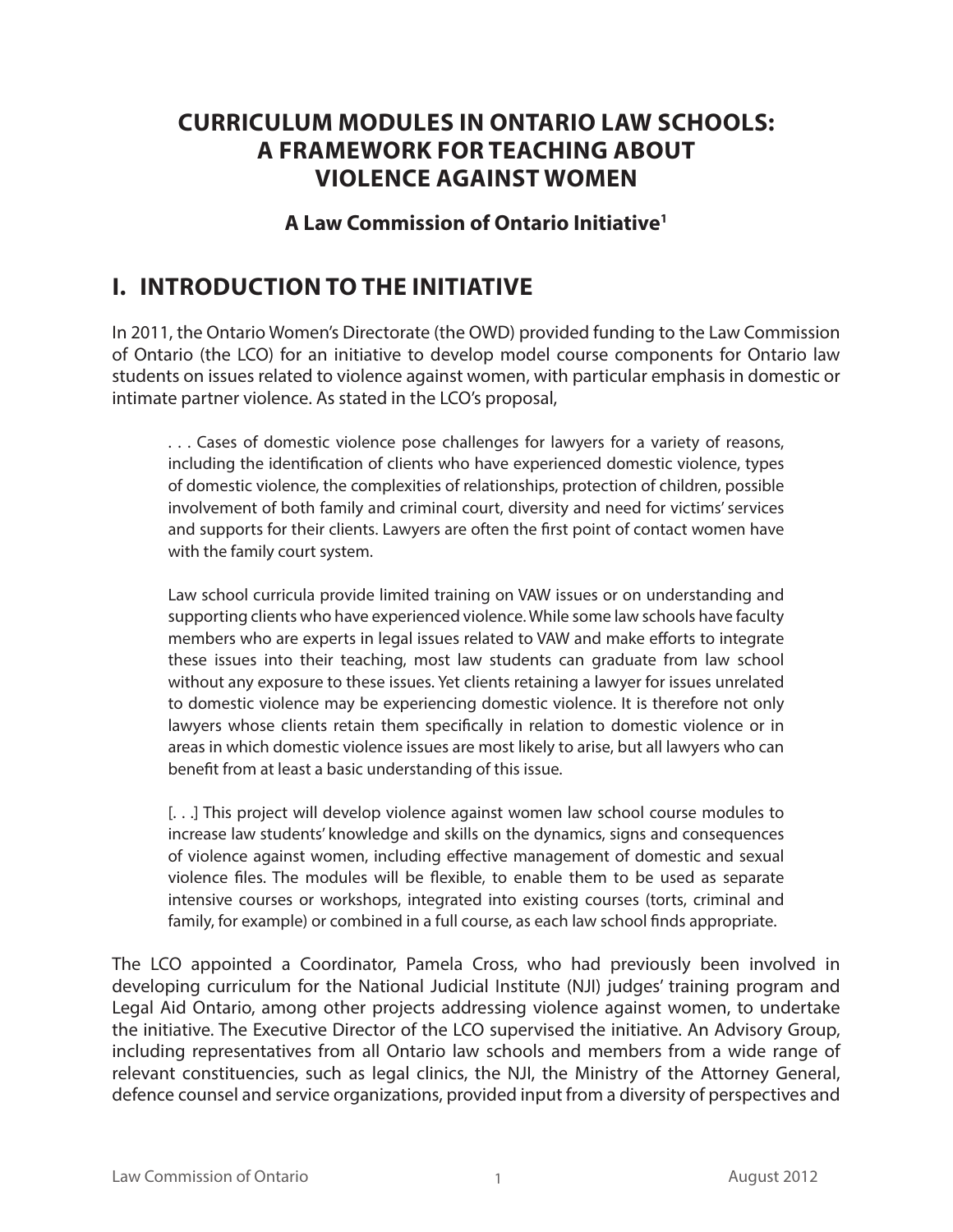## **Curriculum MODULES in Ontario law schools: a framework for teaching about VIOLENCE AGAINST WOMEN**

## **A Law Commission of Ontario Initiative1**

# **I. Introduction to the Initiative**

In 2011, the Ontario Women's Directorate (the OWD) provided funding to the Law Commission of Ontario (the LCO) for an initiative to develop model course components for Ontario law students on issues related to violence against women, with particular emphasis in domestic or intimate partner violence. As stated in the LCO's proposal,

. . . Cases of domestic violence pose challenges for lawyers for a variety of reasons, including the identification of clients who have experienced domestic violence, types of domestic violence, the complexities of relationships, protection of children, possible involvement of both family and criminal court, diversity and need for victims' services and supports for their clients. Lawyers are often the first point of contact women have with the family court system.

Law school curricula provide limited training on VAW issues or on understanding and supporting clients who have experienced violence. While some law schools have faculty members who are experts in legal issues related to VAW and make efforts to integrate these issues into their teaching, most law students can graduate from law school without any exposure to these issues. Yet clients retaining a lawyer for issues unrelated to domestic violence may be experiencing domestic violence. It is therefore not only lawyers whose clients retain them specifically in relation to domestic violence or in areas in which domestic violence issues are most likely to arise, but all lawyers who can benefit from at least a basic understanding of this issue.

[. . .] This project will develop violence against women law school course modules to increase law students' knowledge and skills on the dynamics, signs and consequences of violence against women, including effective management of domestic and sexual violence files. The modules will be flexible, to enable them to be used as separate intensive courses or workshops, integrated into existing courses (torts, criminal and family, for example) or combined in a full course, as each law school finds appropriate.

The LCO appointed a Coordinator, Pamela Cross, who had previously been involved in developing curriculum for the National Judicial Institute (NJI) judges' training program and Legal Aid Ontario, among other projects addressing violence against women, to undertake the initiative. The Executive Director of the LCO supervised the initiative. An Advisory Group, including representatives from all Ontario law schools and members from a wide range of relevant constituencies, such as legal clinics, the NJI, the Ministry of the Attorney General, defence counsel and service organizations, provided input from a diversity of perspectives and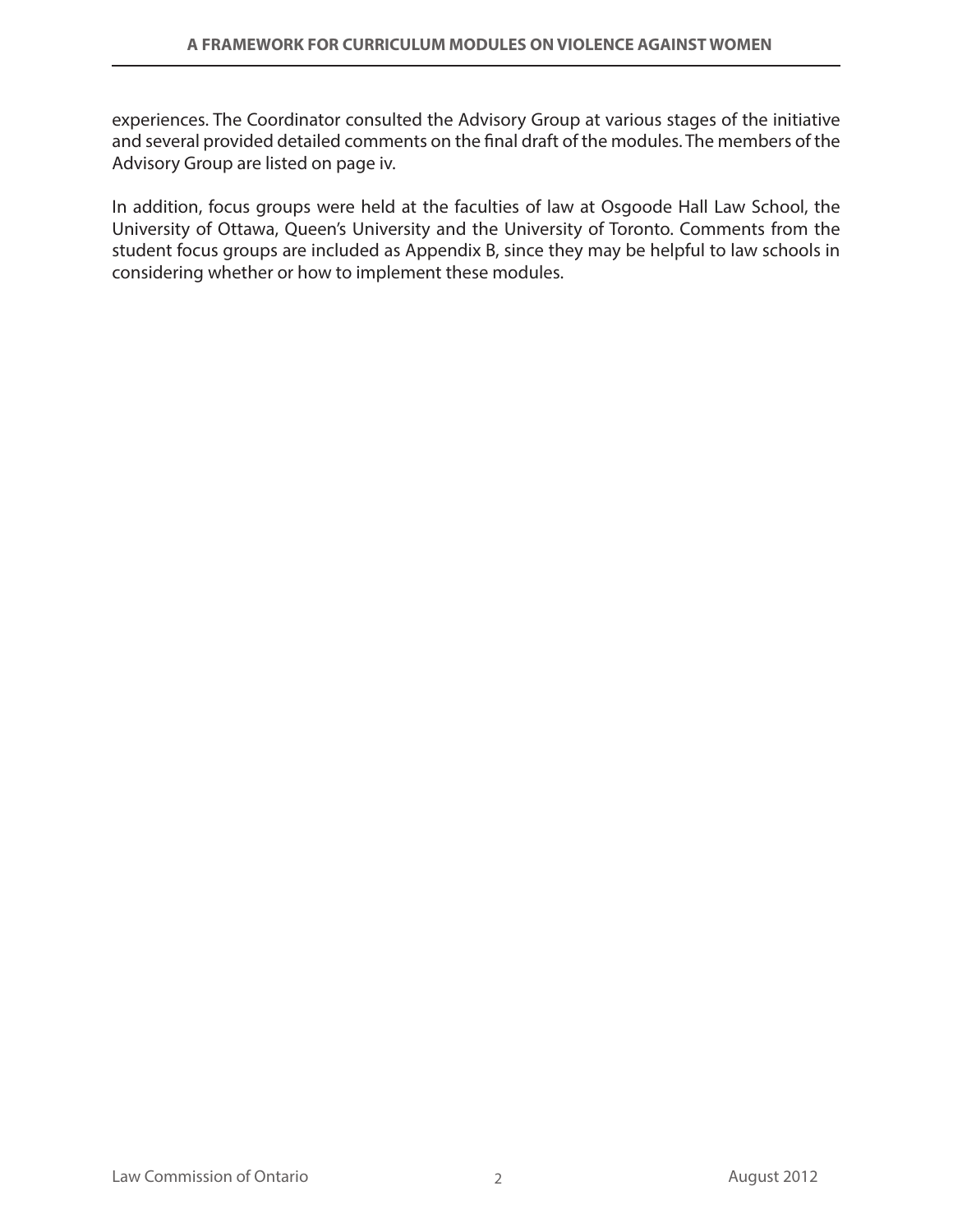experiences. The Coordinator consulted the Advisory Group at various stages of the initiative and several provided detailed comments on the final draft of the modules. The members of the Advisory Group are listed on page iv.

In addition, focus groups were held at the faculties of law at Osgoode Hall Law School, the University of Ottawa, Queen's University and the University of Toronto. Comments from the student focus groups are included as Appendix B, since they may be helpful to law schools in considering whether or how to implement these modules.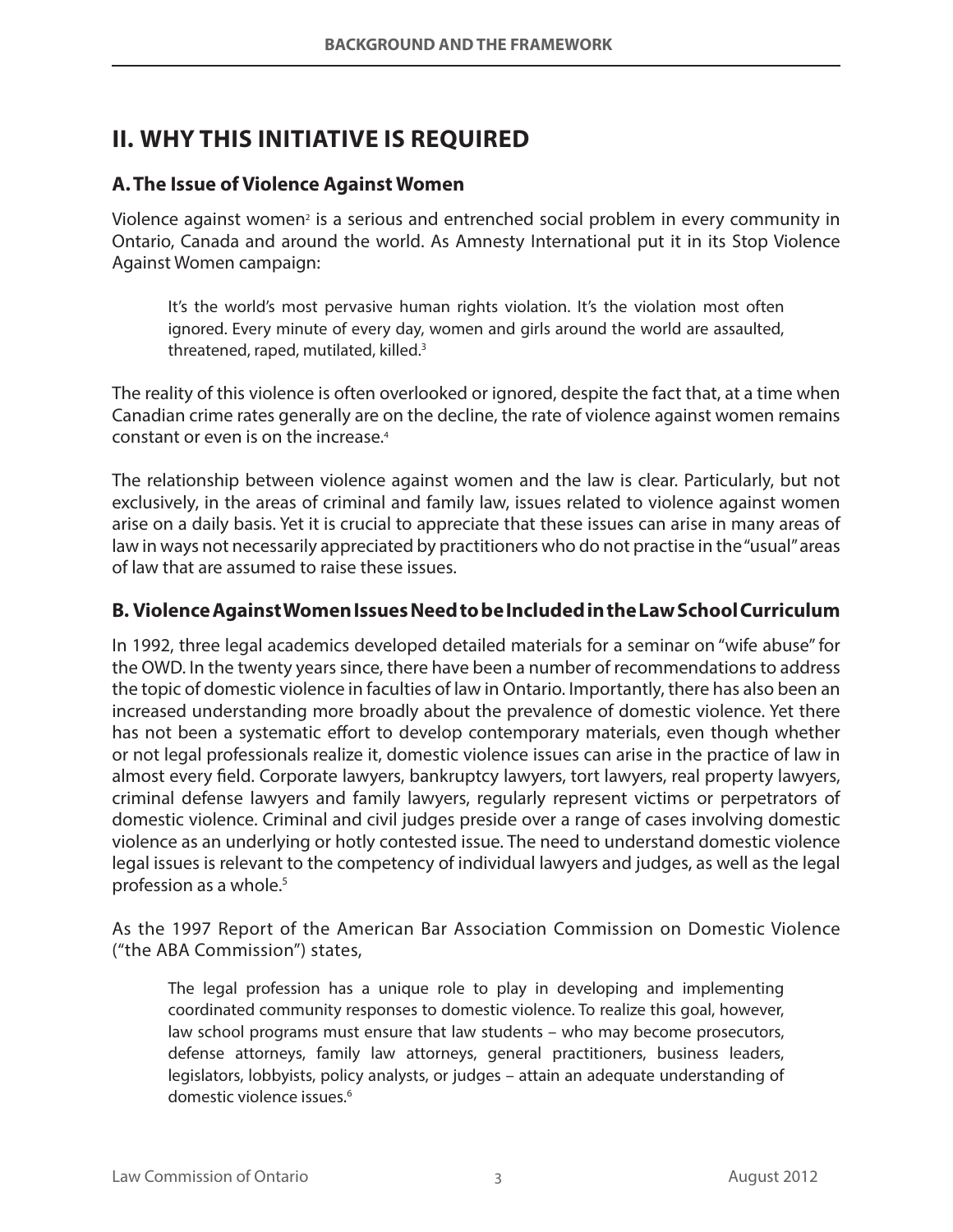# **II. Why this Initiative is required**

### **A.The Issue of Violence Against Women**

Violence against women<sup>2</sup> is a serious and entrenched social problem in every community in Ontario, Canada and around the world. As Amnesty International put it in its Stop Violence Against Women campaign:

It's the world's most pervasive human rights violation. It's the violation most often ignored. Every minute of every day, women and girls around the world are assaulted, threatened, raped, mutilated, killed.<sup>3</sup>

The reality of this violence is often overlooked or ignored, despite the fact that, at a time when Canadian crime rates generally are on the decline, the rate of violence against women remains constant or even is on the increase.4

The relationship between violence against women and the law is clear. Particularly, but not exclusively, in the areas of criminal and family law, issues related to violence against women arise on a daily basis. Yet it is crucial to appreciate that these issues can arise in many areas of law in ways not necessarily appreciated by practitioners who do not practise in the "usual" areas of law that are assumed to raise these issues.

#### **B. Violence Against Women Issues Need to be Included in the Law School Curriculum**

In 1992, three legal academics developed detailed materials for a seminar on "wife abuse" for the OWD. In the twenty years since, there have been a number of recommendations to address the topic of domestic violence in faculties of law in Ontario. Importantly, there has also been an increased understanding more broadly about the prevalence of domestic violence. Yet there has not been a systematic effort to develop contemporary materials, even though whether or not legal professionals realize it, domestic violence issues can arise in the practice of law in almost every field. Corporate lawyers, bankruptcy lawyers, tort lawyers, real property lawyers, criminal defense lawyers and family lawyers, regularly represent victims or perpetrators of domestic violence. Criminal and civil judges preside over a range of cases involving domestic violence as an underlying or hotly contested issue. The need to understand domestic violence legal issues is relevant to the competency of individual lawyers and judges, as well as the legal profession as a whole.<sup>5</sup>

As the 1997 Report of the American Bar Association Commission on Domestic Violence ("the ABA Commission") states,

The legal profession has a unique role to play in developing and implementing coordinated community responses to domestic violence. To realize this goal, however, law school programs must ensure that law students – who may become prosecutors, defense attorneys, family law attorneys, general practitioners, business leaders, legislators, lobbyists, policy analysts, or judges – attain an adequate understanding of domestic violence issues.<sup>6</sup>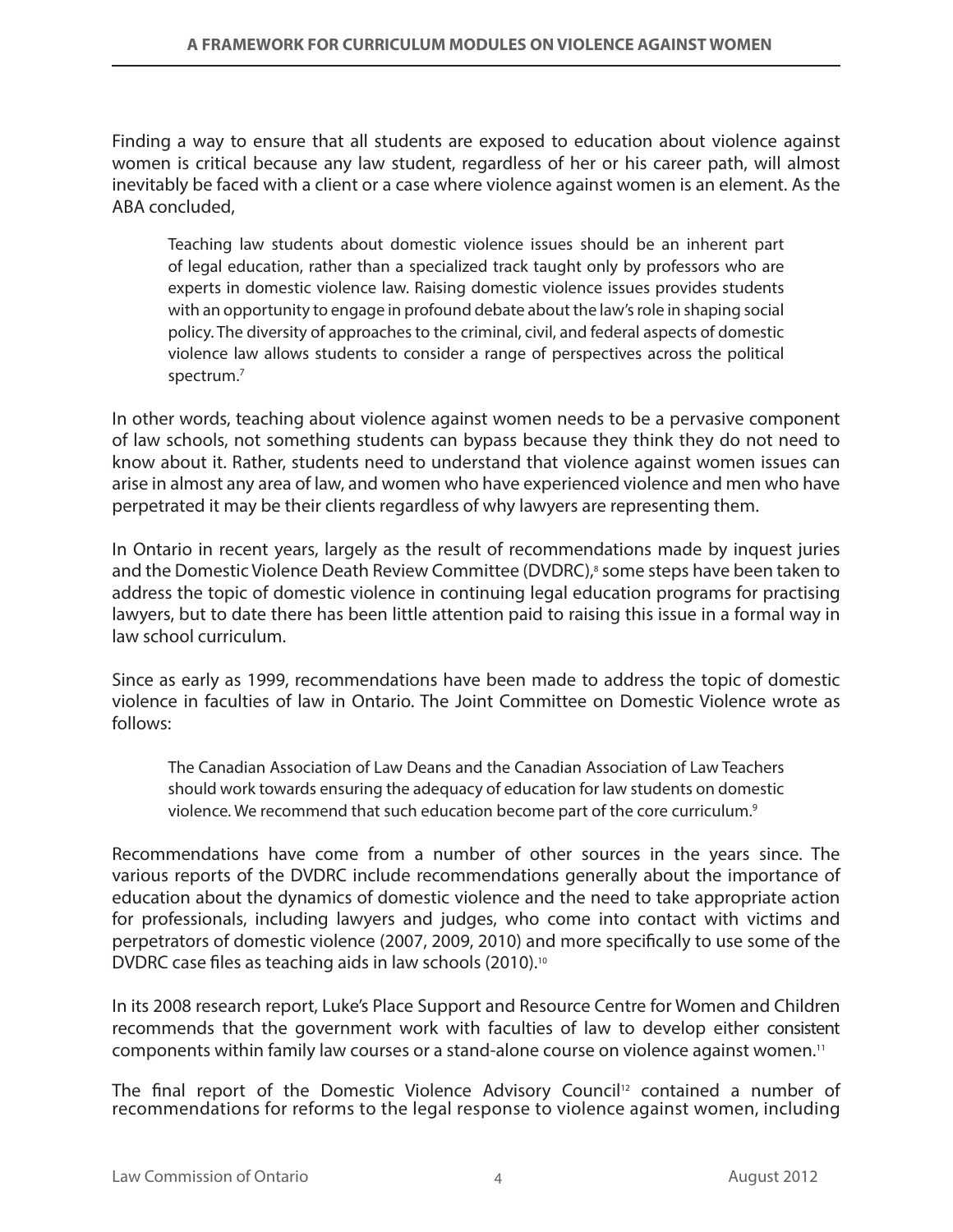Finding a way to ensure that all students are exposed to education about violence against women is critical because any law student, regardless of her or his career path, will almost inevitably be faced with a client or a case where violence against women is an element. As the ABA concluded,

Teaching law students about domestic violence issues should be an inherent part of legal education, rather than a specialized track taught only by professors who are experts in domestic violence law. Raising domestic violence issues provides students with an opportunity to engage in profound debate about the law's role in shaping social policy. The diversity of approaches to the criminal, civil, and federal aspects of domestic violence law allows students to consider a range of perspectives across the political spectrum.7

In other words, teaching about violence against women needs to be a pervasive component of law schools, not something students can bypass because they think they do not need to know about it. Rather, students need to understand that violence against women issues can arise in almost any area of law, and women who have experienced violence and men who have perpetrated it may be their clients regardless of why lawyers are representing them.

In Ontario in recent years, largely as the result of recommendations made by inquest juries and the Domestic Violence Death Review Committee (DVDRC),<sup>8</sup> some steps have been taken to address the topic of domestic violence in continuing legal education programs for practising lawyers, but to date there has been little attention paid to raising this issue in a formal way in law school curriculum.

Since as early as 1999, recommendations have been made to address the topic of domestic violence in faculties of law in Ontario. The Joint Committee on Domestic Violence wrote as follows:

The Canadian Association of Law Deans and the Canadian Association of Law Teachers should work towards ensuring the adequacy of education for law students on domestic violence. We recommend that such education become part of the core curriculum.<sup>9</sup>

Recommendations have come from a number of other sources in the years since. The various reports of the DVDRC include recommendations generally about the importance of education about the dynamics of domestic violence and the need to take appropriate action for professionals, including lawyers and judges, who come into contact with victims and perpetrators of domestic violence (2007, 2009, 2010) and more specifically to use some of the DVDRC case files as teaching aids in law schools (2010).10

In its 2008 research report, Luke's Place Support and Resource Centre for Women and Children recommends that the government work with faculties of law to develop either consistent components within family law courses or a stand-alone course on violence against women.11

The final report of the Domestic Violence Advisory Council<sup>12</sup> contained a number of recommendations for reforms to the legal response to violence against women, including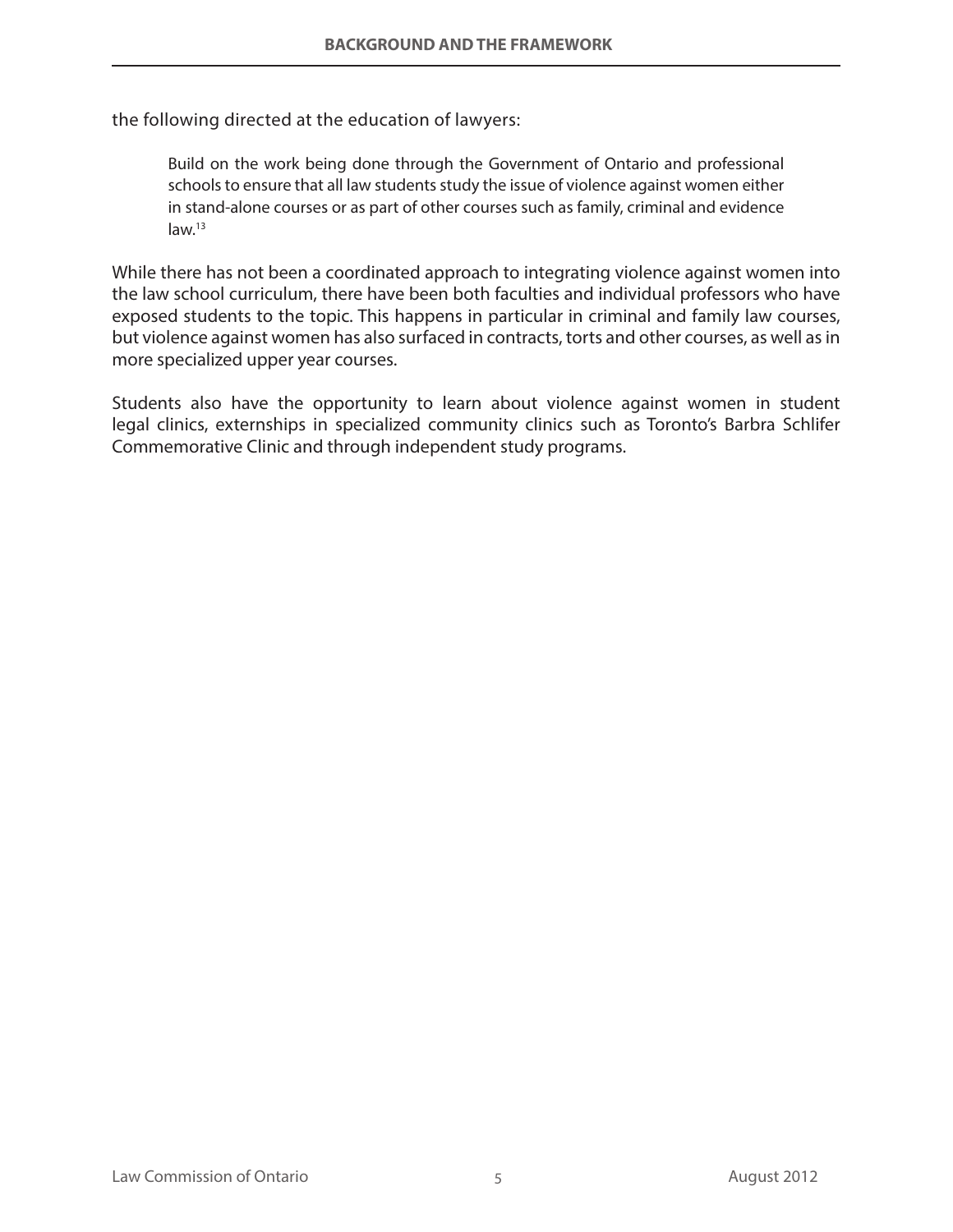the following directed at the education of lawyers:

Build on the work being done through the Government of Ontario and professional schools to ensure that all law students study the issue of violence against women either in stand-alone courses or as part of other courses such as family, criminal and evidence law.13

While there has not been a coordinated approach to integrating violence against women into the law school curriculum, there have been both faculties and individual professors who have exposed students to the topic. This happens in particular in criminal and family law courses, but violence against women has also surfaced in contracts, torts and other courses, as well as in more specialized upper year courses.

Students also have the opportunity to learn about violence against women in student legal clinics, externships in specialized community clinics such as Toronto's Barbra Schlifer Commemorative Clinic and through independent study programs.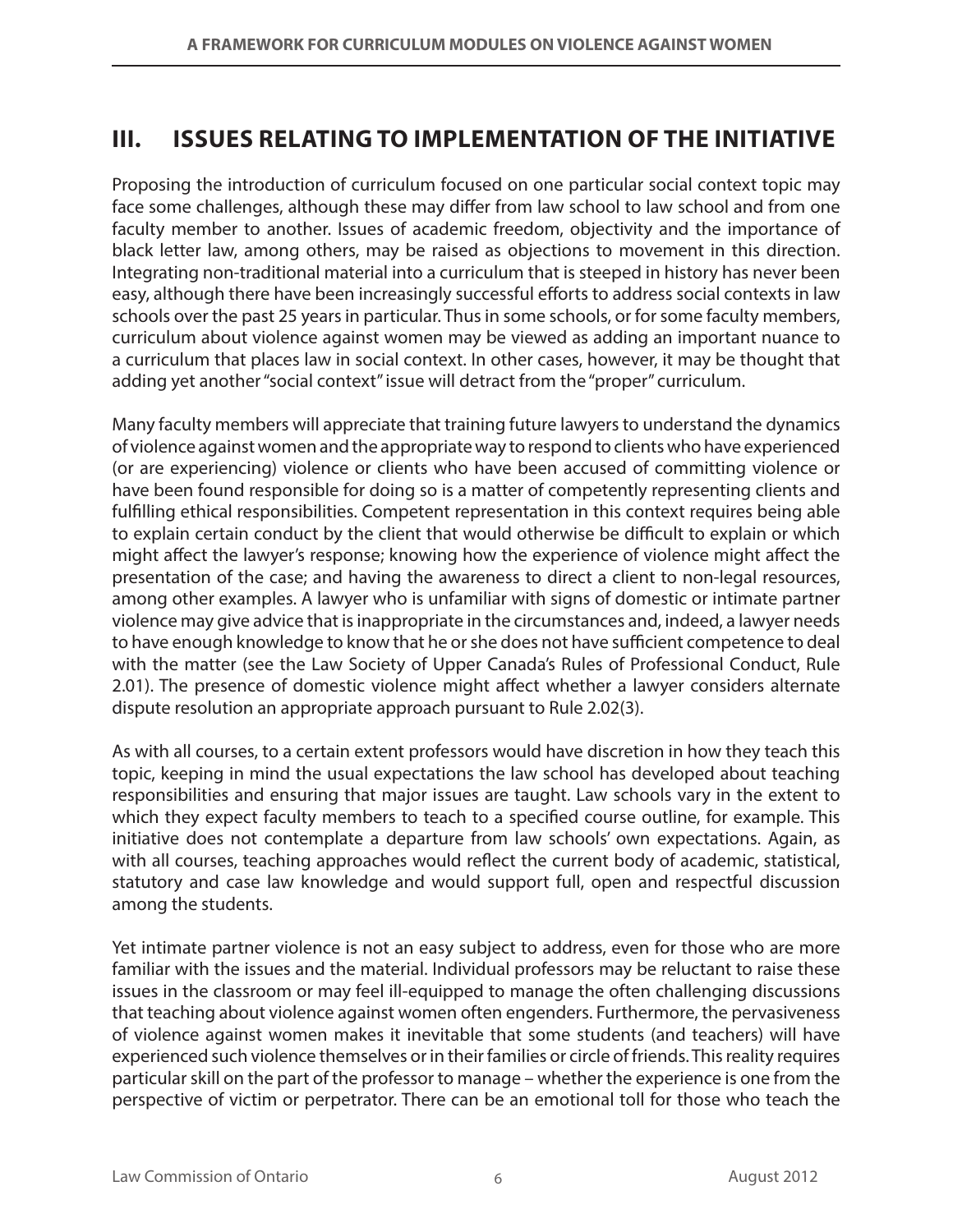## **III. ISSUES RELATING TO IMPLEMENTATION OF THE INITIATIVE**

Proposing the introduction of curriculum focused on one particular social context topic may face some challenges, although these may differ from law school to law school and from one faculty member to another. Issues of academic freedom, objectivity and the importance of black letter law, among others, may be raised as objections to movement in this direction. Integrating non-traditional material into a curriculum that is steeped in history has never been easy, although there have been increasingly successful efforts to address social contexts in law schools over the past 25 years in particular. Thus in some schools, or for some faculty members, curriculum about violence against women may be viewed as adding an important nuance to a curriculum that places law in social context. In other cases, however, it may be thought that adding yet another "social context" issue will detract from the "proper" curriculum.

Many faculty members will appreciate that training future lawyers to understand the dynamics of violence against women and the appropriate way to respond to clients who have experienced (or are experiencing) violence or clients who have been accused of committing violence or have been found responsible for doing so is a matter of competently representing clients and fulfilling ethical responsibilities. Competent representation in this context requires being able to explain certain conduct by the client that would otherwise be difficult to explain or which might affect the lawyer's response; knowing how the experience of violence might affect the presentation of the case; and having the awareness to direct a client to non-legal resources, among other examples. A lawyer who is unfamiliar with signs of domestic or intimate partner violence may give advice that is inappropriate in the circumstances and, indeed, a lawyer needs to have enough knowledge to know that he or she does not have sufficient competence to deal with the matter (see the Law Society of Upper Canada's Rules of Professional Conduct, Rule 2.01). The presence of domestic violence might affect whether a lawyer considers alternate dispute resolution an appropriate approach pursuant to Rule 2.02(3).

As with all courses, to a certain extent professors would have discretion in how they teach this topic, keeping in mind the usual expectations the law school has developed about teaching responsibilities and ensuring that major issues are taught. Law schools vary in the extent to which they expect faculty members to teach to a specified course outline, for example. This initiative does not contemplate a departure from law schools' own expectations. Again, as with all courses, teaching approaches would reflect the current body of academic, statistical, statutory and case law knowledge and would support full, open and respectful discussion among the students.

Yet intimate partner violence is not an easy subject to address, even for those who are more familiar with the issues and the material. Individual professors may be reluctant to raise these issues in the classroom or may feel ill-equipped to manage the often challenging discussions that teaching about violence against women often engenders. Furthermore, the pervasiveness of violence against women makes it inevitable that some students (and teachers) will have experienced such violence themselves or in their families or circle of friends. This reality requires particular skill on the part of the professor to manage – whether the experience is one from the perspective of victim or perpetrator. There can be an emotional toll for those who teach the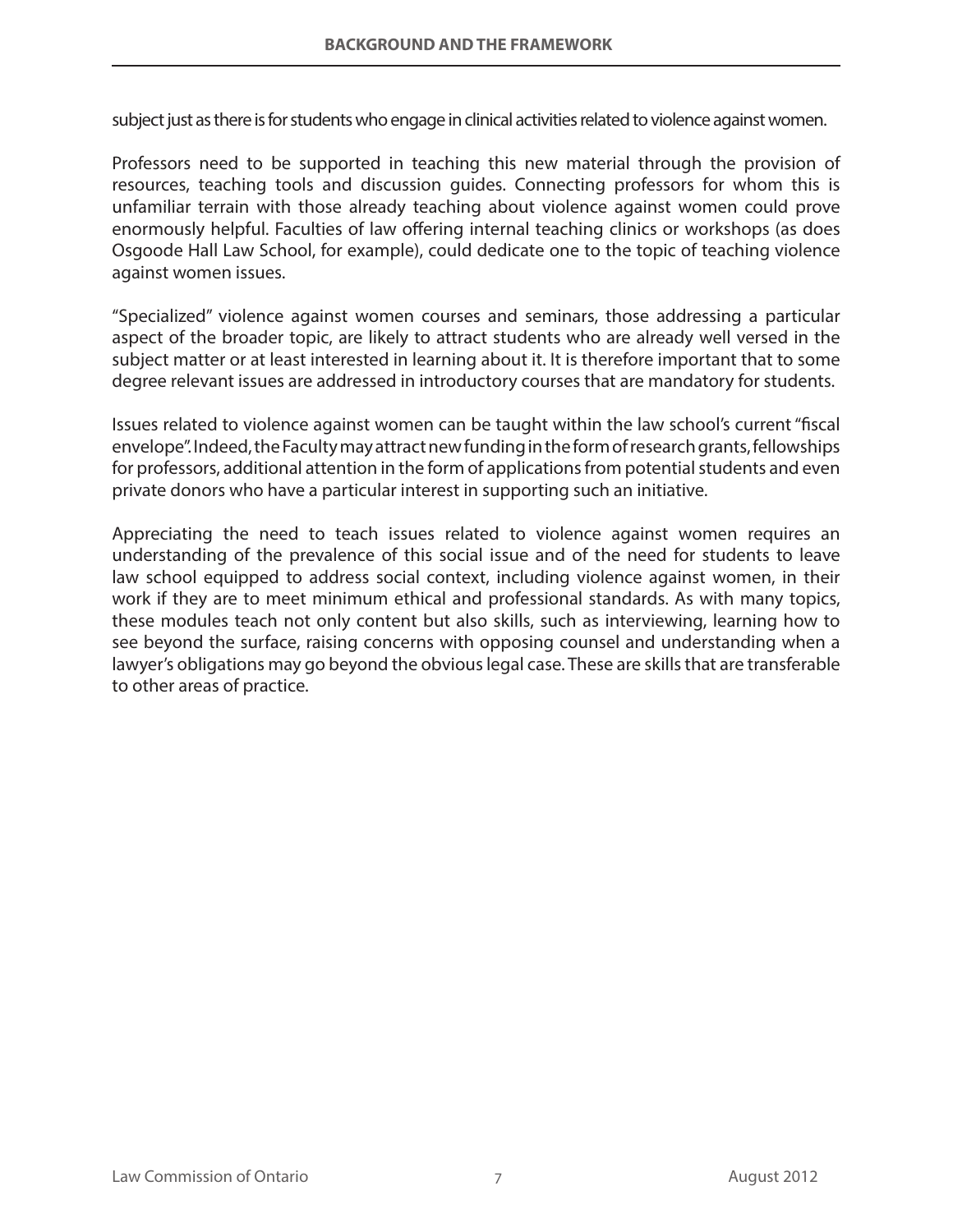subject just as there is for students who engage in clinical activities related to violence against women.

Professors need to be supported in teaching this new material through the provision of resources, teaching tools and discussion guides. Connecting professors for whom this is unfamiliar terrain with those already teaching about violence against women could prove enormously helpful. Faculties of law offering internal teaching clinics or workshops (as does Osgoode Hall Law School, for example), could dedicate one to the topic of teaching violence against women issues.

"Specialized" violence against women courses and seminars, those addressing a particular aspect of the broader topic, are likely to attract students who are already well versed in the subject matter or at least interested in learning about it. It is therefore important that to some degree relevant issues are addressed in introductory courses that are mandatory for students.

Issues related to violence against women can be taught within the law school's current "fiscal envelope". Indeed, the Faculty may attract new funding in the form of research grants, fellowships for professors, additional attention in the form of applications from potential students and even private donors who have a particular interest in supporting such an initiative.

Appreciating the need to teach issues related to violence against women requires an understanding of the prevalence of this social issue and of the need for students to leave law school equipped to address social context, including violence against women, in their work if they are to meet minimum ethical and professional standards. As with many topics, these modules teach not only content but also skills, such as interviewing, learning how to see beyond the surface, raising concerns with opposing counsel and understanding when a lawyer's obligations may go beyond the obvious legal case. These are skills that are transferable to other areas of practice.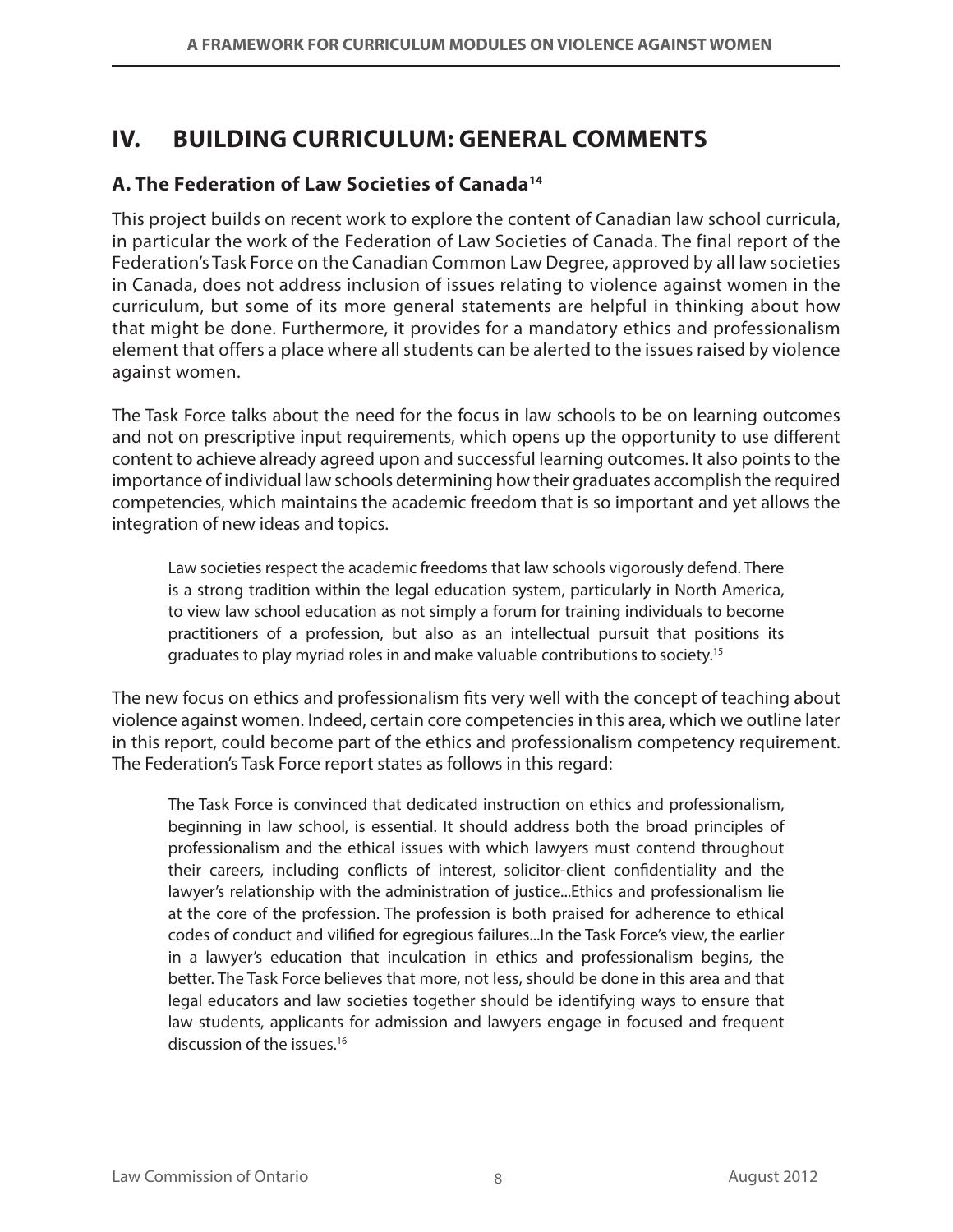# **IV. BUILDING CURRICULUM: GENERAL COMMENTS**

## **A. The Federation of Law Societies of Canada14**

This project builds on recent work to explore the content of Canadian law school curricula, in particular the work of the Federation of Law Societies of Canada. The final report of the Federation's Task Force on the Canadian Common Law Degree, approved by all law societies in Canada, does not address inclusion of issues relating to violence against women in the curriculum, but some of its more general statements are helpful in thinking about how that might be done. Furthermore, it provides for a mandatory ethics and professionalism element that offers a place where all students can be alerted to the issues raised by violence against women.

The Task Force talks about the need for the focus in law schools to be on learning outcomes and not on prescriptive input requirements, which opens up the opportunity to use different content to achieve already agreed upon and successful learning outcomes. It also points to the importance of individual law schools determining how their graduates accomplish the required competencies, which maintains the academic freedom that is so important and yet allows the integration of new ideas and topics.

Law societies respect the academic freedoms that law schools vigorously defend. There is a strong tradition within the legal education system, particularly in North America, to view law school education as not simply a forum for training individuals to become practitioners of a profession, but also as an intellectual pursuit that positions its graduates to play myriad roles in and make valuable contributions to society.15

The new focus on ethics and professionalism fits very well with the concept of teaching about violence against women. Indeed, certain core competencies in this area, which we outline later in this report, could become part of the ethics and professionalism competency requirement. The Federation's Task Force report states as follows in this regard:

The Task Force is convinced that dedicated instruction on ethics and professionalism, beginning in law school, is essential. It should address both the broad principles of professionalism and the ethical issues with which lawyers must contend throughout their careers, including conflicts of interest, solicitor-client confidentiality and the lawyer's relationship with the administration of justice...Ethics and professionalism lie at the core of the profession. The profession is both praised for adherence to ethical codes of conduct and vilified for egregious failures...In the Task Force's view, the earlier in a lawyer's education that inculcation in ethics and professionalism begins, the better. The Task Force believes that more, not less, should be done in this area and that legal educators and law societies together should be identifying ways to ensure that law students, applicants for admission and lawyers engage in focused and frequent discussion of the issues.<sup>16</sup>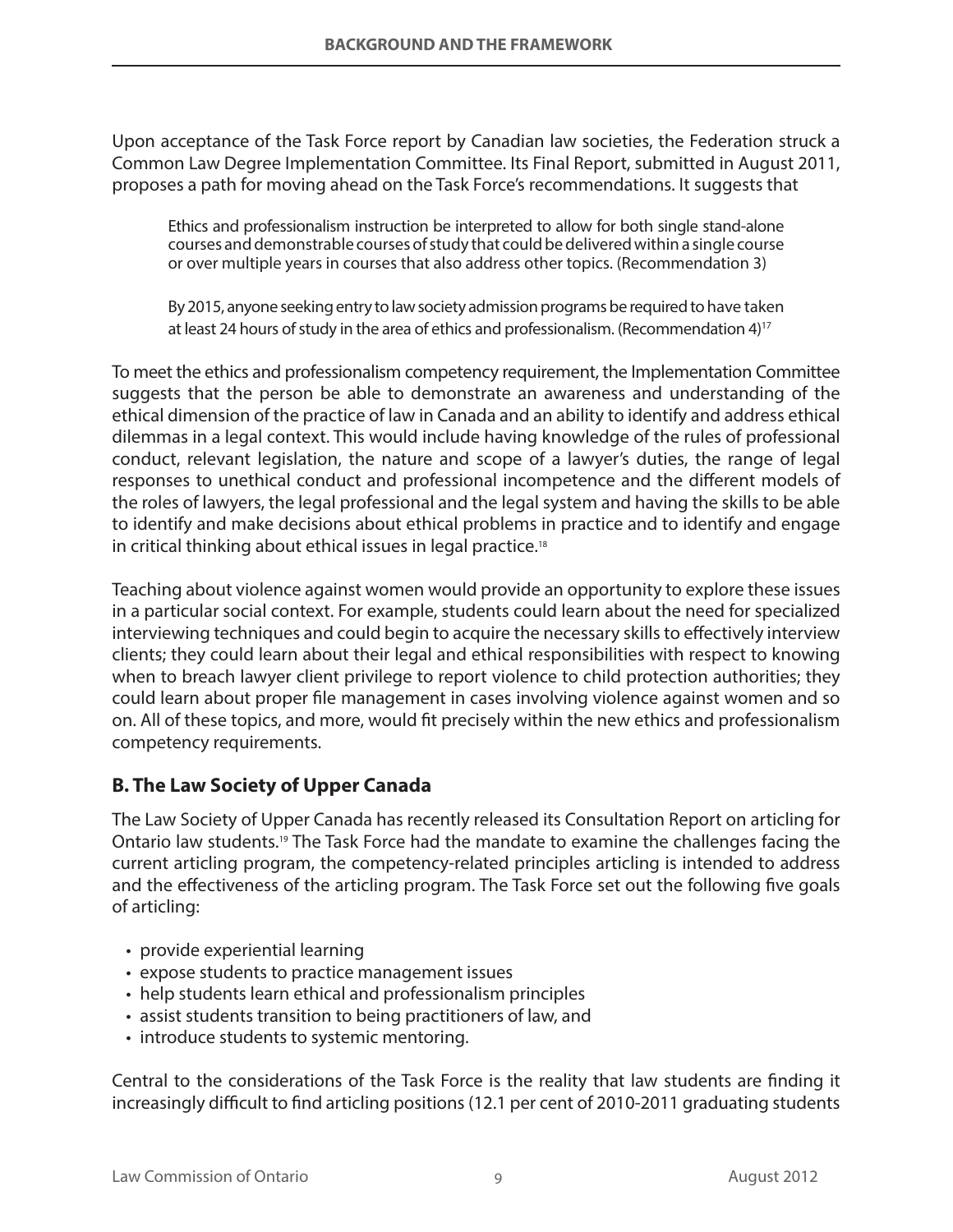Upon acceptance of the Task Force report by Canadian law societies, the Federation struck a Common Law Degree Implementation Committee. Its Final Report, submitted in August 2011, proposes a path for moving ahead on the Task Force's recommendations. It suggests that

Ethics and professionalism instruction be interpreted to allow for both single stand-alone courses and demonstrable courses of study that could be delivered within a single course or over multiple years in courses that also address other topics. (Recommendation 3)

By 2015, anyone seeking entry to law society admission programs be required to have taken at least 24 hours of study in the area of ethics and professionalism. (Recommendation 4)17

To meet the ethics and professionalism competency requirement, the Implementation Committee suggests that the person be able to demonstrate an awareness and understanding of the ethical dimension of the practice of law in Canada and an ability to identify and address ethical dilemmas in a legal context. This would include having knowledge of the rules of professional conduct, relevant legislation, the nature and scope of a lawyer's duties, the range of legal responses to unethical conduct and professional incompetence and the different models of the roles of lawyers, the legal professional and the legal system and having the skills to be able to identify and make decisions about ethical problems in practice and to identify and engage in critical thinking about ethical issues in legal practice.<sup>18</sup>

Teaching about violence against women would provide an opportunity to explore these issues in a particular social context. For example, students could learn about the need for specialized interviewing techniques and could begin to acquire the necessary skills to effectively interview clients; they could learn about their legal and ethical responsibilities with respect to knowing when to breach lawyer client privilege to report violence to child protection authorities; they could learn about proper file management in cases involving violence against women and so on. All of these topics, and more, would fit precisely within the new ethics and professionalism competency requirements.

## **B. The Law Society of Upper Canada**

The Law Society of Upper Canada has recently released its Consultation Report on articling for Ontario law students.19 The Task Force had the mandate to examine the challenges facing the current articling program, the competency-related principles articling is intended to address and the effectiveness of the articling program. The Task Force set out the following five goals of articling:

- provide experiential learning
- expose students to practice management issues
- help students learn ethical and professionalism principles
- assist students transition to being practitioners of law, and
- introduce students to systemic mentoring.

Central to the considerations of the Task Force is the reality that law students are finding it increasingly difficult to find articling positions (12.1 per cent of 2010-2011 graduating students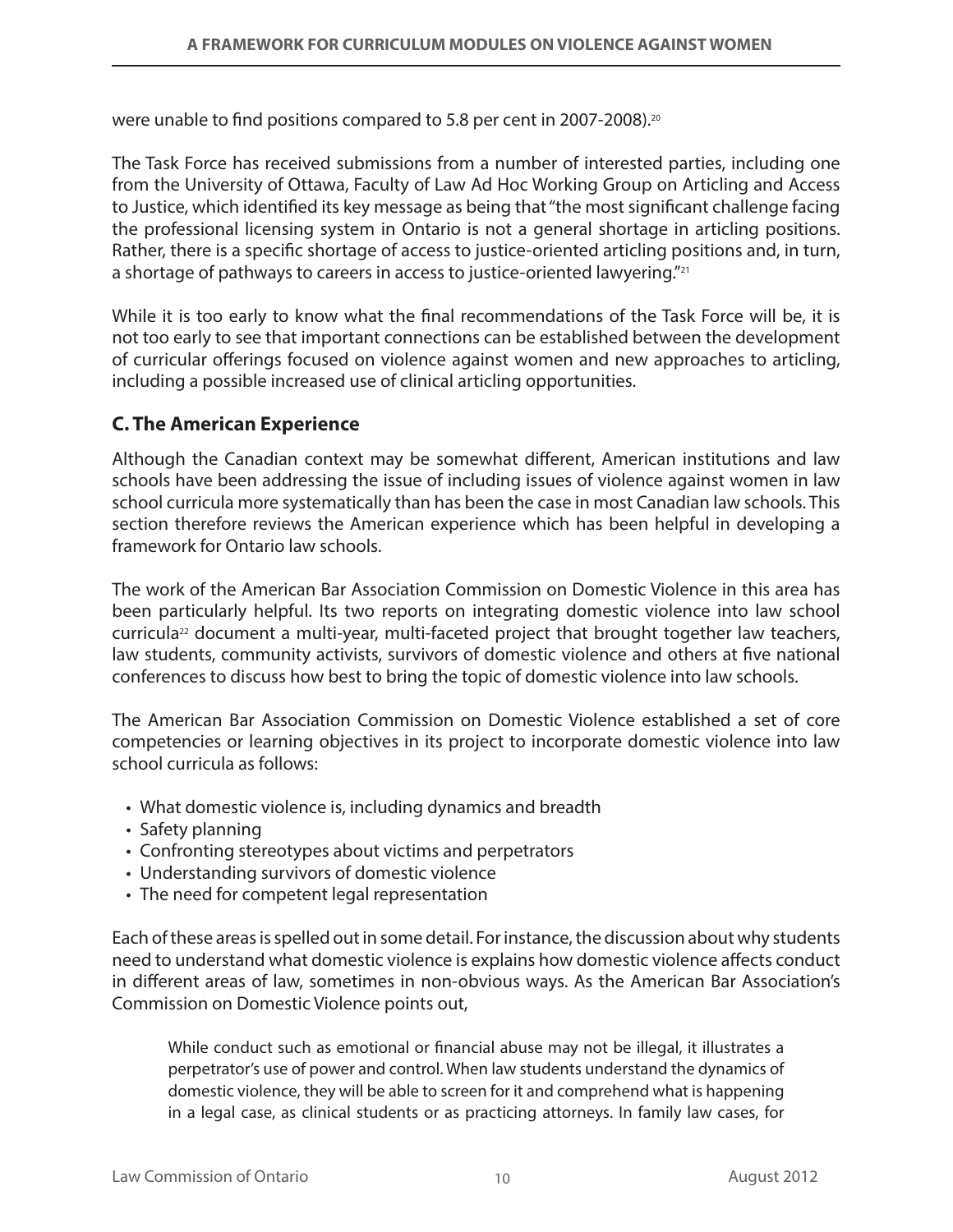were unable to find positions compared to 5.8 per cent in 2007-2008).20

The Task Force has received submissions from a number of interested parties, including one from the University of Ottawa, Faculty of Law Ad Hoc Working Group on Articling and Access to Justice, which identified its key message as being that "the most significant challenge facing the professional licensing system in Ontario is not a general shortage in articling positions. Rather, there is a specific shortage of access to justice-oriented articling positions and, in turn, a shortage of pathways to careers in access to justice-oriented lawyering."<sup>21</sup>

While it is too early to know what the final recommendations of the Task Force will be, it is not too early to see that important connections can be established between the development of curricular offerings focused on violence against women and new approaches to articling, including a possible increased use of clinical articling opportunities.

## **C. The American Experience**

Although the Canadian context may be somewhat different, American institutions and law schools have been addressing the issue of including issues of violence against women in law school curricula more systematically than has been the case in most Canadian law schools. This section therefore reviews the American experience which has been helpful in developing a framework for Ontario law schools.

The work of the American Bar Association Commission on Domestic Violence in this area has been particularly helpful. Its two reports on integrating domestic violence into law school curricula<sup>22</sup> document a multi-year, multi-faceted project that brought together law teachers, law students, community activists, survivors of domestic violence and others at five national conferences to discuss how best to bring the topic of domestic violence into law schools.

The American Bar Association Commission on Domestic Violence established a set of core competencies or learning objectives in its project to incorporate domestic violence into law school curricula as follows:

- What domestic violence is, including dynamics and breadth
- Safety planning
- Confronting stereotypes about victims and perpetrators
- • Understanding survivors of domestic violence
- The need for competent legal representation

Each of these areas is spelled out in some detail. For instance, the discussion about why students need to understand what domestic violence is explains how domestic violence affects conduct in different areas of law, sometimes in non-obvious ways. As the American Bar Association's Commission on Domestic Violence points out,

While conduct such as emotional or financial abuse may not be illegal, it illustrates a perpetrator's use of power and control. When law students understand the dynamics of domestic violence, they will be able to screen for it and comprehend what is happening in a legal case, as clinical students or as practicing attorneys. In family law cases, for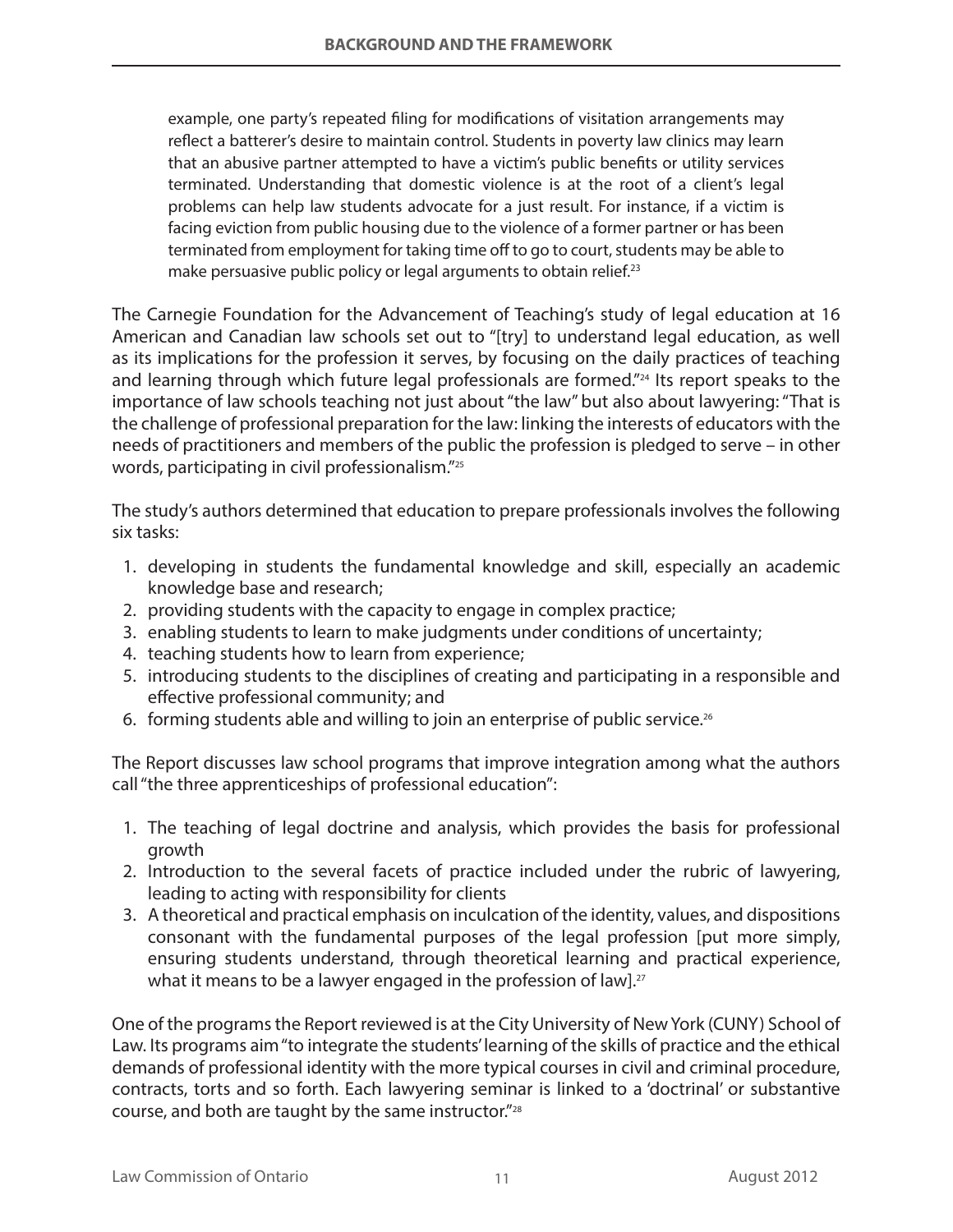example, one party's repeated filing for modifications of visitation arrangements may reflect a batterer's desire to maintain control. Students in poverty law clinics may learn that an abusive partner attempted to have a victim's public benefits or utility services terminated. Understanding that domestic violence is at the root of a client's legal problems can help law students advocate for a just result. For instance, if a victim is facing eviction from public housing due to the violence of a former partner or has been terminated from employment for taking time off to go to court, students may be able to make persuasive public policy or legal arguments to obtain relief.<sup>23</sup>

The Carnegie Foundation for the Advancement of Teaching's study of legal education at 16 American and Canadian law schools set out to "[try] to understand legal education, as well as its implications for the profession it serves, by focusing on the daily practices of teaching and learning through which future legal professionals are formed."<sup>24</sup> Its report speaks to the importance of law schools teaching not just about "the law" but also about lawyering: "That is the challenge of professional preparation for the law: linking the interests of educators with the needs of practitioners and members of the public the profession is pledged to serve – in other words, participating in civil professionalism."25

The study's authors determined that education to prepare professionals involves the following six tasks:

- 1. developing in students the fundamental knowledge and skill, especially an academic knowledge base and research;
- 2. providing students with the capacity to engage in complex practice;
- 3. enabling students to learn to make judgments under conditions of uncertainty;
- 4. teaching students how to learn from experience;
- 5. introducing students to the disciplines of creating and participating in a responsible and effective professional community; and
- 6. forming students able and willing to join an enterprise of public service.26

The Report discusses law school programs that improve integration among what the authors call "the three apprenticeships of professional education":

- 1. The teaching of legal doctrine and analysis, which provides the basis for professional growth
- 2. Introduction to the several facets of practice included under the rubric of lawyering, leading to acting with responsibility for clients
- 3. A theoretical and practical emphasis on inculcation of the identity, values, and dispositions consonant with the fundamental purposes of the legal profession [put more simply, ensuring students understand, through theoretical learning and practical experience, what it means to be a lawyer engaged in the profession of law].<sup>27</sup>

One of the programs the Report reviewed is at the City University of New York (CUNY) School of Law. Its programs aim "to integrate the students' learning of the skills of practice and the ethical demands of professional identity with the more typical courses in civil and criminal procedure, contracts, torts and so forth. Each lawyering seminar is linked to a 'doctrinal' or substantive course, and both are taught by the same instructor."28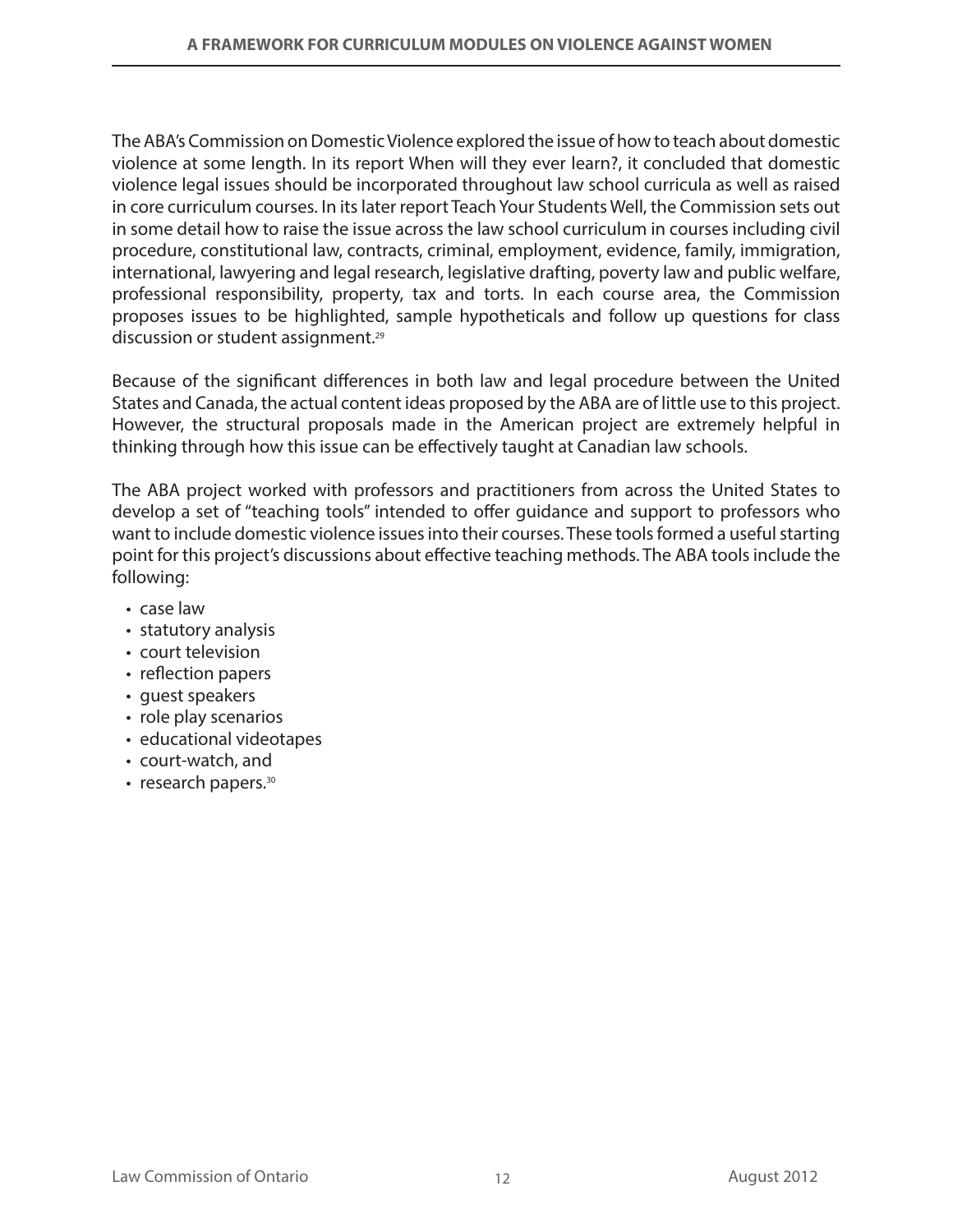The ABA's Commission on Domestic Violence explored the issue of how to teach about domestic violence at some length. In its report When will they ever learn?, it concluded that domestic violence legal issues should be incorporated throughout law school curricula as well as raised in core curriculum courses. In its later report Teach Your Students Well, the Commission sets out in some detail how to raise the issue across the law school curriculum in courses including civil procedure, constitutional law, contracts, criminal, employment, evidence, family, immigration, international, lawyering and legal research, legislative drafting, poverty law and public welfare, professional responsibility, property, tax and torts. In each course area, the Commission proposes issues to be highlighted, sample hypotheticals and follow up questions for class discussion or student assignment.29

Because of the significant differences in both law and legal procedure between the United States and Canada, the actual content ideas proposed by the ABA are of little use to this project. However, the structural proposals made in the American project are extremely helpful in thinking through how this issue can be effectively taught at Canadian law schools.

The ABA project worked with professors and practitioners from across the United States to develop a set of "teaching tools" intended to offer guidance and support to professors who want to include domestic violence issues into their courses. These tools formed a useful starting point for this project's discussions about effective teaching methods. The ABA tools include the following:

- case law
- • statutory analysis
- court television
- reflection papers
- quest speakers
- role play scenarios
- educational videotapes
- • court-watch, and
- research papers.<sup>30</sup>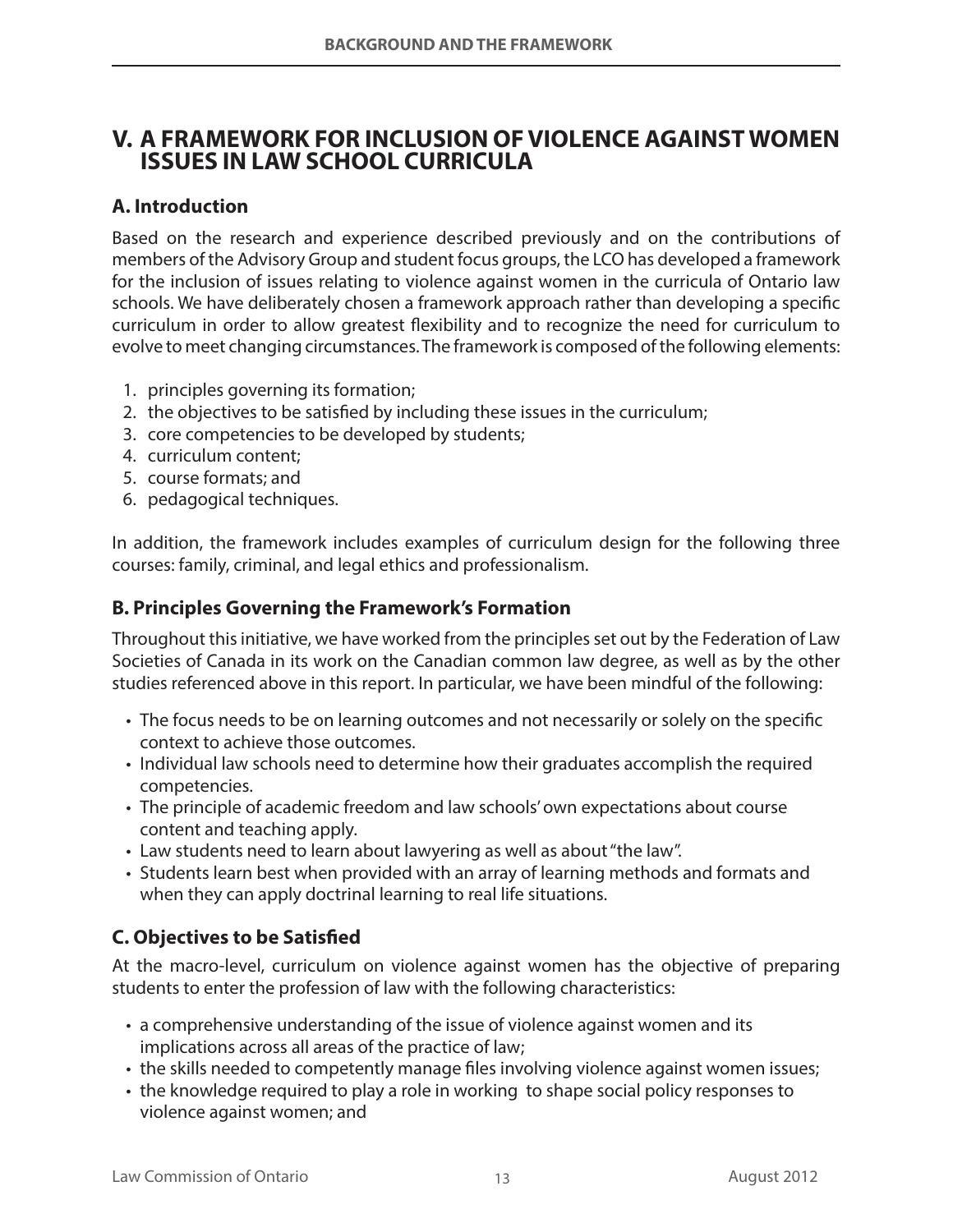## **V. A FRAMEWORK FOR INCLUSION OF VIOLENCE AGAINST WOMEN ISSUES IN LAW SCHOOL CURRICULA**

## **A. Introduction**

Based on the research and experience described previously and on the contributions of members of the Advisory Group and student focus groups, the LCO has developed a framework for the inclusion of issues relating to violence against women in the curricula of Ontario law schools. We have deliberately chosen a framework approach rather than developing a specific curriculum in order to allow greatest flexibility and to recognize the need for curriculum to evolve to meet changing circumstances. The framework is composed of the following elements:

- 1. principles governing its formation;
- 2. the objectives to be satisfied by including these issues in the curriculum;
- 3. core competencies to be developed by students;
- 4. curriculum content;
- 5. course formats; and
- 6. pedagogical techniques.

In addition, the framework includes examples of curriculum design for the following three courses: family, criminal, and legal ethics and professionalism.

## **B. Principles Governing the Framework's Formation**

Throughout this initiative, we have worked from the principles set out by the Federation of Law Societies of Canada in its work on the Canadian common law degree, as well as by the other studies referenced above in this report. In particular, we have been mindful of the following:

- The focus needs to be on learning outcomes and not necessarily or solely on the specific context to achieve those outcomes.
- Individual law schools need to determine how their graduates accomplish the required competencies.
- • The principle of academic freedom and law schools' own expectations about course content and teaching apply.
- Law students need to learn about lawyering as well as about "the law".
- Students learn best when provided with an array of learning methods and formats and when they can apply doctrinal learning to real life situations.

## **C. Objectives to be Satisfied**

At the macro-level, curriculum on violence against women has the objective of preparing students to enter the profession of law with the following characteristics:

- a comprehensive understanding of the issue of violence against women and its implications across all areas of the practice of law;
- the skills needed to competently manage files involving violence against women issues;
- the knowledge required to play a role in working to shape social policy responses to violence against women; and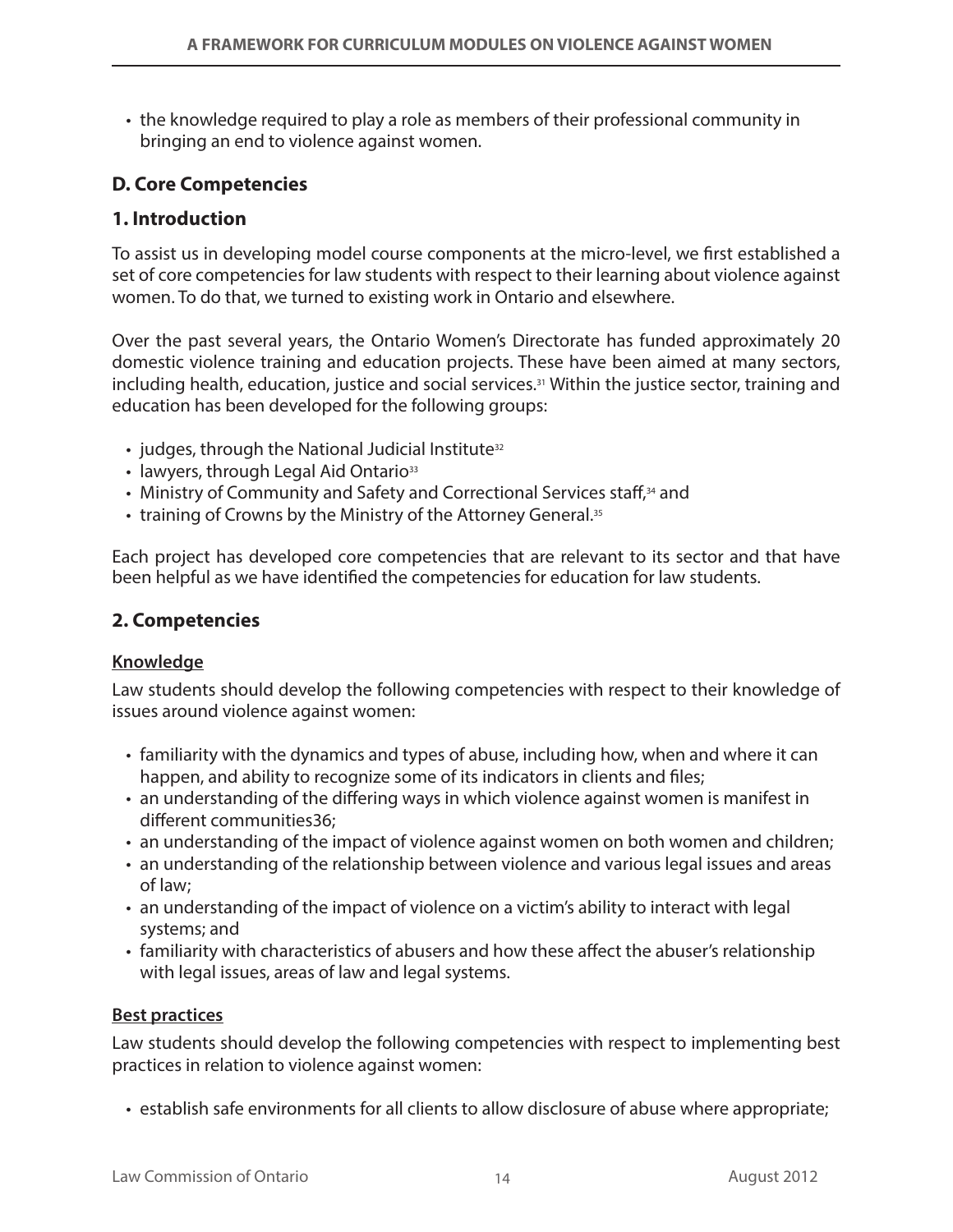• the knowledge required to play a role as members of their professional community in bringing an end to violence against women.

## **D. Core Competencies**

## **1. Introduction**

To assist us in developing model course components at the micro-level, we first established a set of core competencies for law students with respect to their learning about violence against women. To do that, we turned to existing work in Ontario and elsewhere.

Over the past several years, the Ontario Women's Directorate has funded approximately 20 domestic violence training and education projects. These have been aimed at many sectors, including health, education, justice and social services.<sup>31</sup> Within the justice sector, training and education has been developed for the following groups:

- $\cdot$  judges, through the National Judicial Institute<sup>32</sup>
- $\cdot$  lawyers, through Legal Aid Ontario<sup>33</sup>
- Ministry of Community and Safety and Correctional Services staff,<sup>34</sup> and
- training of Crowns by the Ministry of the Attorney General.<sup>35</sup>

Each project has developed core competencies that are relevant to its sector and that have been helpful as we have identified the competencies for education for law students.

## **2. Competencies**

#### **Knowledge**

Law students should develop the following competencies with respect to their knowledge of issues around violence against women:

- • familiarity with the dynamics and types of abuse, including how, when and where it can happen, and ability to recognize some of its indicators in clients and files;
- an understanding of the differing ways in which violence against women is manifest in different communities36;
- an understanding of the impact of violence against women on both women and children;
- an understanding of the relationship between violence and various legal issues and areas of law;
- • an understanding of the impact of violence on a victim's ability to interact with legal systems; and
- familiarity with characteristics of abusers and how these affect the abuser's relationship with legal issues, areas of law and legal systems.

#### **Best practices**

Law students should develop the following competencies with respect to implementing best practices in relation to violence against women:

• establish safe environments for all clients to allow disclosure of abuse where appropriate;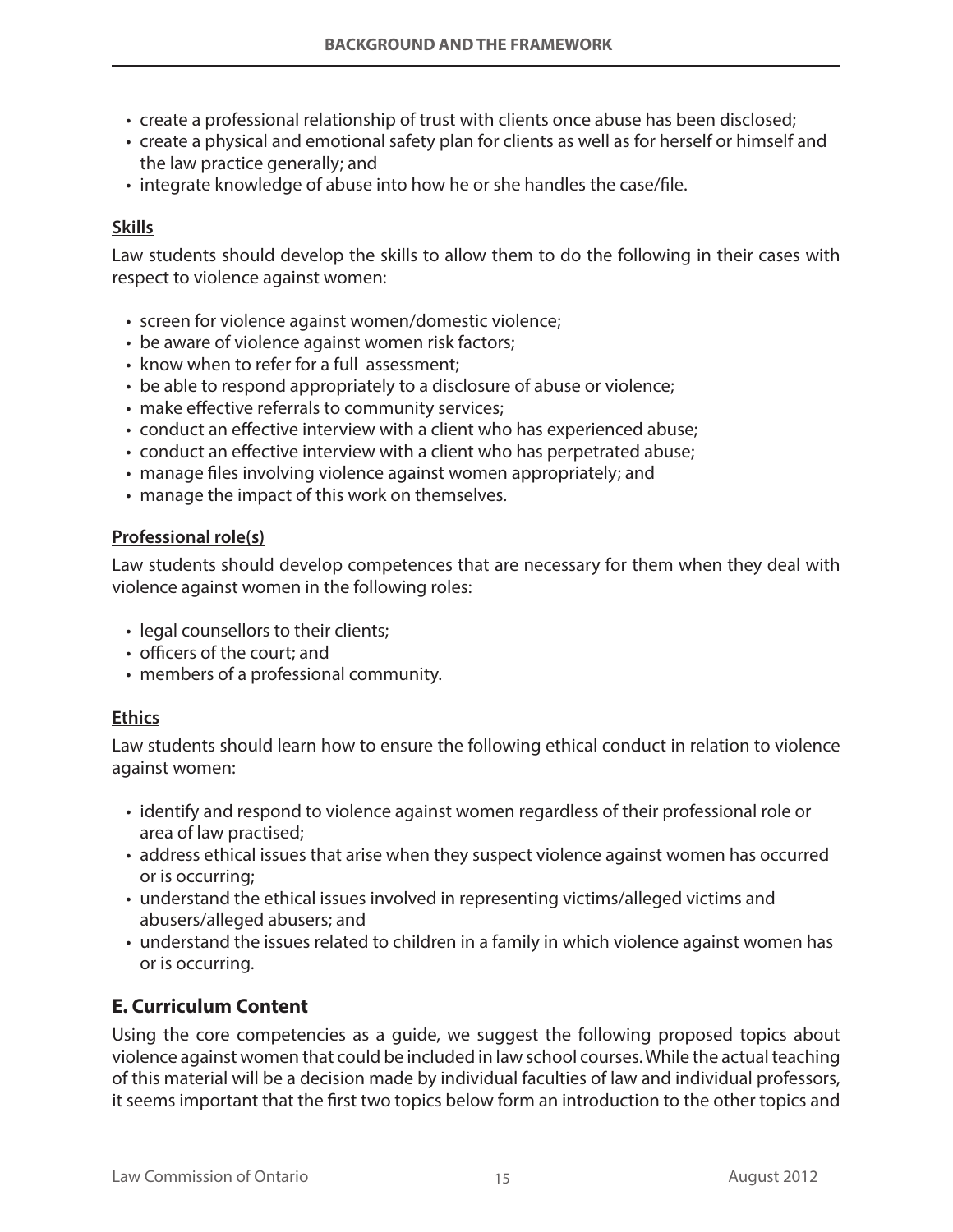- create a professional relationship of trust with clients once abuse has been disclosed;
- • create a physical and emotional safety plan for clients as well as for herself or himself and the law practice generally; and
- integrate knowledge of abuse into how he or she handles the case/file.

#### **Skills**

Law students should develop the skills to allow them to do the following in their cases with respect to violence against women:

- screen for violence against women/domestic violence;
- be aware of violence against women risk factors;
- know when to refer for a full assessment;
- be able to respond appropriately to a disclosure of abuse or violence;
- make effective referrals to community services;
- conduct an effective interview with a client who has experienced abuse;
- conduct an effective interview with a client who has perpetrated abuse;
- manage files involving violence against women appropriately; and
- manage the impact of this work on themselves.

#### **Professional role(s)**

Law students should develop competences that are necessary for them when they deal with violence against women in the following roles:

- legal counsellors to their clients;
- • officers of the court; and
- members of a professional community.

#### **Ethics**

Law students should learn how to ensure the following ethical conduct in relation to violence against women:

- identify and respond to violence against women regardless of their professional role or area of law practised;
- address ethical issues that arise when they suspect violence against women has occurred or is occurring;
- understand the ethical issues involved in representing victims/alleged victims and abusers/alleged abusers; and
- understand the issues related to children in a family in which violence against women has or is occurring.

## **E. Curriculum Content**

Using the core competencies as a guide, we suggest the following proposed topics about violence against women that could be included in law school courses. While the actual teaching of this material will be a decision made by individual faculties of law and individual professors, it seems important that the first two topics below form an introduction to the other topics and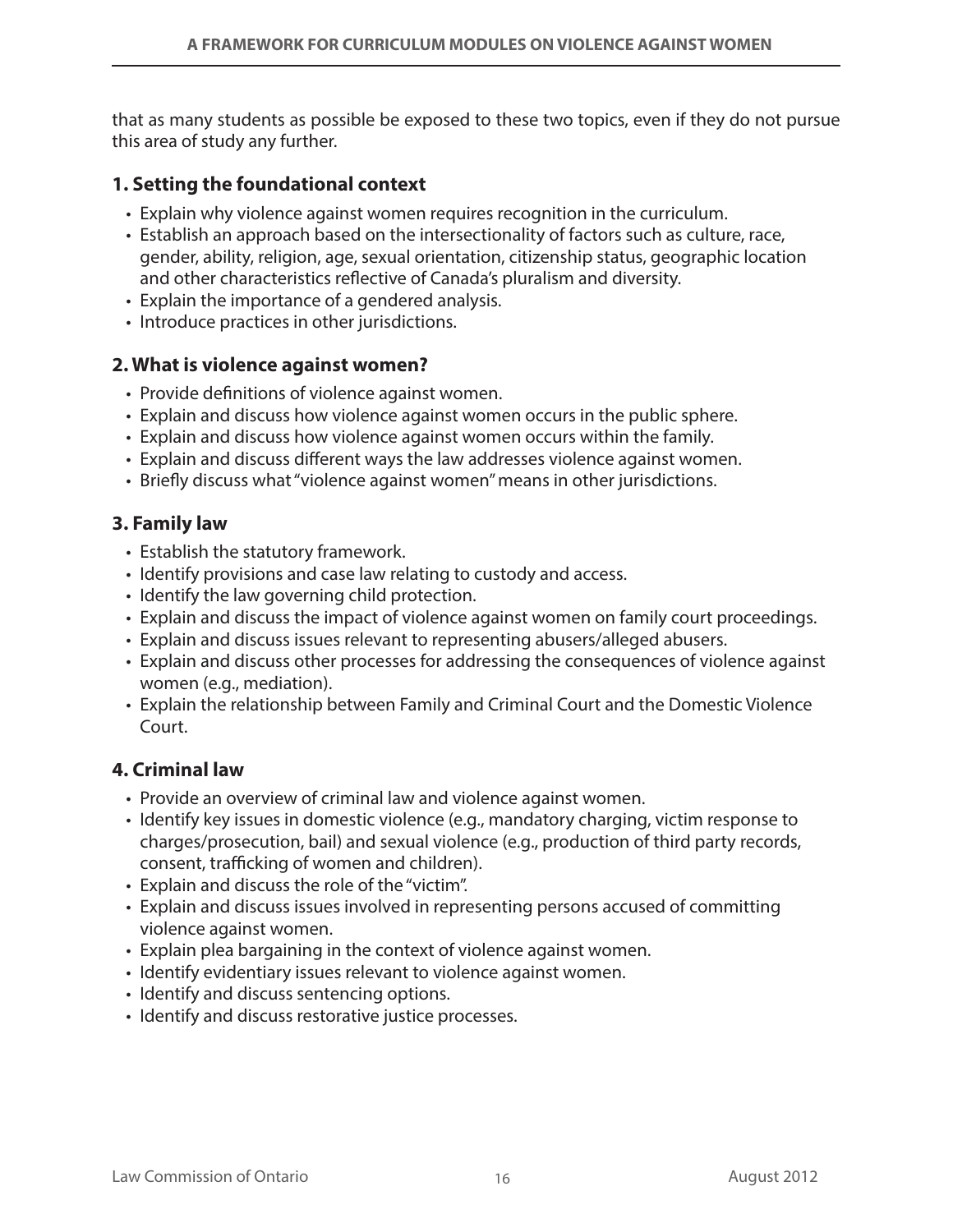that as many students as possible be exposed to these two topics, even if they do not pursue this area of study any further.

### **1. Setting the foundational context**

- Explain why violence against women requires recognition in the curriculum.
- Establish an approach based on the intersectionality of factors such as culture, race, gender, ability, religion, age, sexual orientation, citizenship status, geographic location and other characteristics reflective of Canada's pluralism and diversity.
- Explain the importance of a gendered analysis.
- Introduce practices in other jurisdictions.

### **2. What is violence against women?**

- Provide definitions of violence against women.
- Explain and discuss how violence against women occurs in the public sphere.
- Explain and discuss how violence against women occurs within the family.
- • Explain and discuss different ways the law addresses violence against women.
- • Briefly discuss what "violence against women" means in other jurisdictions.

### **3. Family law**

- Establish the statutory framework.
- Identify provisions and case law relating to custody and access.
- Identify the law governing child protection.
- Explain and discuss the impact of violence against women on family court proceedings.
- Explain and discuss issues relevant to representing abusers/alleged abusers.
- • Explain and discuss other processes for addressing the consequences of violence against women (e.g., mediation).
- Explain the relationship between Family and Criminal Court and the Domestic Violence Court.

#### **4. Criminal law**

- Provide an overview of criminal law and violence against women.
- Identify key issues in domestic violence (e.g., mandatory charging, victim response to charges/prosecution, bail) and sexual violence (e.g., production of third party records, consent, trafficking of women and children).
- • Explain and discuss the role of the "victim".
- Explain and discuss issues involved in representing persons accused of committing violence against women.
- Explain plea bargaining in the context of violence against women.
- Identify evidentiary issues relevant to violence against women.
- Identify and discuss sentencing options.
- Identify and discuss restorative justice processes.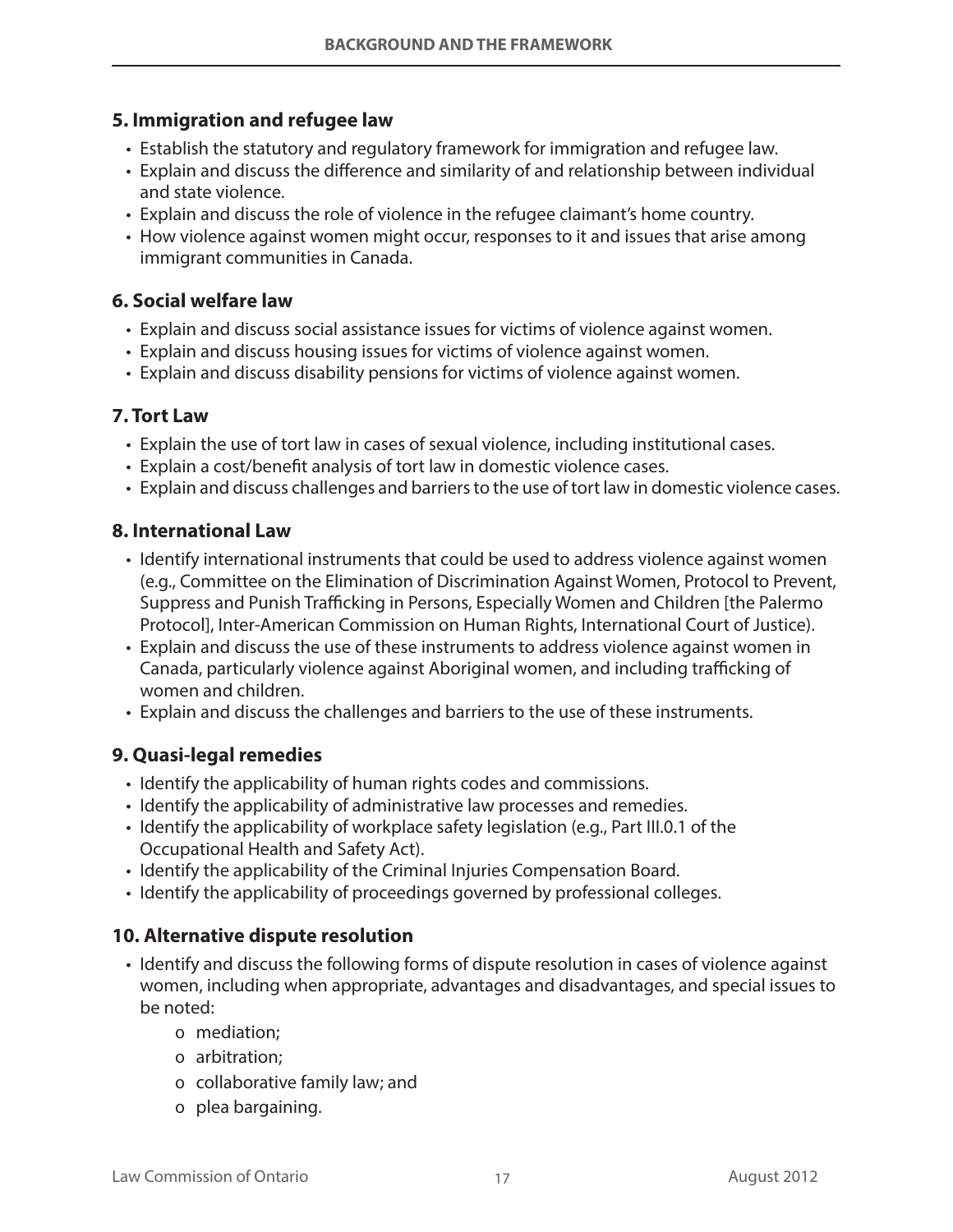## **5. Immigration and refugee law**

- Establish the statutory and regulatory framework for immigration and refugee law.
- Explain and discuss the difference and similarity of and relationship between individual and state violence.
- • Explain and discuss the role of violence in the refugee claimant's home country.
- How violence against women might occur, responses to it and issues that arise among immigrant communities in Canada.

## **6. Social welfare law**

- Explain and discuss social assistance issues for victims of violence against women.
- Explain and discuss housing issues for victims of violence against women.
- • Explain and discuss disability pensions for victims of violence against women.

### **7. Tort Law**

- Explain the use of tort law in cases of sexual violence, including institutional cases.
- Explain a cost/benefit analysis of tort law in domestic violence cases.
- Explain and discuss challenges and barriers to the use of tort law in domestic violence cases.

#### **8. International Law**

- Identify international instruments that could be used to address violence against women (e.g., Committee on the Elimination of Discrimination Against Women, Protocol to Prevent, Suppress and Punish Trafficking in Persons, Especially Women and Children [the Palermo Protocol], Inter-American Commission on Human Rights, International Court of Justice).
- Explain and discuss the use of these instruments to address violence against women in Canada, particularly violence against Aboriginal women, and including trafficking of women and children.
- • Explain and discuss the challenges and barriers to the use of these instruments.

## **9. Quasi-legal remedies**

- Identify the applicability of human rights codes and commissions.
- Identify the applicability of administrative law processes and remedies.
- Identify the applicability of workplace safety legislation (e.g., Part III.0.1 of the Occupational Health and Safety Act).
- Identify the applicability of the Criminal Injuries Compensation Board.
- Identify the applicability of proceedings governed by professional colleges.

#### **10. Alternative dispute resolution**

- Identify and discuss the following forms of dispute resolution in cases of violence against women, including when appropriate, advantages and disadvantages, and special issues to be noted:
	- o mediation:
	- o arbitration;
	- o collaborative family law; and
	- o plea bargaining.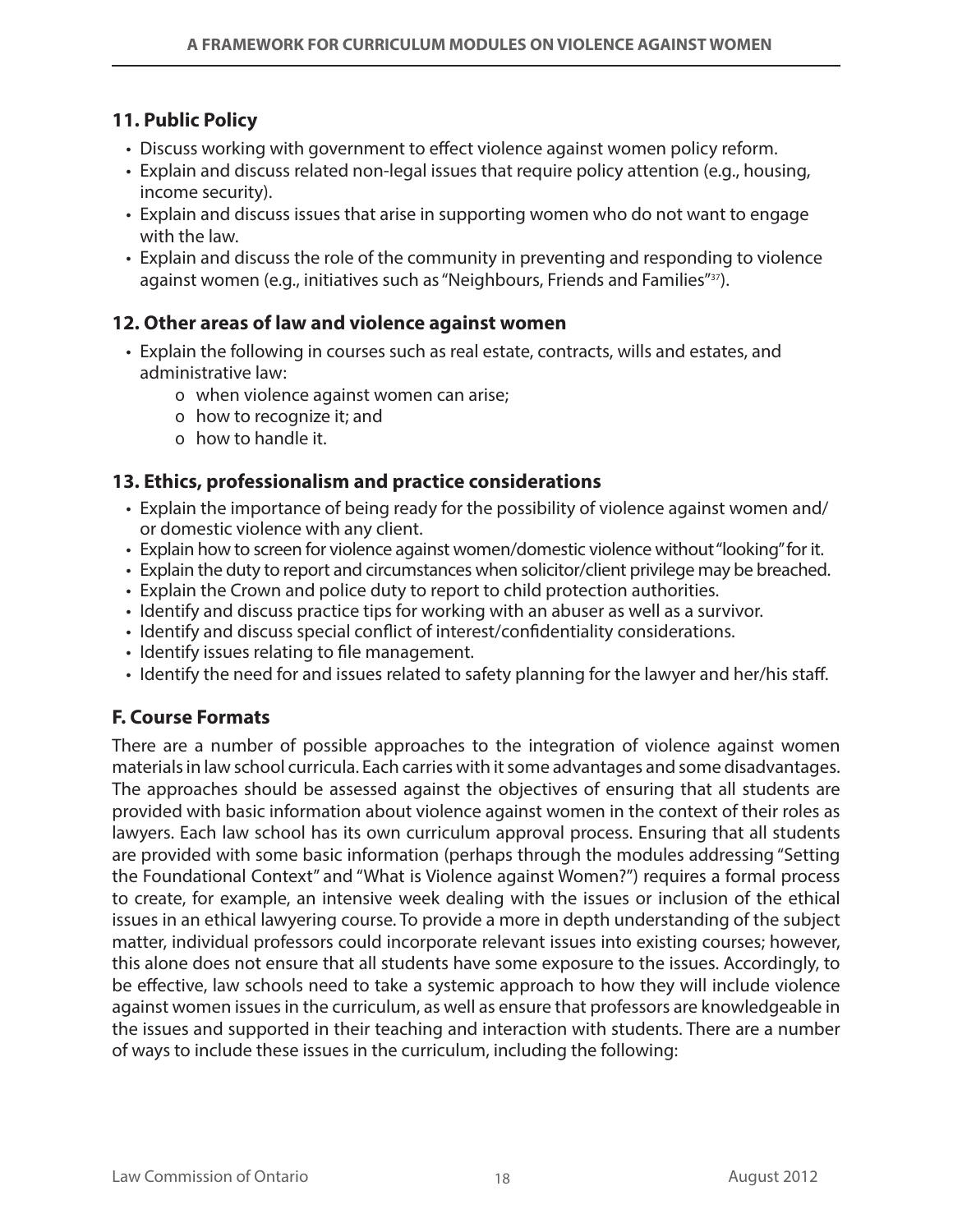## **11. Public Policy**

- Discuss working with government to effect violence against women policy reform.
- Explain and discuss related non-legal issues that require policy attention (e.g., housing, income security).
- Explain and discuss issues that arise in supporting women who do not want to engage with the law.
- Explain and discuss the role of the community in preventing and responding to violence against women (e.g., initiatives such as "Neighbours, Friends and Families"<sup>37</sup>).

## **12. Other areas of law and violence against women**

- • Explain the following in courses such as real estate, contracts, wills and estates, and administrative law:
	- o when violence against women can arise;
	- o how to recognize it; and
	- o how to handle it.

### **13. Ethics, professionalism and practice considerations**

- • Explain the importance of being ready for the possibility of violence against women and/ or domestic violence with any client.
- Explain how to screen for violence against women/domestic violence without "looking" for it.
- Explain the duty to report and circumstances when solicitor/client privilege may be breached.
- Explain the Crown and police duty to report to child protection authorities.
- Identify and discuss practice tips for working with an abuser as well as a survivor.
- Identify and discuss special conflict of interest/confidentiality considerations.
- Identify issues relating to file management.
- Identify the need for and issues related to safety planning for the lawyer and her/his staff.

## **F. Course Formats**

There are a number of possible approaches to the integration of violence against women materials in law school curricula. Each carries with it some advantages and some disadvantages. The approaches should be assessed against the objectives of ensuring that all students are provided with basic information about violence against women in the context of their roles as lawyers. Each law school has its own curriculum approval process. Ensuring that all students are provided with some basic information (perhaps through the modules addressing "Setting the Foundational Context" and "What is Violence against Women?") requires a formal process to create, for example, an intensive week dealing with the issues or inclusion of the ethical issues in an ethical lawyering course. To provide a more in depth understanding of the subject matter, individual professors could incorporate relevant issues into existing courses; however, this alone does not ensure that all students have some exposure to the issues. Accordingly, to be effective, law schools need to take a systemic approach to how they will include violence against women issues in the curriculum, as well as ensure that professors are knowledgeable in the issues and supported in their teaching and interaction with students. There are a number of ways to include these issues in the curriculum, including the following: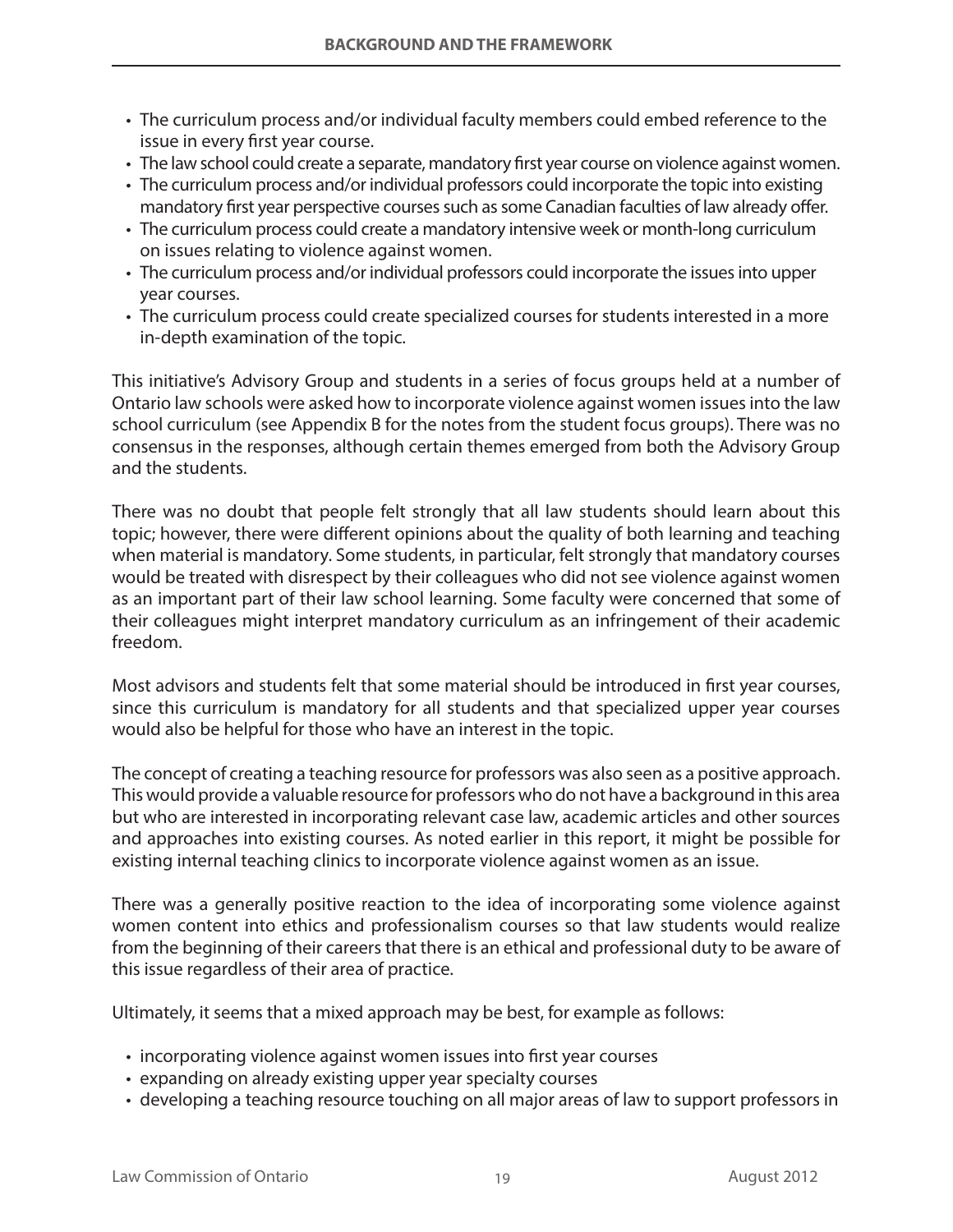- The curriculum process and/or individual faculty members could embed reference to the issue in every first year course.
- The law school could create a separate, mandatory first year course on violence against women.
- The curriculum process and/or individual professors could incorporate the topic into existing mandatory first year perspective courses such as some Canadian faculties of law already offer.
- The curriculum process could create a mandatory intensive week or month-long curriculum on issues relating to violence against women.
- The curriculum process and/or individual professors could incorporate the issues into upper year courses.
- The curriculum process could create specialized courses for students interested in a more in-depth examination of the topic.

This initiative's Advisory Group and students in a series of focus groups held at a number of Ontario law schools were asked how to incorporate violence against women issues into the law school curriculum (see Appendix B for the notes from the student focus groups). There was no consensus in the responses, although certain themes emerged from both the Advisory Group and the students.

There was no doubt that people felt strongly that all law students should learn about this topic; however, there were different opinions about the quality of both learning and teaching when material is mandatory. Some students, in particular, felt strongly that mandatory courses would be treated with disrespect by their colleagues who did not see violence against women as an important part of their law school learning. Some faculty were concerned that some of their colleagues might interpret mandatory curriculum as an infringement of their academic freedom.

Most advisors and students felt that some material should be introduced in first year courses, since this curriculum is mandatory for all students and that specialized upper year courses would also be helpful for those who have an interest in the topic.

The concept of creating a teaching resource for professors was also seen as a positive approach. This would provide a valuable resource for professors who do not have a background in this area but who are interested in incorporating relevant case law, academic articles and other sources and approaches into existing courses. As noted earlier in this report, it might be possible for existing internal teaching clinics to incorporate violence against women as an issue.

There was a generally positive reaction to the idea of incorporating some violence against women content into ethics and professionalism courses so that law students would realize from the beginning of their careers that there is an ethical and professional duty to be aware of this issue regardless of their area of practice.

Ultimately, it seems that a mixed approach may be best, for example as follows:

- incorporating violence against women issues into first year courses
- expanding on already existing upper year specialty courses
- developing a teaching resource touching on all major areas of law to support professors in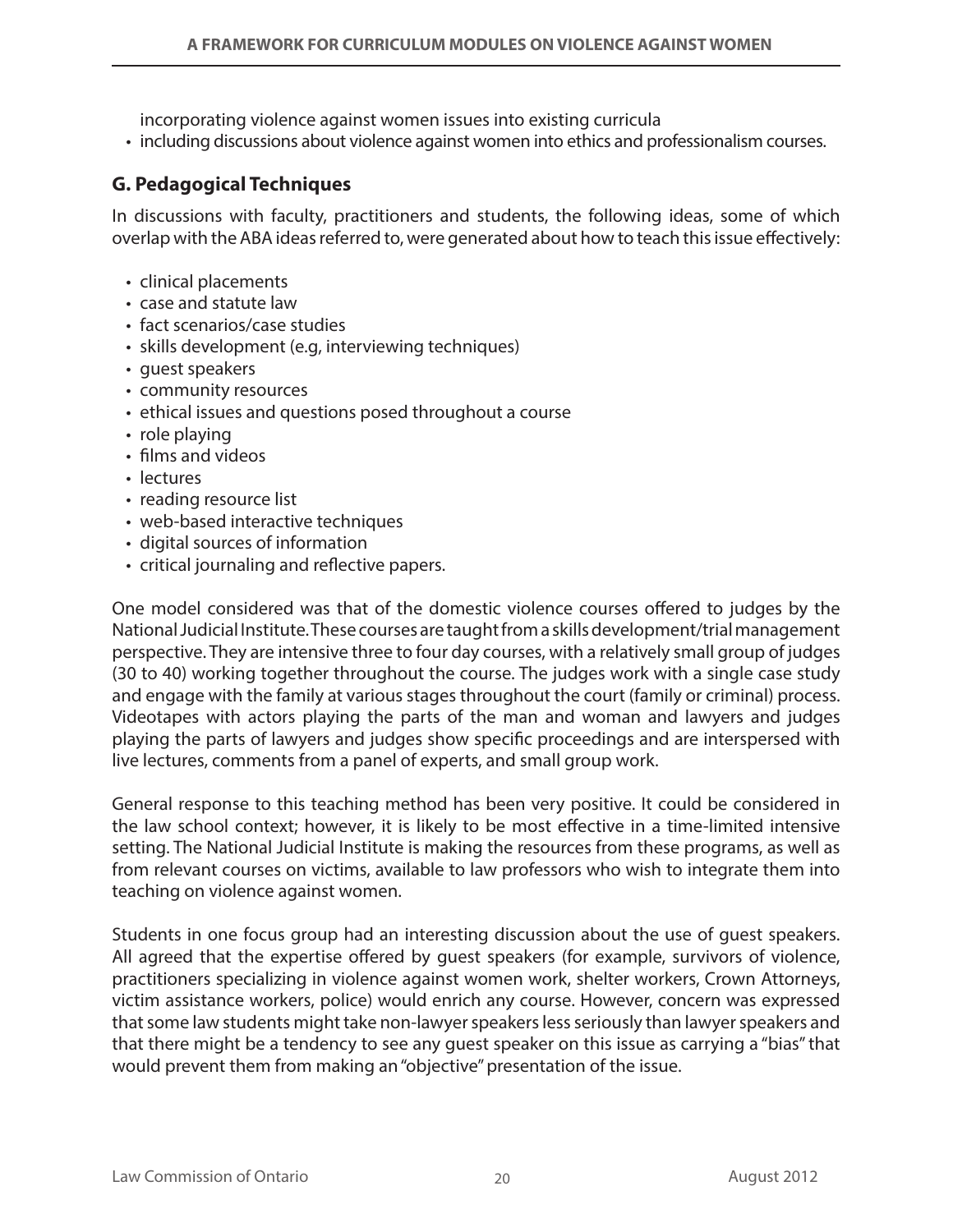incorporating violence against women issues into existing curricula

• including discussions about violence against women into ethics and professionalism courses.

## **G. Pedagogical Techniques**

In discussions with faculty, practitioners and students, the following ideas, some of which overlap with the ABA ideas referred to, were generated about how to teach this issue effectively:

- clinical placements
- • case and statute law
- fact scenarios/case studies
- skills development (e.g, interviewing techniques)
- quest speakers
- • community resources
- ethical issues and questions posed throughout a course
- role playing
- films and videos
- lectures
- reading resource list
- web-based interactive techniques
- digital sources of information
- • critical journaling and reflective papers.

One model considered was that of the domestic violence courses offered to judges by the National Judicial Institute. These courses are taught from a skills development/trial management perspective. They are intensive three to four day courses, with a relatively small group of judges (30 to 40) working together throughout the course. The judges work with a single case study and engage with the family at various stages throughout the court (family or criminal) process. Videotapes with actors playing the parts of the man and woman and lawyers and judges playing the parts of lawyers and judges show specific proceedings and are interspersed with live lectures, comments from a panel of experts, and small group work.

General response to this teaching method has been very positive. It could be considered in the law school context; however, it is likely to be most effective in a time-limited intensive setting. The National Judicial Institute is making the resources from these programs, as well as from relevant courses on victims, available to law professors who wish to integrate them into teaching on violence against women.

Students in one focus group had an interesting discussion about the use of guest speakers. All agreed that the expertise offered by guest speakers (for example, survivors of violence, practitioners specializing in violence against women work, shelter workers, Crown Attorneys, victim assistance workers, police) would enrich any course. However, concern was expressed that some law students might take non-lawyer speakers less seriously than lawyer speakers and that there might be a tendency to see any guest speaker on this issue as carrying a "bias" that would prevent them from making an "objective" presentation of the issue.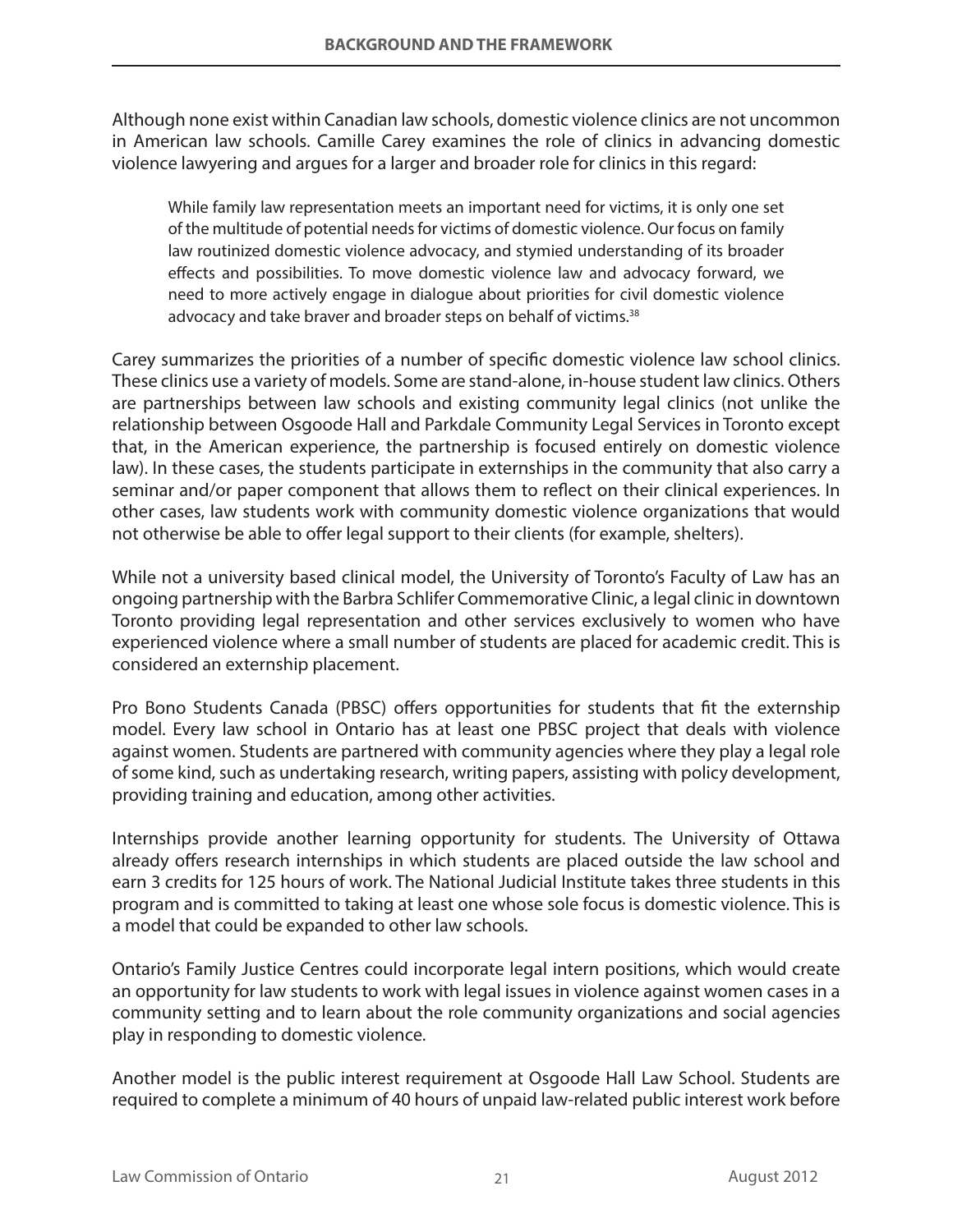Although none exist within Canadian law schools, domestic violence clinics are not uncommon in American law schools. Camille Carey examines the role of clinics in advancing domestic violence lawyering and argues for a larger and broader role for clinics in this regard:

While family law representation meets an important need for victims, it is only one set of the multitude of potential needs for victims of domestic violence. Our focus on family law routinized domestic violence advocacy, and stymied understanding of its broader effects and possibilities. To move domestic violence law and advocacy forward, we need to more actively engage in dialogue about priorities for civil domestic violence advocacy and take braver and broader steps on behalf of victims.<sup>38</sup>

Carey summarizes the priorities of a number of specific domestic violence law school clinics. These clinics use a variety of models. Some are stand-alone, in-house student law clinics. Others are partnerships between law schools and existing community legal clinics (not unlike the relationship between Osgoode Hall and Parkdale Community Legal Services in Toronto except that, in the American experience, the partnership is focused entirely on domestic violence law). In these cases, the students participate in externships in the community that also carry a seminar and/or paper component that allows them to reflect on their clinical experiences. In other cases, law students work with community domestic violence organizations that would not otherwise be able to offer legal support to their clients (for example, shelters).

While not a university based clinical model, the University of Toronto's Faculty of Law has an ongoing partnership with the Barbra Schlifer Commemorative Clinic, a legal clinic in downtown Toronto providing legal representation and other services exclusively to women who have experienced violence where a small number of students are placed for academic credit. This is considered an externship placement.

Pro Bono Students Canada (PBSC) offers opportunities for students that fit the externship model. Every law school in Ontario has at least one PBSC project that deals with violence against women. Students are partnered with community agencies where they play a legal role of some kind, such as undertaking research, writing papers, assisting with policy development, providing training and education, among other activities.

Internships provide another learning opportunity for students. The University of Ottawa already offers research internships in which students are placed outside the law school and earn 3 credits for 125 hours of work. The National Judicial Institute takes three students in this program and is committed to taking at least one whose sole focus is domestic violence. This is a model that could be expanded to other law schools.

Ontario's Family Justice Centres could incorporate legal intern positions, which would create an opportunity for law students to work with legal issues in violence against women cases in a community setting and to learn about the role community organizations and social agencies play in responding to domestic violence.

Another model is the public interest requirement at Osgoode Hall Law School. Students are required to complete a minimum of 40 hours of unpaid law-related public interest work before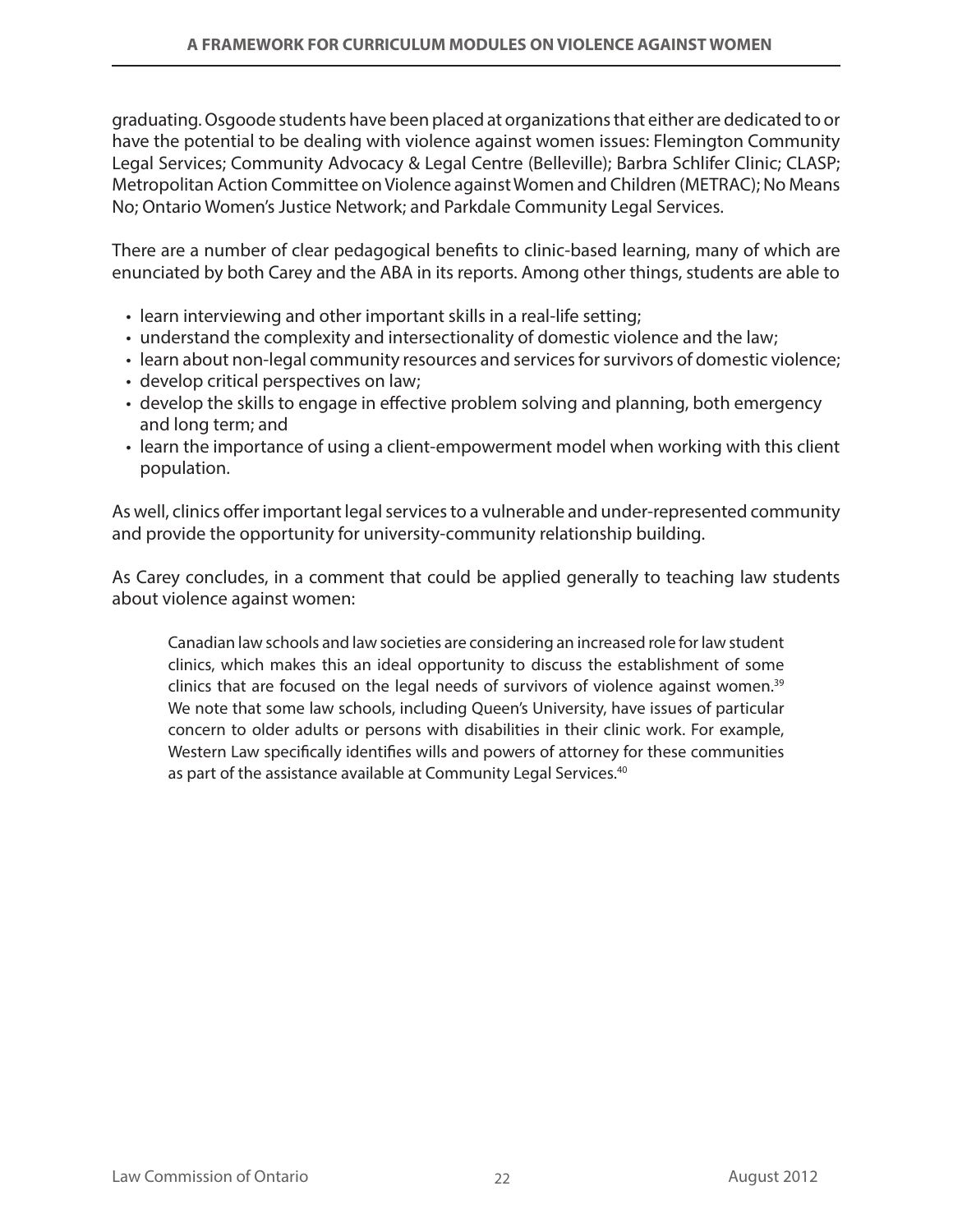graduating. Osgoode students have been placed at organizations that either are dedicated to or have the potential to be dealing with violence against women issues: Flemington Community Legal Services; Community Advocacy & Legal Centre (Belleville); Barbra Schlifer Clinic; CLASP; Metropolitan Action Committee on Violence against Women and Children (METRAC); No Means No; Ontario Women's Justice Network; and Parkdale Community Legal Services.

There are a number of clear pedagogical benefits to clinic-based learning, many of which are enunciated by both Carey and the ABA in its reports. Among other things, students are able to

- learn interviewing and other important skills in a real-life setting;
- understand the complexity and intersectionality of domestic violence and the law;
- learn about non-legal community resources and services for survivors of domestic violence;
- develop critical perspectives on law;
- develop the skills to engage in effective problem solving and planning, both emergency and long term; and
- learn the importance of using a client-empowerment model when working with this client population.

As well, clinics offer important legal services to a vulnerable and under-represented community and provide the opportunity for university-community relationship building.

As Carey concludes, in a comment that could be applied generally to teaching law students about violence against women:

Canadian law schools and law societies are considering an increased role for law student clinics, which makes this an ideal opportunity to discuss the establishment of some clinics that are focused on the legal needs of survivors of violence against women.<sup>39</sup> We note that some law schools, including Queen's University, have issues of particular concern to older adults or persons with disabilities in their clinic work. For example, Western Law specifically identifies wills and powers of attorney for these communities as part of the assistance available at Community Legal Services.<sup>40</sup>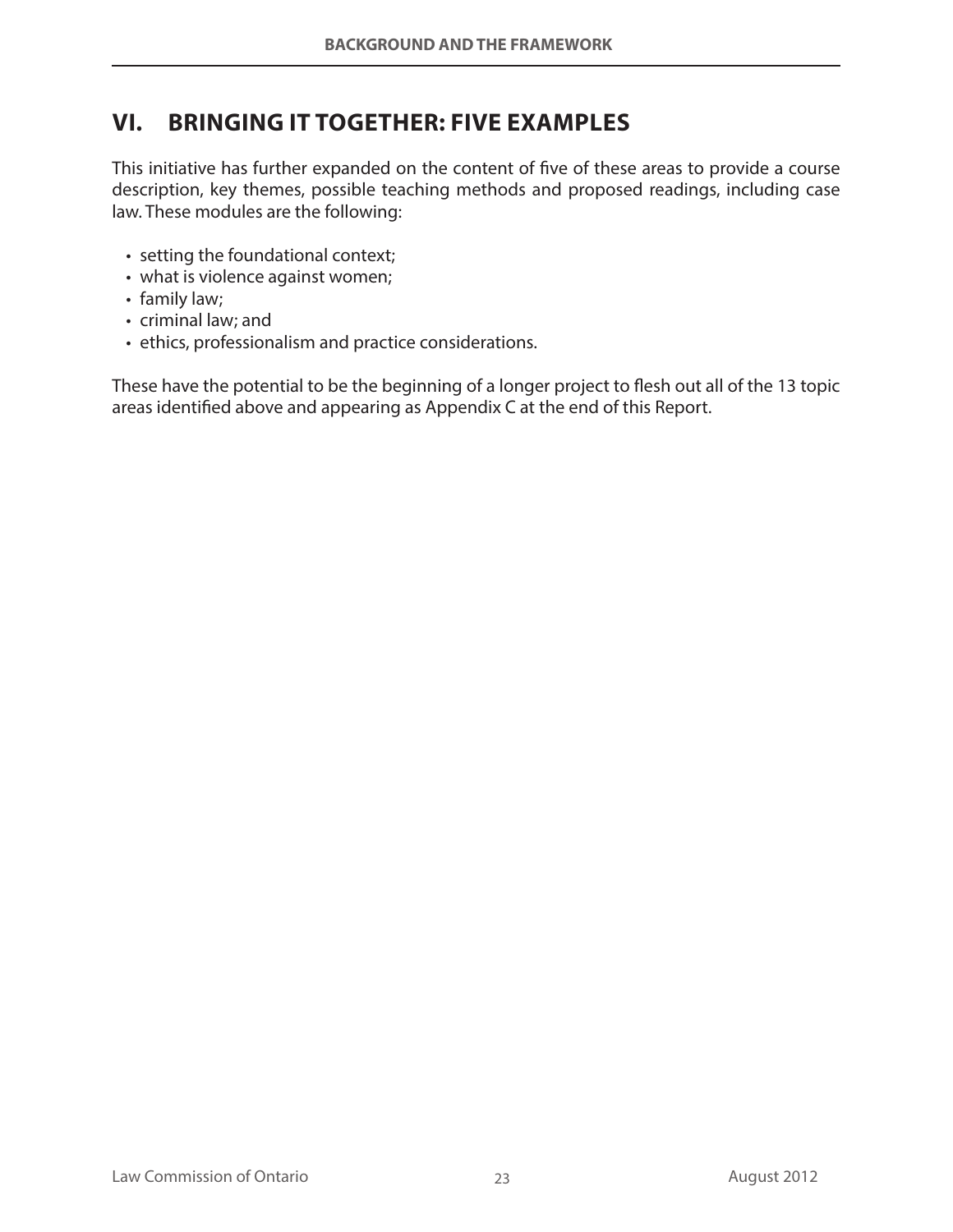## **VI. BRINGING IT TOGETHER: FIVE EXAMPLES**

This initiative has further expanded on the content of five of these areas to provide a course description, key themes, possible teaching methods and proposed readings, including case law. These modules are the following:

- setting the foundational context;
- what is violence against women;
- family law;
- • criminal law; and
- ethics, professionalism and practice considerations.

These have the potential to be the beginning of a longer project to flesh out all of the 13 topic areas identified above and appearing as Appendix C at the end of this Report.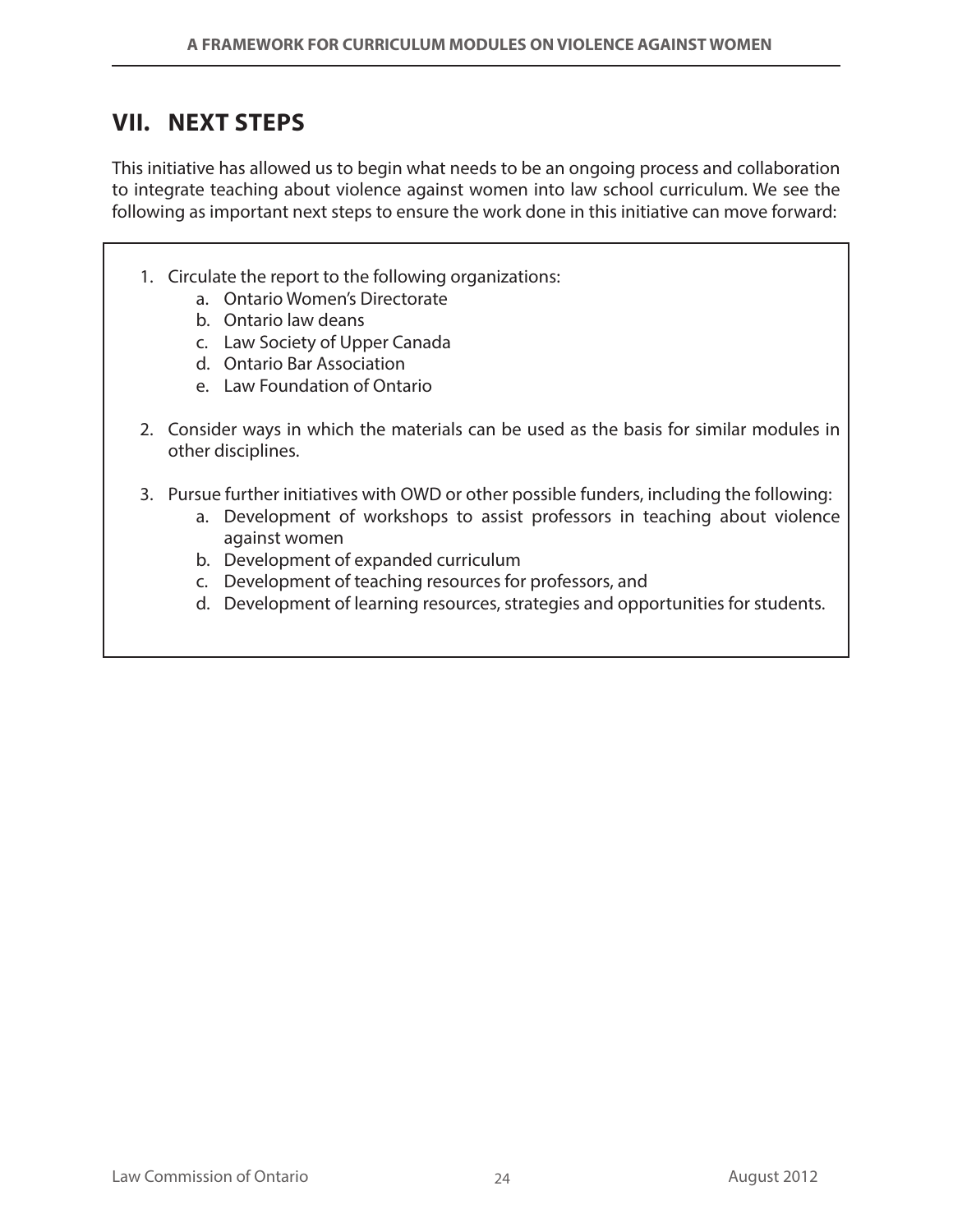## **VII. NEXT STEPS**

This initiative has allowed us to begin what needs to be an ongoing process and collaboration to integrate teaching about violence against women into law school curriculum. We see the following as important next steps to ensure the work done in this initiative can move forward:

- 1. Circulate the report to the following organizations:
	- a. Ontario Women's Directorate
	- b. Ontario law deans
	- c. Law Society of Upper Canada
	- d. Ontario Bar Association
	- e. Law Foundation of Ontario
- 2. Consider ways in which the materials can be used as the basis for similar modules in other disciplines.
- 3. Pursue further initiatives with OWD or other possible funders, including the following:
	- a. Development of workshops to assist professors in teaching about violence against women
	- b. Development of expanded curriculum
	- c. Development of teaching resources for professors, and
	- d. Development of learning resources, strategies and opportunities for students.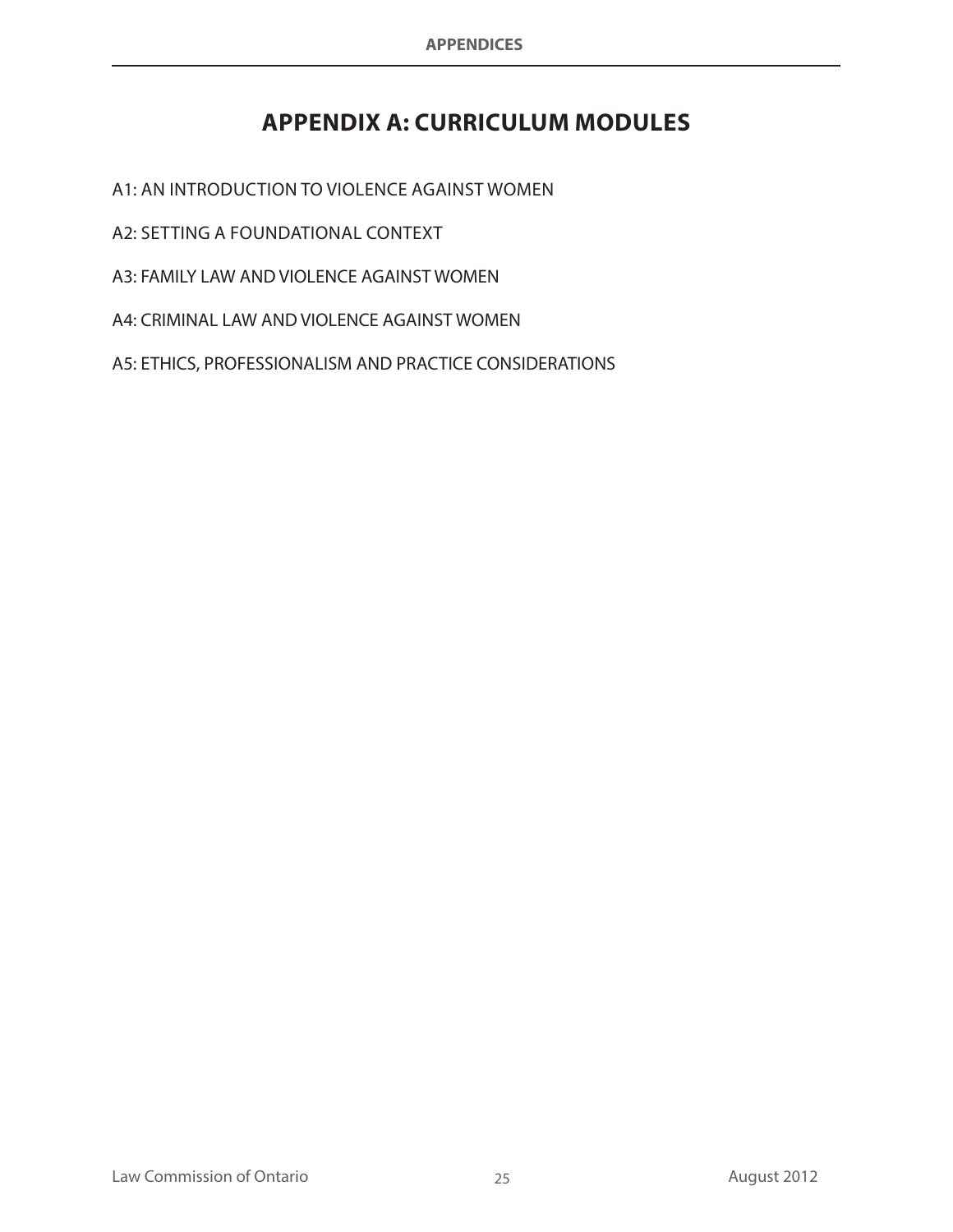# **APPENDIX A: Curriculum Modules**

A1: An Introduction to Violence against Women

A2: Setting a Foundational Context

A3: FAMILY LAW AND VIOLENCE AGAINST WOMEN

A4: CRIMINAL LAW AND VIOLENCE AGAINST WOMEN

A5: ETHICS, PROFESSIONALISM AND PRACTICE CONSIDERATIONS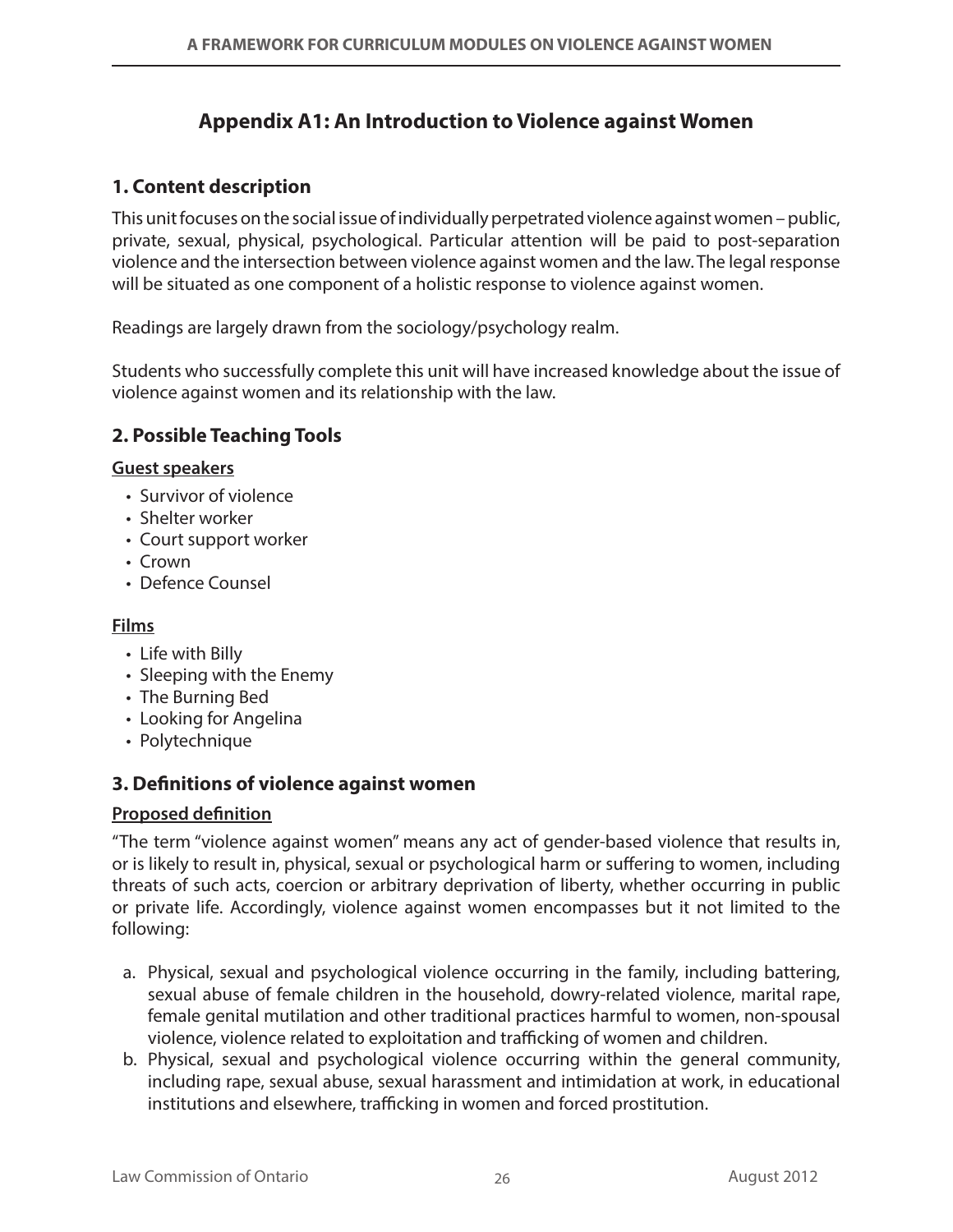## **Appendix A1: An Introduction to Violence against Women**

## **1. Content description**

This unit focuses on the social issue of individually perpetrated violence against women – public, private, sexual, physical, psychological. Particular attention will be paid to post-separation violence and the intersection between violence against women and the law. The legal response will be situated as one component of a holistic response to violence against women.

Readings are largely drawn from the sociology/psychology realm.

Students who successfully complete this unit will have increased knowledge about the issue of violence against women and its relationship with the law.

## **2. Possible Teaching Tools**

#### **Guest speakers**

- • Survivor of violence
- Shelter worker
- Court support worker
- • Crown
- Defence Counsel

#### **Films**

- Life with Billy
- Sleeping with the Enemy
- The Burning Bed
- Looking for Angelina
- Polytechnique

## **3. Definitions of violence against women**

#### **Proposed definition**

"The term "violence against women" means any act of gender-based violence that results in, or is likely to result in, physical, sexual or psychological harm or suffering to women, including threats of such acts, coercion or arbitrary deprivation of liberty, whether occurring in public or private life. Accordingly, violence against women encompasses but it not limited to the following:

- a. Physical, sexual and psychological violence occurring in the family, including battering, sexual abuse of female children in the household, dowry-related violence, marital rape, female genital mutilation and other traditional practices harmful to women, non-spousal violence, violence related to exploitation and trafficking of women and children.
- b. Physical, sexual and psychological violence occurring within the general community, including rape, sexual abuse, sexual harassment and intimidation at work, in educational institutions and elsewhere, trafficking in women and forced prostitution.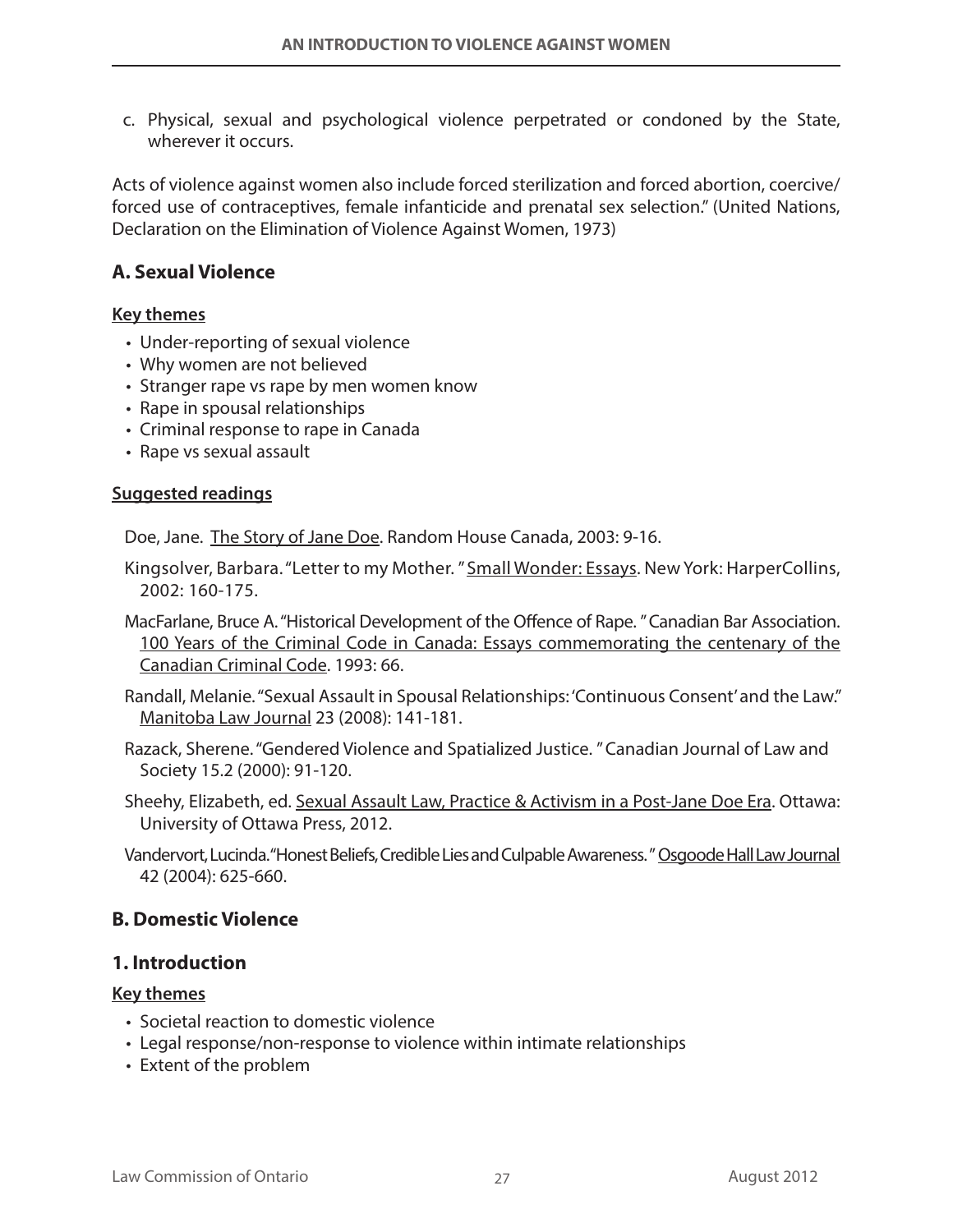c. Physical, sexual and psychological violence perpetrated or condoned by the State, wherever it occurs.

Acts of violence against women also include forced sterilization and forced abortion, coercive/ forced use of contraceptives, female infanticide and prenatal sex selection." (United Nations, Declaration on the Elimination of Violence Against Women, 1973)

### **A. Sexual Violence**

#### **Key themes**

- Under-reporting of sexual violence
- Why women are not believed
- Stranger rape vs rape by men women know
- Rape in spousal relationships
- Criminal response to rape in Canada
- Rape vs sexual assault

#### **Suggested readings**

Doe, Jane. The Story of Jane Doe. Random House Canada, 2003: 9-16.

- Kingsolver, Barbara. "Letter to my Mother. " Small Wonder: Essays. New York: HarperCollins, 2002: 160-175.
- MacFarlane, Bruce A. "Historical Development of the Offence of Rape. " Canadian Bar Association. 100 Years of the Criminal Code in Canada: Essays commemorating the centenary of the Canadian Criminal Code. 1993: 66.
- Randall, Melanie. "Sexual Assault in Spousal Relationships: 'Continuous Consent' and the Law." Manitoba Law Journal 23 (2008): 141-181.
- Razack, Sherene. "Gendered Violence and Spatialized Justice. " Canadian Journal of Law and Society 15.2 (2000): 91-120.
- Sheehy, Elizabeth, ed. Sexual Assault Law, Practice & Activism in a Post-Jane Doe Era. Ottawa: University of Ottawa Press, 2012.
- Vandervort, Lucinda. "Honest Beliefs, Credible Lies and Culpable Awareness. " Osgoode Hall Law Journal 42 (2004): 625-660.

#### **B. Domestic Violence**

#### **1. Introduction**

#### **Key themes**

- Societal reaction to domestic violence
- Legal response/non-response to violence within intimate relationships
- Extent of the problem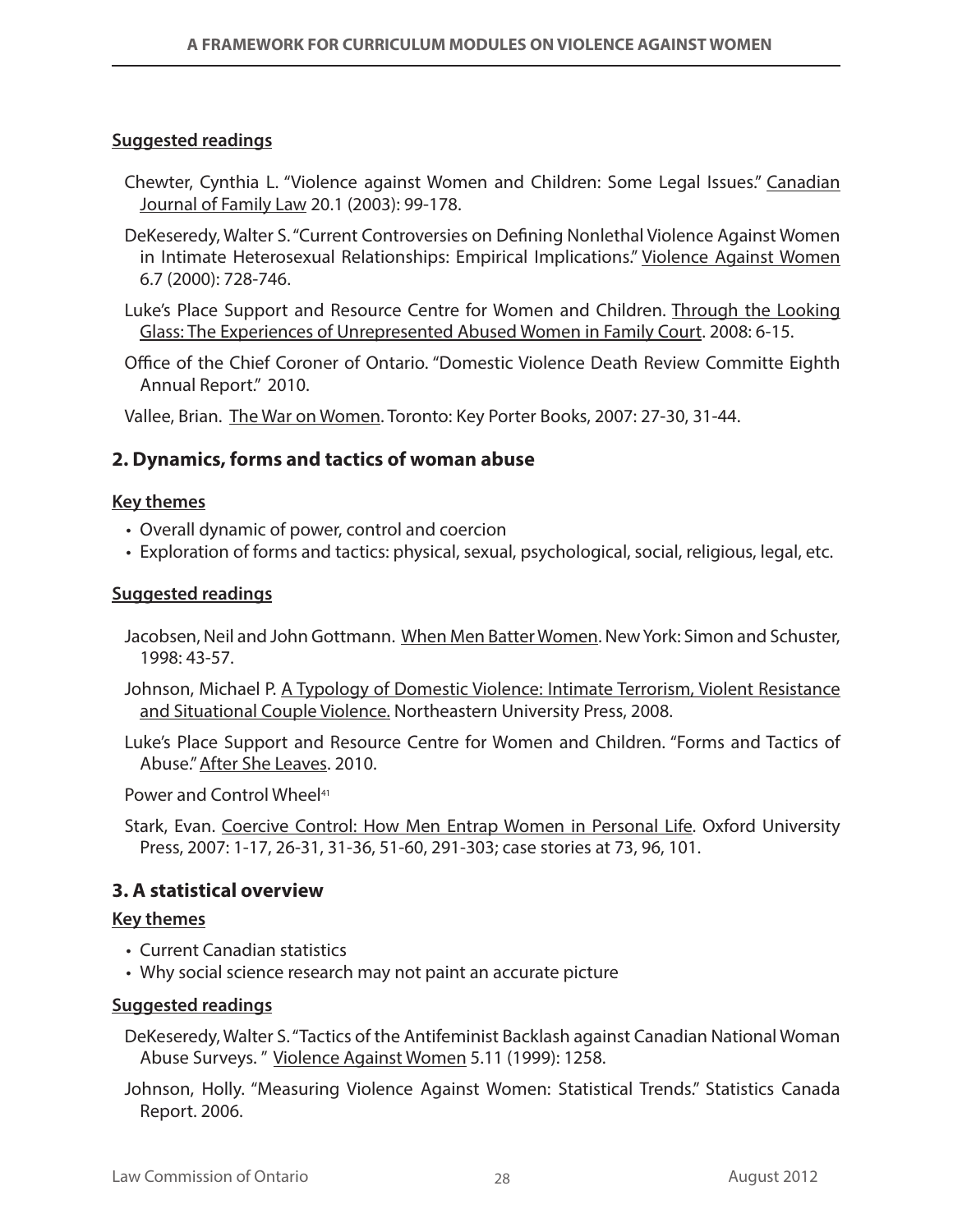#### **Suggested readings**

- Chewter, Cynthia L. "Violence against Women and Children: Some Legal Issues." Canadian Journal of Family Law 20.1 (2003): 99-178.
- DeKeseredy, Walter S. "Current Controversies on Defining Nonlethal Violence Against Women in Intimate Heterosexual Relationships: Empirical Implications." Violence Against Women 6.7 (2000): 728-746.
- Luke's Place Support and Resource Centre for Women and Children. Through the Looking Glass: The Experiences of Unrepresented Abused Women in Family Court. 2008: 6-15.
- Office of the Chief Coroner of Ontario. "Domestic Violence Death Review Committe Eighth Annual Report." 2010.

Vallee, Brian. The War on Women. Toronto: Key Porter Books, 2007: 27-30, 31-44.

### **2. Dynamics, forms and tactics of woman abuse**

#### **Key themes**

- Overall dynamic of power, control and coercion
- Exploration of forms and tactics: physical, sexual, psychological, social, religious, legal, etc.

#### **Suggested readings**

- Jacobsen, Neil and John Gottmann. When Men Batter Women. New York: Simon and Schuster, 1998: 43-57.
- Johnson, Michael P. A Typology of Domestic Violence: Intimate Terrorism, Violent Resistance and Situational Couple Violence. Northeastern University Press, 2008.
- Luke's Place Support and Resource Centre for Women and Children. "Forms and Tactics of Abuse." After She Leaves. 2010.

Power and Control Wheel<sup>41</sup>

Stark, Evan. Coercive Control: How Men Entrap Women in Personal Life. Oxford University Press, 2007: 1-17, 26-31, 31-36, 51-60, 291-303; case stories at 73, 96, 101.

#### **3. A statistical overview**

#### **Key themes**

- Current Canadian statistics
- Why social science research may not paint an accurate picture

#### **Suggested readings**

DeKeseredy, Walter S. "Tactics of the Antifeminist Backlash against Canadian National Woman Abuse Surveys. " Violence Against Women 5.11 (1999): 1258.

Johnson, Holly. "Measuring Violence Against Women: Statistical Trends." Statistics Canada Report. 2006.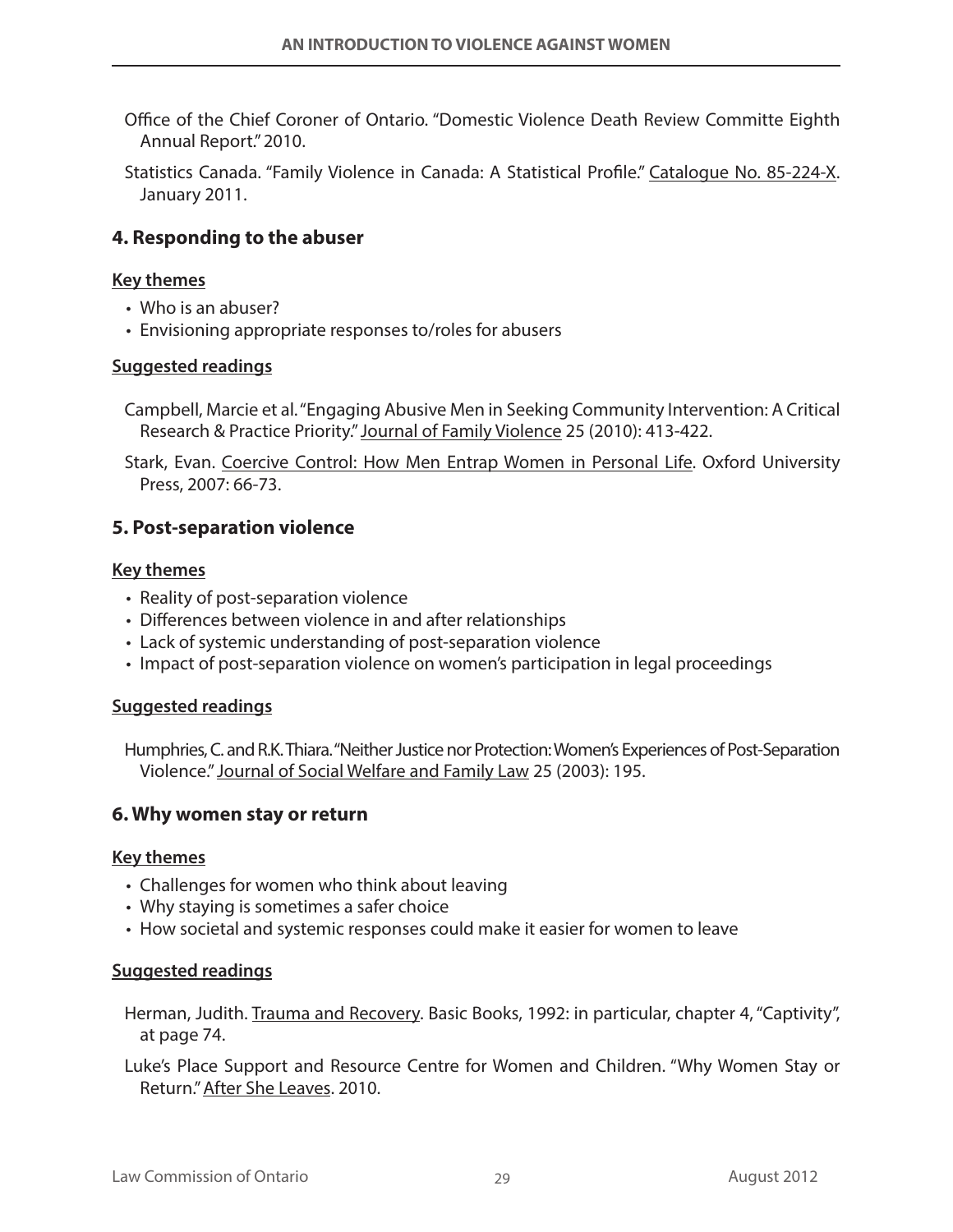- Office of the Chief Coroner of Ontario. "Domestic Violence Death Review Committe Eighth Annual Report." 2010.
- Statistics Canada. "Family Violence in Canada: A Statistical Profile." Catalogue No. 85-224-X. January 2011.

#### **4. Responding to the abuser**

#### **Key themes**

- Who is an abuser?
- Envisioning appropriate responses to/roles for abusers

#### **Suggested readings**

- Campbell, Marcie et al. "Engaging Abusive Men in Seeking Community Intervention: A Critical Research & Practice Priority." Journal of Family Violence 25 (2010): 413-422.
- Stark, Evan. Coercive Control: How Men Entrap Women in Personal Life. Oxford University Press, 2007: 66-73.

#### **5. Post-separation violence**

#### **Key themes**

- Reality of post-separation violence
- Differences between violence in and after relationships
- Lack of systemic understanding of post-separation violence
- • Impact of post-separation violence on women's participation in legal proceedings

#### **Suggested readings**

Humphries, C. and R.K. Thiara. "Neither Justice nor Protection: Women's Experiences of Post-Separation Violence." Journal of Social Welfare and Family Law 25 (2003): 195.

#### **6. Why women stay or return**

#### **Key themes**

- Challenges for women who think about leaving
- Why staying is sometimes a safer choice
- • How societal and systemic responses could make it easier for women to leave

#### **Suggested readings**

- Herman, Judith. Trauma and Recovery. Basic Books, 1992: in particular, chapter 4, "Captivity", at page 74.
- Luke's Place Support and Resource Centre for Women and Children. "Why Women Stay or Return." After She Leaves. 2010.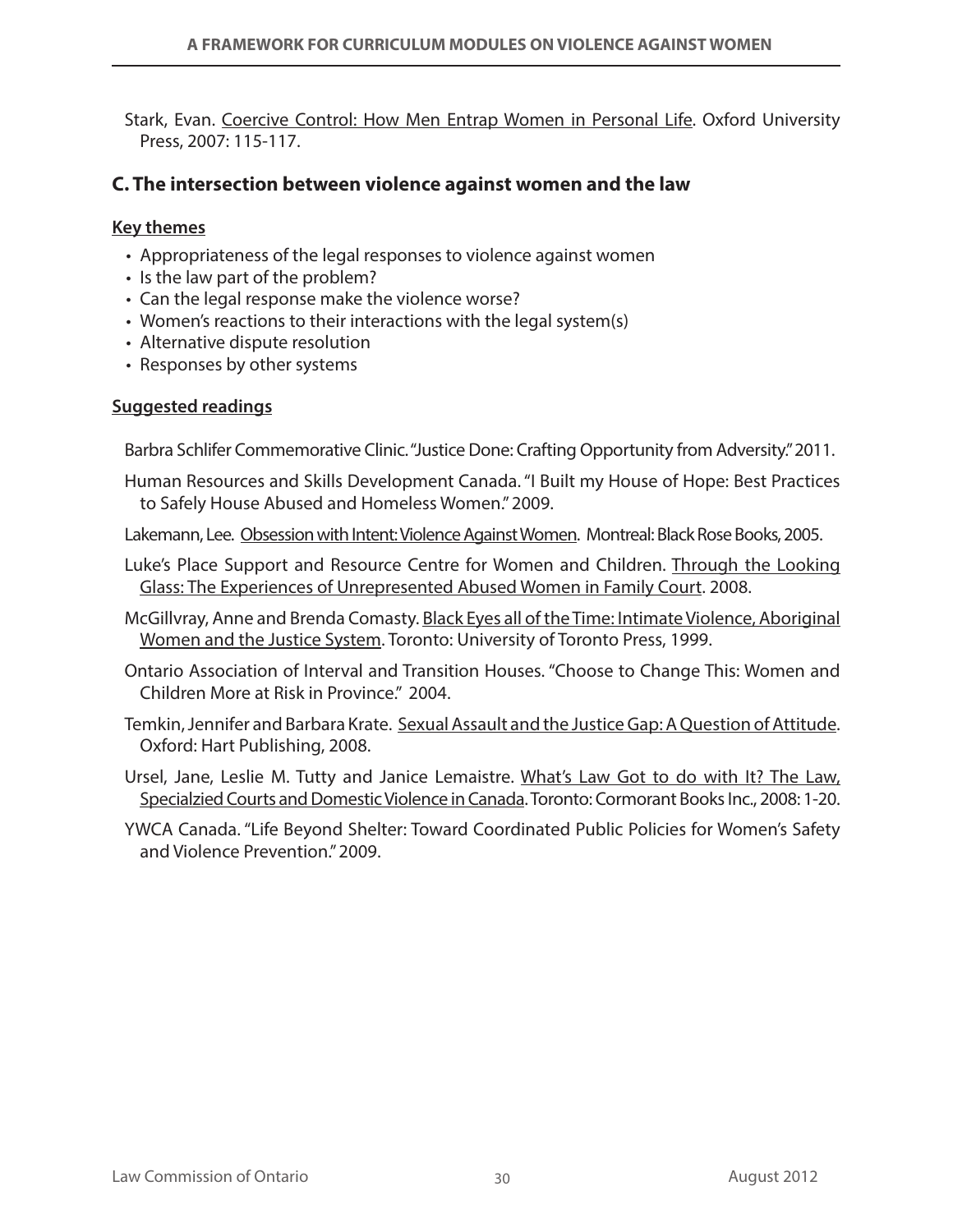Stark, Evan. Coercive Control: How Men Entrap Women in Personal Life. Oxford University Press, 2007: 115-117.

#### **C. The intersection between violence against women and the law**

#### **Key themes**

- Appropriateness of the legal responses to violence against women
- Is the law part of the problem?
- Can the legal response make the violence worse?
- Women's reactions to their interactions with the legal system(s)
- Alternative dispute resolution
- Responses by other systems

#### **Suggested readings**

Barbra Schlifer Commemorative Clinic. "Justice Done: Crafting Opportunity from Adversity." 2011.

- Human Resources and Skills Development Canada. "I Built my House of Hope: Best Practices to Safely House Abused and Homeless Women." 2009.
- Lakemann, Lee. Obsession with Intent: Violence Against Women. Montreal: Black Rose Books, 2005.
- Luke's Place Support and Resource Centre for Women and Children. Through the Looking Glass: The Experiences of Unrepresented Abused Women in Family Court. 2008.
- McGillvray, Anne and Brenda Comasty. Black Eyes all of the Time: Intimate Violence, Aboriginal Women and the Justice System. Toronto: University of Toronto Press, 1999.
- Ontario Association of Interval and Transition Houses. "Choose to Change This: Women and Children More at Risk in Province." 2004.
- Temkin, Jennifer and Barbara Krate. Sexual Assault and the Justice Gap: A Question of Attitude. Oxford: Hart Publishing, 2008.
- Ursel, Jane, Leslie M. Tutty and Janice Lemaistre. What's Law Got to do with It? The Law, Specialzied Courts and Domestic Violence in Canada. Toronto: Cormorant Books Inc., 2008: 1-20.
- YWCA Canada. "Life Beyond Shelter: Toward Coordinated Public Policies for Women's Safety and Violence Prevention." 2009.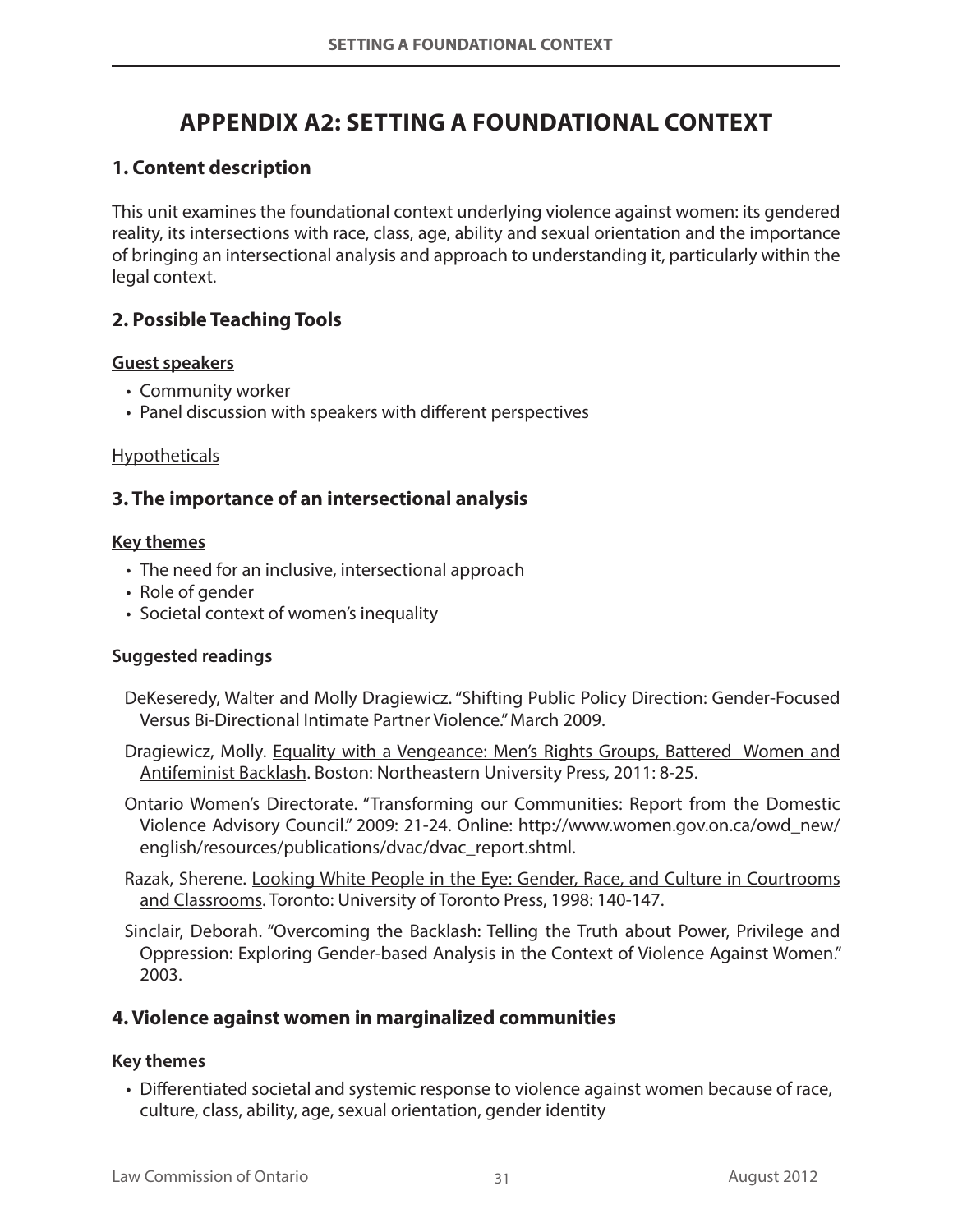# **Appendix A2: Setting a Foundational Context**

## **1. Content description**

This unit examines the foundational context underlying violence against women: its gendered reality, its intersections with race, class, age, ability and sexual orientation and the importance of bringing an intersectional analysis and approach to understanding it, particularly within the legal context.

## **2. Possible Teaching Tools**

#### **Guest speakers**

- • Community worker
- Panel discussion with speakers with different perspectives

#### **Hypotheticals**

## **3. The importance of an intersectional analysis**

#### **Key themes**

- The need for an inclusive, intersectional approach
- Role of gender
- Societal context of women's inequality

#### **Suggested readings**

- DeKeseredy, Walter and Molly Dragiewicz. "Shifting Public Policy Direction: Gender-Focused Versus Bi-Directional Intimate Partner Violence." March 2009.
- Dragiewicz, Molly. Equality with a Vengeance: Men's Rights Groups, Battered Women and Antifeminist Backlash. Boston: Northeastern University Press, 2011: 8-25.
- Ontario Women's Directorate. "Transforming our Communities: Report from the Domestic Violence Advisory Council." 2009: 21-24. Online: http://www.women.gov.on.ca/owd\_new/ english/resources/publications/dvac/dvac\_report.shtml.

Razak, Sherene. Looking White People in the Eye: Gender, Race, and Culture in Courtrooms and Classrooms. Toronto: University of Toronto Press, 1998: 140-147.

Sinclair, Deborah. "Overcoming the Backlash: Telling the Truth about Power, Privilege and Oppression: Exploring Gender-based Analysis in the Context of Violence Against Women." 2003.

## **4. Violence against women in marginalized communities**

#### **Key themes**

• Differentiated societal and systemic response to violence against women because of race, culture, class, ability, age, sexual orientation, gender identity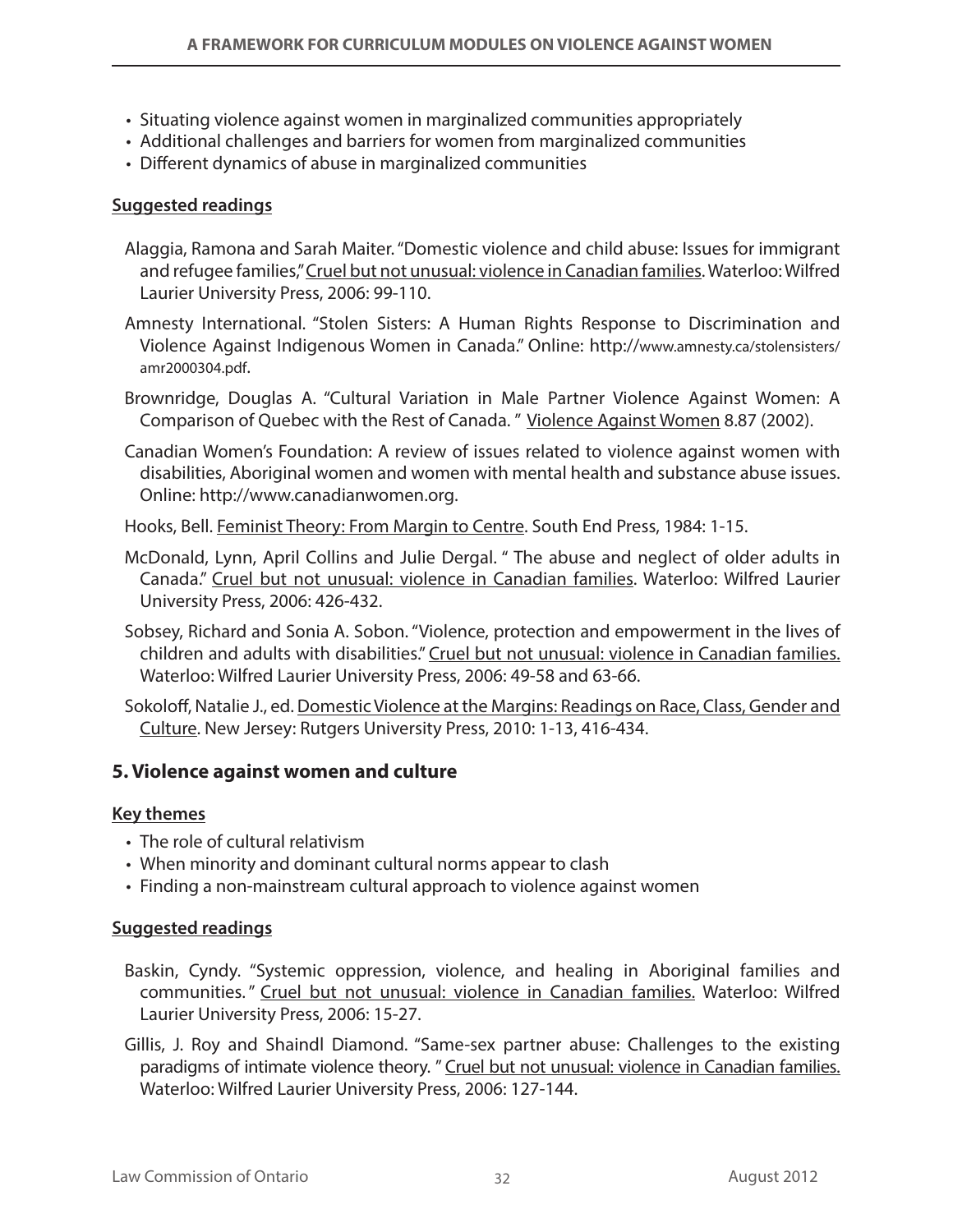- Situating violence against women in marginalized communities appropriately
- • Additional challenges and barriers for women from marginalized communities
- • Different dynamics of abuse in marginalized communities

#### **Suggested readings**

- Alaggia, Ramona and Sarah Maiter. "Domestic violence and child abuse: Issues for immigrant and refugee families," Cruel but not unusual: violence in Canadian families. Waterloo: Wilfred Laurier University Press, 2006: 99-110.
- Amnesty International. "Stolen Sisters: A Human Rights Response to Discrimination and Violence Against Indigenous Women in Canada." Online: http://www.amnesty.ca/stolensisters/ amr2000304.pdf.
- Brownridge, Douglas A. "Cultural Variation in Male Partner Violence Against Women: A Comparison of Quebec with the Rest of Canada. " Violence Against Women 8.87 (2002).
- Canadian Women's Foundation: A review of issues related to violence against women with disabilities, Aboriginal women and women with mental health and substance abuse issues. Online: http://www.canadianwomen.org.
- Hooks, Bell. Feminist Theory: From Margin to Centre. South End Press, 1984: 1-15.
- McDonald, Lynn, April Collins and Julie Dergal. " The abuse and neglect of older adults in Canada." Cruel but not unusual: violence in Canadian families. Waterloo: Wilfred Laurier University Press, 2006: 426-432.
- Sobsey, Richard and Sonia A. Sobon. "Violence, protection and empowerment in the lives of children and adults with disabilities." Cruel but not unusual: violence in Canadian families. Waterloo: Wilfred Laurier University Press, 2006: 49-58 and 63-66.
- Sokoloff, Natalie J., ed. Domestic Violence at the Margins: Readings on Race, Class, Gender and Culture. New Jersey: Rutgers University Press, 2010: 1-13, 416-434.

#### **5. Violence against women and culture**

#### **Key themes**

- The role of cultural relativism
- When minority and dominant cultural norms appear to clash
- Finding a non-mainstream cultural approach to violence against women

#### **Suggested readings**

- Baskin, Cyndy. "Systemic oppression, violence, and healing in Aboriginal families and communities." Cruel but not unusual: violence in Canadian families. Waterloo: Wilfred Laurier University Press, 2006: 15-27.
- Gillis, J. Roy and Shaindl Diamond. "Same-sex partner abuse: Challenges to the existing paradigms of intimate violence theory. " Cruel but not unusual: violence in Canadian families. Waterloo: Wilfred Laurier University Press, 2006: 127-144.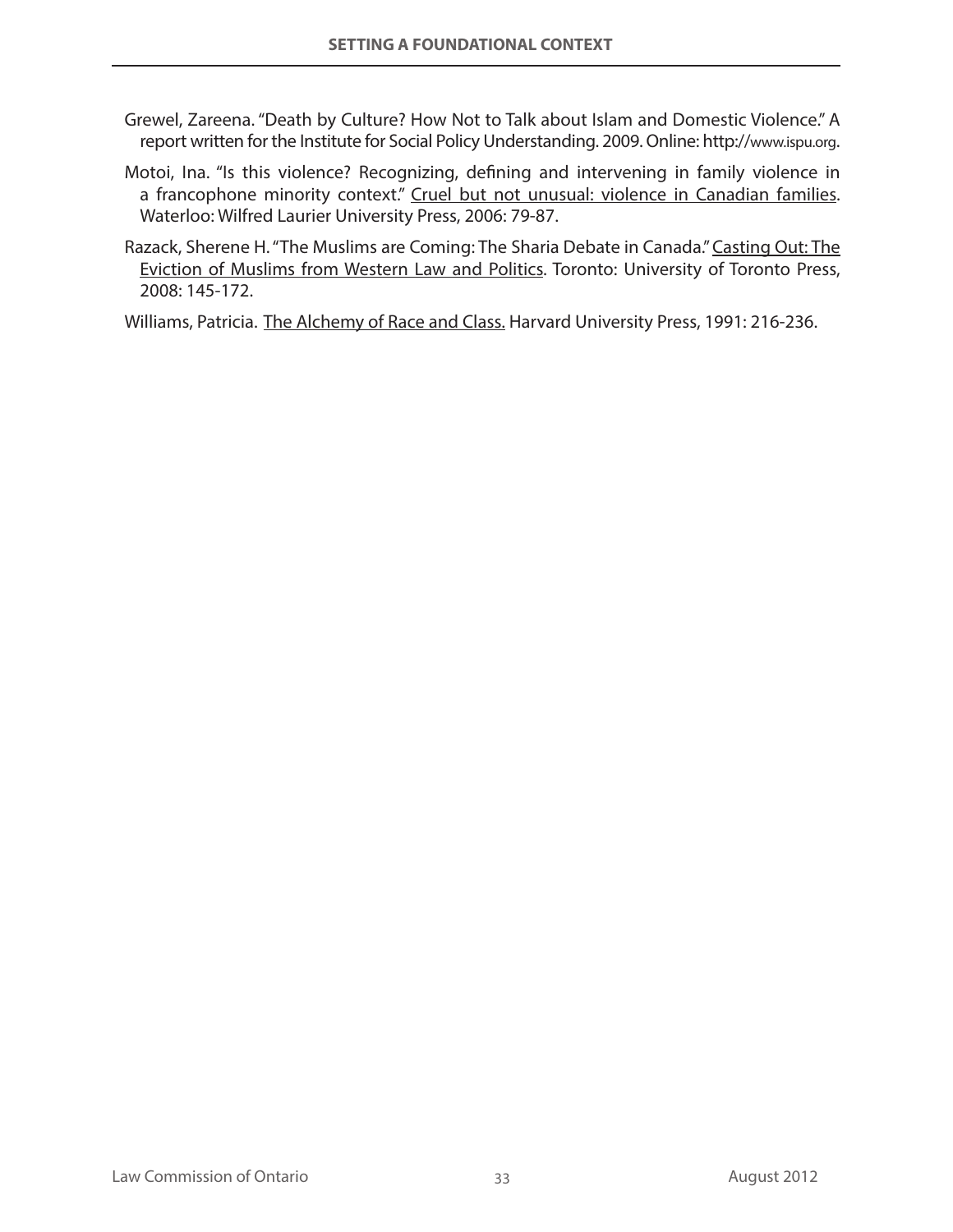- Grewel, Zareena. "Death by Culture? How Not to Talk about Islam and Domestic Violence." A report written for the Institute for Social Policy Understanding. 2009. Online: http://www.ispu.org.
- Motoi, Ina. "Is this violence? Recognizing, defining and intervening in family violence in a francophone minority context." Cruel but not unusual: violence in Canadian families. Waterloo: Wilfred Laurier University Press, 2006: 79-87.
- Razack, Sherene H. "The Muslims are Coming: The Sharia Debate in Canada." Casting Out: The Eviction of Muslims from Western Law and Politics. Toronto: University of Toronto Press, 2008: 145-172.

Williams, Patricia. The Alchemy of Race and Class. Harvard University Press, 1991: 216-236.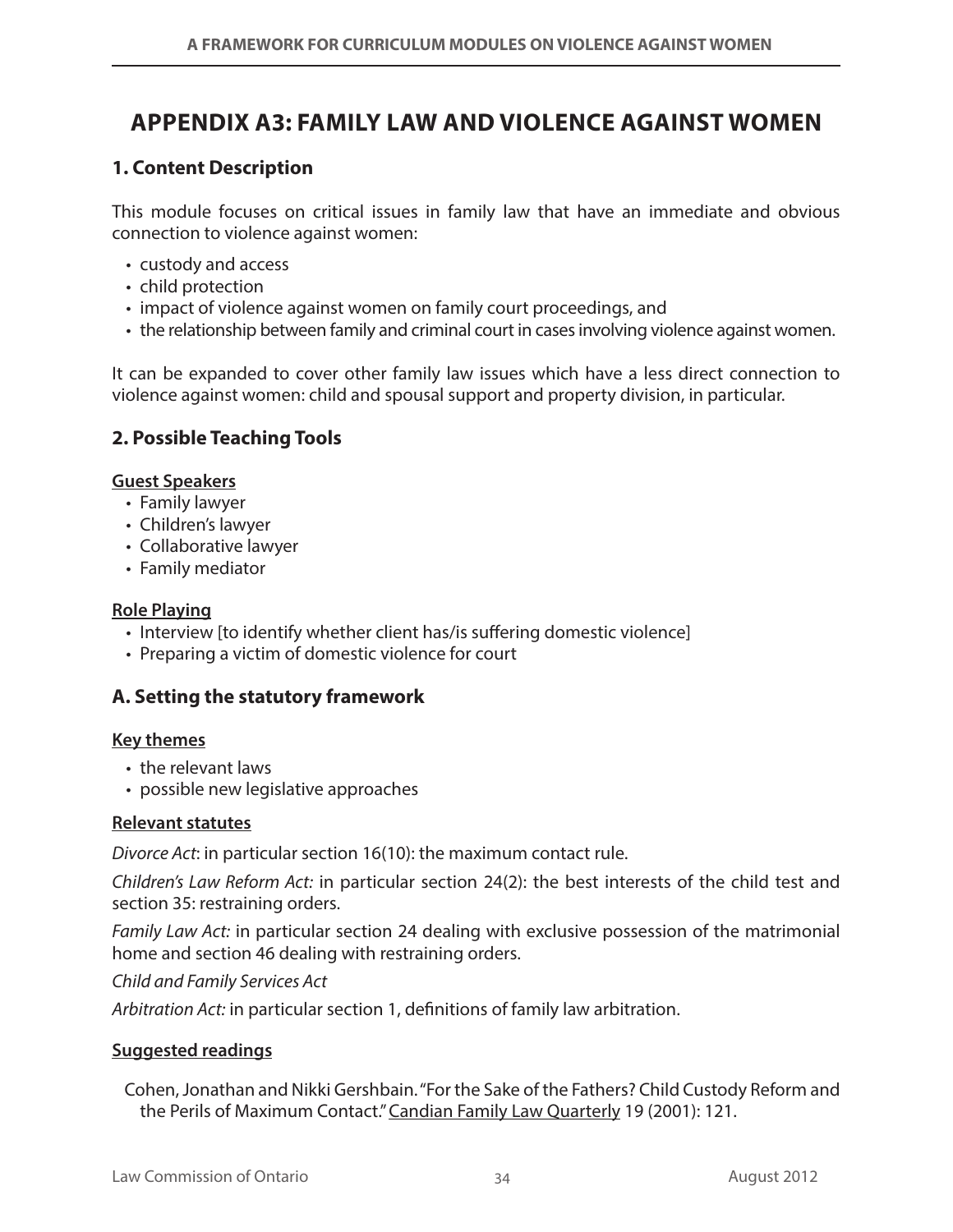# **Appendix A3: Family Law and Violence against Women**

## **1. Content Description**

This module focuses on critical issues in family law that have an immediate and obvious connection to violence against women:

- • custody and access
- child protection
- impact of violence against women on family court proceedings, and
- the relationship between family and criminal court in cases involving violence against women.

It can be expanded to cover other family law issues which have a less direct connection to violence against women: child and spousal support and property division, in particular.

### **2. Possible Teaching Tools**

#### **Guest Speakers**

- Family lawyer
- Children's lawyer
- • Collaborative lawyer
- Family mediator

#### **Role Playing**

- Interview [to identify whether client has/is suffering domestic violence]
- Preparing a victim of domestic violence for court

#### **A. Setting the statutory framework**

#### **Key themes**

- the relevant laws
- possible new legislative approaches

#### **Relevant statutes**

*Divorce Act*: in particular section 16(10): the maximum contact rule.

*Children's Law Reform Act:* in particular section 24(2): the best interests of the child test and section 35: restraining orders.

*Family Law Act:* in particular section 24 dealing with exclusive possession of the matrimonial home and section 46 dealing with restraining orders.

*Child and Family Services Act*

*Arbitration Act:* in particular section 1, definitions of family law arbitration.

#### **Suggested readings**

Cohen, Jonathan and Nikki Gershbain. "For the Sake of the Fathers? Child Custody Reform and the Perils of Maximum Contact." Candian Family Law Quarterly 19 (2001): 121.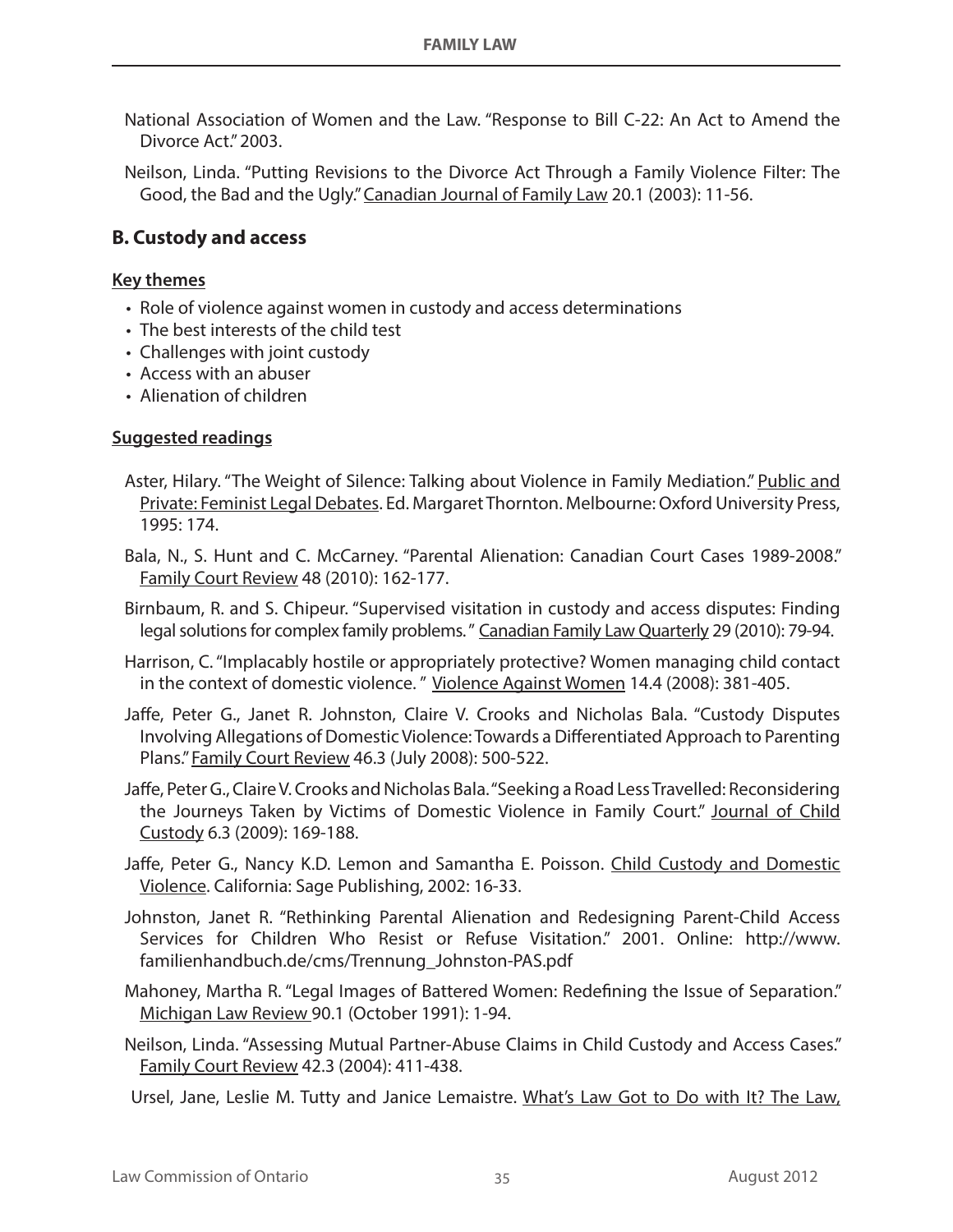- National Association of Women and the Law. "Response to Bill C-22: An Act to Amend the Divorce Act." 2003.
- Neilson, Linda. "Putting Revisions to the Divorce Act Through a Family Violence Filter: The Good, the Bad and the Ugly." Canadian Journal of Family Law 20.1 (2003): 11-56.

### **B. Custody and access**

#### **Key themes**

- Role of violence against women in custody and access determinations
- The best interests of the child test
- Challenges with joint custody
- Access with an abuser
- Alienation of children

#### **Suggested readings**

- Aster, Hilary. "The Weight of Silence: Talking about Violence in Family Mediation." Public and Private: Feminist Legal Debates. Ed. Margaret Thornton. Melbourne: Oxford University Press, 1995: 174.
- Bala, N., S. Hunt and C. McCarney. "Parental Alienation: Canadian Court Cases 1989-2008." Family Court Review 48 (2010): 162-177.
- Birnbaum, R. and S. Chipeur. "Supervised visitation in custody and access disputes: Finding legal solutions for complex family problems. " Canadian Family Law Quarterly 29 (2010): 79-94.
- Harrison, C. "Implacably hostile or appropriately protective? Women managing child contact in the context of domestic violence. " Violence Against Women 14.4 (2008): 381-405.
- Jaffe, Peter G., Janet R. Johnston, Claire V. Crooks and Nicholas Bala. "Custody Disputes Involving Allegations of Domestic Violence: Towards a Differentiated Approach to Parenting Plans." Family Court Review 46.3 (July 2008): 500-522.
- Jaffe, Peter G., Claire V. Crooks and Nicholas Bala. "Seeking a Road Less Travelled: Reconsidering the Journeys Taken by Victims of Domestic Violence in Family Court." Journal of Child Custody 6.3 (2009): 169-188.
- Jaffe, Peter G., Nancy K.D. Lemon and Samantha E. Poisson. Child Custody and Domestic Violence. California: Sage Publishing, 2002: 16-33.
- Johnston, Janet R. "Rethinking Parental Alienation and Redesigning Parent-Child Access Services for Children Who Resist or Refuse Visitation." 2001. Online: http://www. familienhandbuch.de/cms/Trennung\_Johnston-PAS.pdf
- Mahoney, Martha R. "Legal Images of Battered Women: Redefining the Issue of Separation." Michigan Law Review 90.1 (October 1991): 1-94.
- Neilson, Linda. "Assessing Mutual Partner-Abuse Claims in Child Custody and Access Cases." Family Court Review 42.3 (2004): 411-438.

Ursel, Jane, Leslie M. Tutty and Janice Lemaistre. What's Law Got to Do with It? The Law,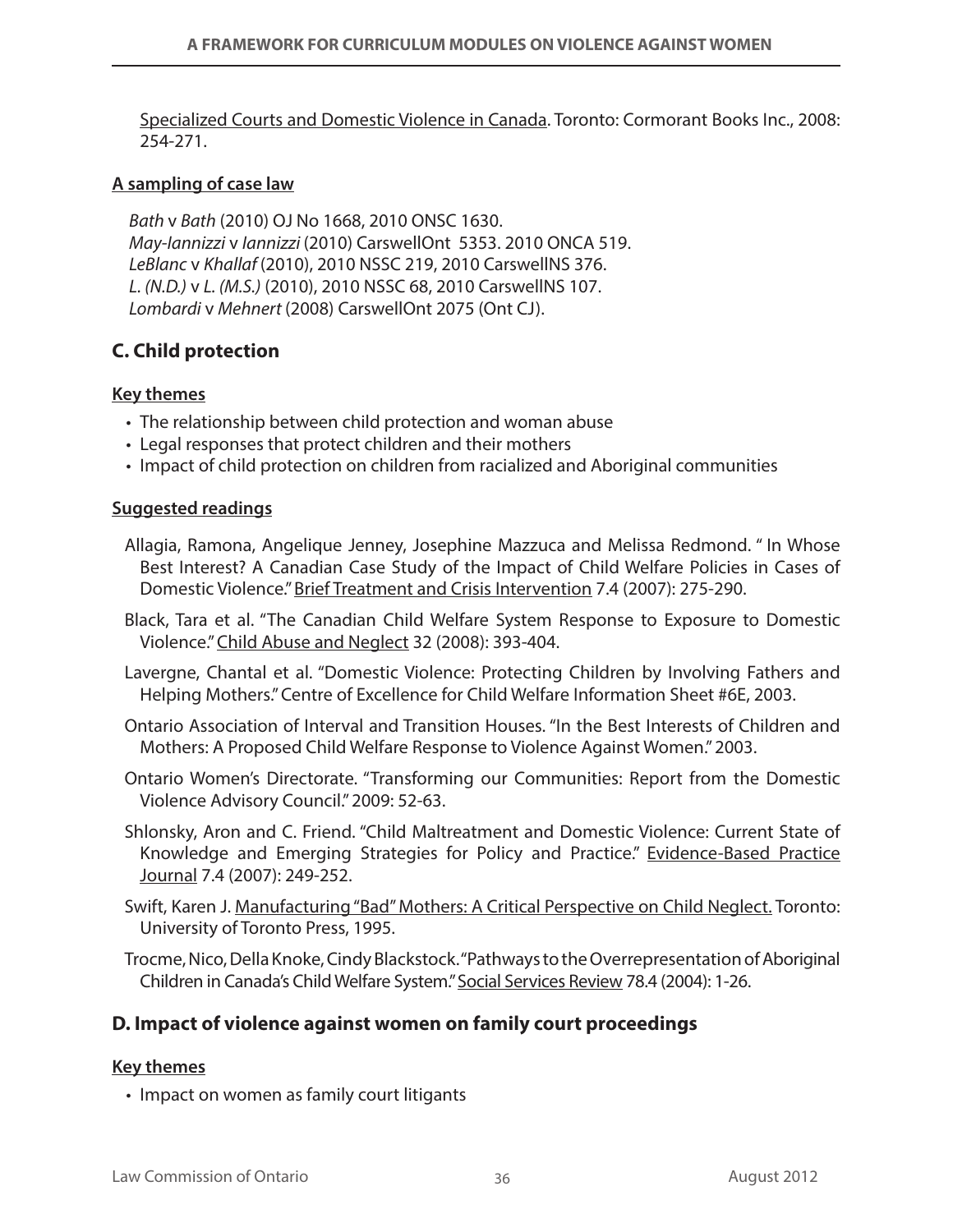Specialized Courts and Domestic Violence in Canada. Toronto: Cormorant Books Inc., 2008: 254-271.

#### **A sampling of case law**

*Bath* v *Bath* (2010) OJ No 1668, 2010 ONSC 1630. *May-Iannizzi* v *Iannizzi* (2010) CarswellOnt 5353. 2010 ONCA 519. *LeBlanc* v *Khallaf* (2010), 2010 NSSC 219, 2010 CarswellNS 376. *L. (N.D.)* v *L. (M.S.)* (2010), 2010 NSSC 68, 2010 CarswellNS 107. *Lombardi* v *Mehnert* (2008) CarswellOnt 2075 (Ont CJ).

## **C. Child protection**

#### **Key themes**

- The relationship between child protection and woman abuse
- Legal responses that protect children and their mothers
- • Impact of child protection on children from racialized and Aboriginal communities

#### **Suggested readings**

- Allagia, Ramona, Angelique Jenney, Josephine Mazzuca and Melissa Redmond. " In Whose Best Interest? A Canadian Case Study of the Impact of Child Welfare Policies in Cases of Domestic Violence." Brief Treatment and Crisis Intervention 7.4 (2007): 275-290.
- Black, Tara et al. "The Canadian Child Welfare System Response to Exposure to Domestic Violence." Child Abuse and Neglect 32 (2008): 393-404.
- Lavergne, Chantal et al. "Domestic Violence: Protecting Children by Involving Fathers and Helping Mothers." Centre of Excellence for Child Welfare Information Sheet #6E, 2003.
- Ontario Association of Interval and Transition Houses. "In the Best Interests of Children and Mothers: A Proposed Child Welfare Response to Violence Against Women." 2003.
- Ontario Women's Directorate. "Transforming our Communities: Report from the Domestic Violence Advisory Council." 2009: 52-63.
- Shlonsky, Aron and C. Friend. "Child Maltreatment and Domestic Violence: Current State of Knowledge and Emerging Strategies for Policy and Practice." Evidence-Based Practice Journal 7.4 (2007): 249-252.
- Swift, Karen J. Manufacturing "Bad" Mothers: A Critical Perspective on Child Neglect. Toronto: University of Toronto Press, 1995.
- Trocme, Nico, Della Knoke, Cindy Blackstock. "Pathways to the Overrepresentation of Aboriginal Children in Canada's Child Welfare System." Social Services Review 78.4 (2004): 1-26.

#### **D. Impact of violence against women on family court proceedings**

#### **Key themes**

• Impact on women as family court litigants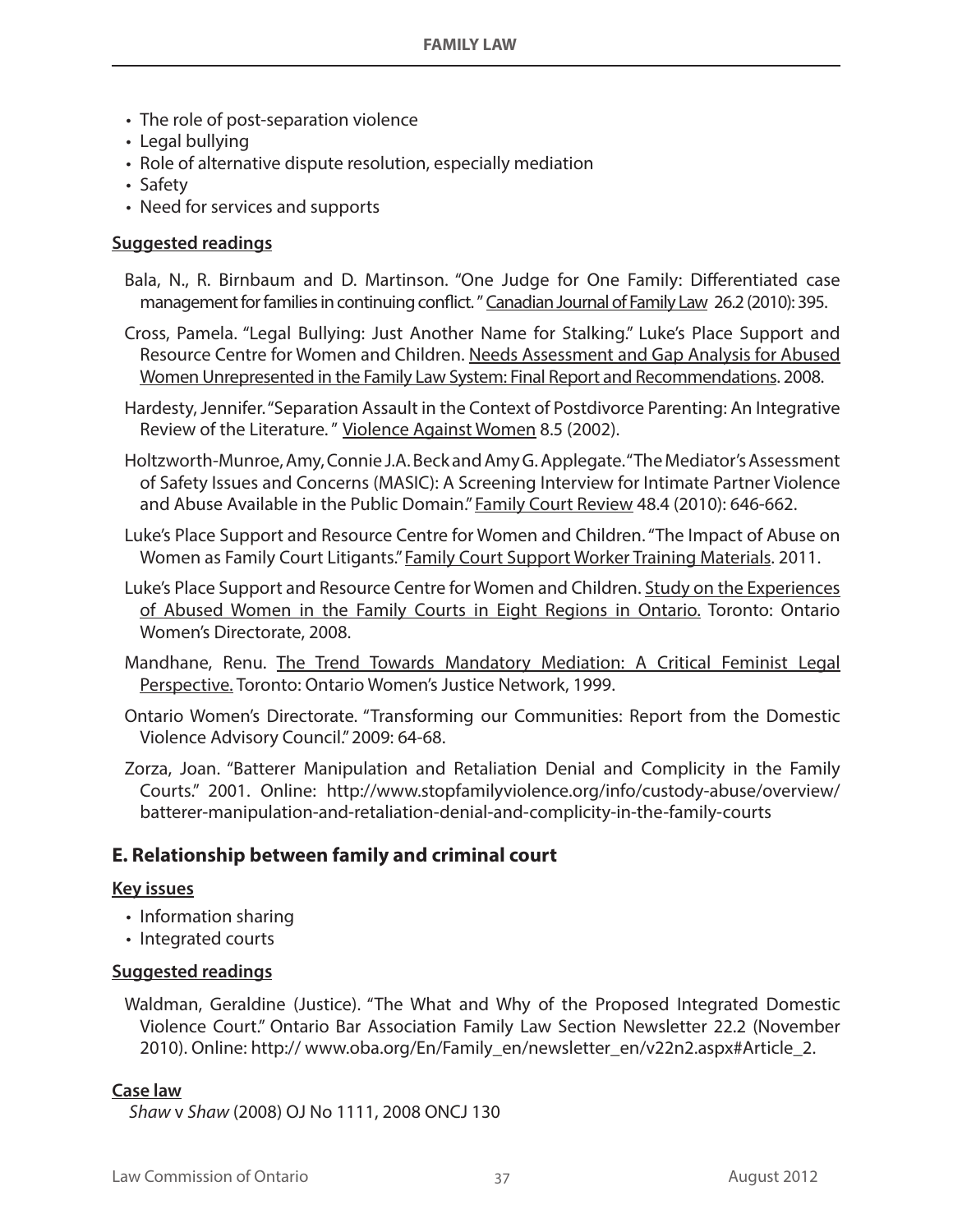- The role of post-separation violence
- Legal bullying
- Role of alternative dispute resolution, especially mediation
- Safety
- Need for services and supports

#### **Suggested readings**

- Bala, N., R. Birnbaum and D. Martinson. "One Judge for One Family: Differentiated case management for families in continuing conflict. " Canadian Journal of Family Law 26.2 (2010): 395.
- Cross, Pamela. "Legal Bullying: Just Another Name for Stalking." Luke's Place Support and Resource Centre for Women and Children. Needs Assessment and Gap Analysis for Abused Women Unrepresented in the Family Law System: Final Report and Recommendations. 2008.
- Hardesty, Jennifer. "Separation Assault in the Context of Postdivorce Parenting: An Integrative Review of the Literature. " Violence Against Women 8.5 (2002).
- Holtzworth-Munroe, Amy, Connie J.A. Beck and Amy G. Applegate. "The Mediator's Assessment of Safety Issues and Concerns (MASIC): A Screening Interview for Intimate Partner Violence and Abuse Available in the Public Domain." Family Court Review 48.4 (2010): 646-662.
- Luke's Place Support and Resource Centre for Women and Children. "The Impact of Abuse on Women as Family Court Litigants." Family Court Support Worker Training Materials. 2011.
- Luke's Place Support and Resource Centre for Women and Children. Study on the Experiences of Abused Women in the Family Courts in Eight Regions in Ontario. Toronto: Ontario Women's Directorate, 2008.
- Mandhane, Renu. The Trend Towards Mandatory Mediation: A Critical Feminist Legal Perspective. Toronto: Ontario Women's Justice Network, 1999.
- Ontario Women's Directorate. "Transforming our Communities: Report from the Domestic Violence Advisory Council." 2009: 64-68.
- Zorza, Joan. "Batterer Manipulation and Retaliation Denial and Complicity in the Family Courts." 2001. Online: http://www.stopfamilyviolence.org/info/custody-abuse/overview/ batterer-manipulation-and-retaliation-denial-and-complicity-in-the-family-courts

#### **E. Relationship between family and criminal court**

#### **Key issues**

- Information sharing
- Integrated courts

#### **Suggested readings**

Waldman, Geraldine (Justice). "The What and Why of the Proposed Integrated Domestic Violence Court." Ontario Bar Association Family Law Section Newsletter 22.2 (November 2010). Online: http:// www.oba.org/En/Family\_en/newsletter\_en/v22n2.aspx#Article\_2.

#### **Case law**

*Shaw* v *Shaw* (2008) OJ No 1111, 2008 ONCJ 130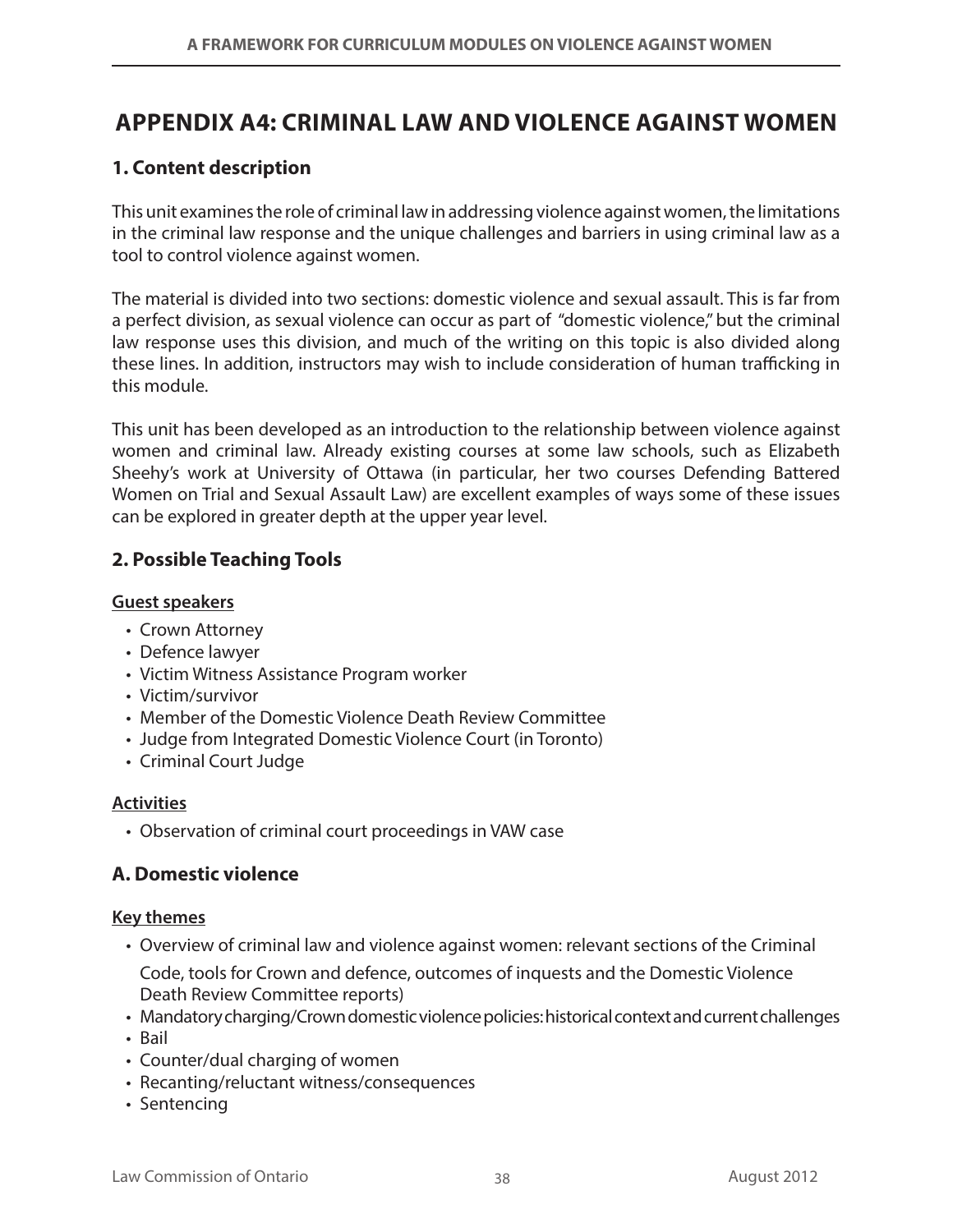# **Appendix A4: Criminal Law and Violence against Women**

## **1. Content description**

This unit examines the role of criminal law in addressing violence against women, the limitations in the criminal law response and the unique challenges and barriers in using criminal law as a tool to control violence against women.

The material is divided into two sections: domestic violence and sexual assault. This is far from a perfect division, as sexual violence can occur as part of "domestic violence," but the criminal law response uses this division, and much of the writing on this topic is also divided along these lines. In addition, instructors may wish to include consideration of human trafficking in this module.

This unit has been developed as an introduction to the relationship between violence against women and criminal law. Already existing courses at some law schools, such as Elizabeth Sheehy's work at University of Ottawa (in particular, her two courses Defending Battered Women on Trial and Sexual Assault Law) are excellent examples of ways some of these issues can be explored in greater depth at the upper year level.

## **2. Possible Teaching Tools**

#### **Guest speakers**

- Crown Attorney
- Defence lawyer
- Victim Witness Assistance Program worker
- • Victim/survivor
- Member of the Domestic Violence Death Review Committee
- Judge from Integrated Domestic Violence Court (in Toronto)
- • Criminal Court Judge

#### **Activities**

• Observation of criminal court proceedings in VAW case

## **A. Domestic violence**

#### **Key themes**

- Overview of criminal law and violence against women: relevant sections of the Criminal Code, tools for Crown and defence, outcomes of inquests and the Domestic Violence Death Review Committee reports)
- Mandatory charging/Crown domestic violence policies: historical context and current challenges
- • Bail
- Counter/dual charging of women
- Recanting/reluctant witness/consequences
- Sentencing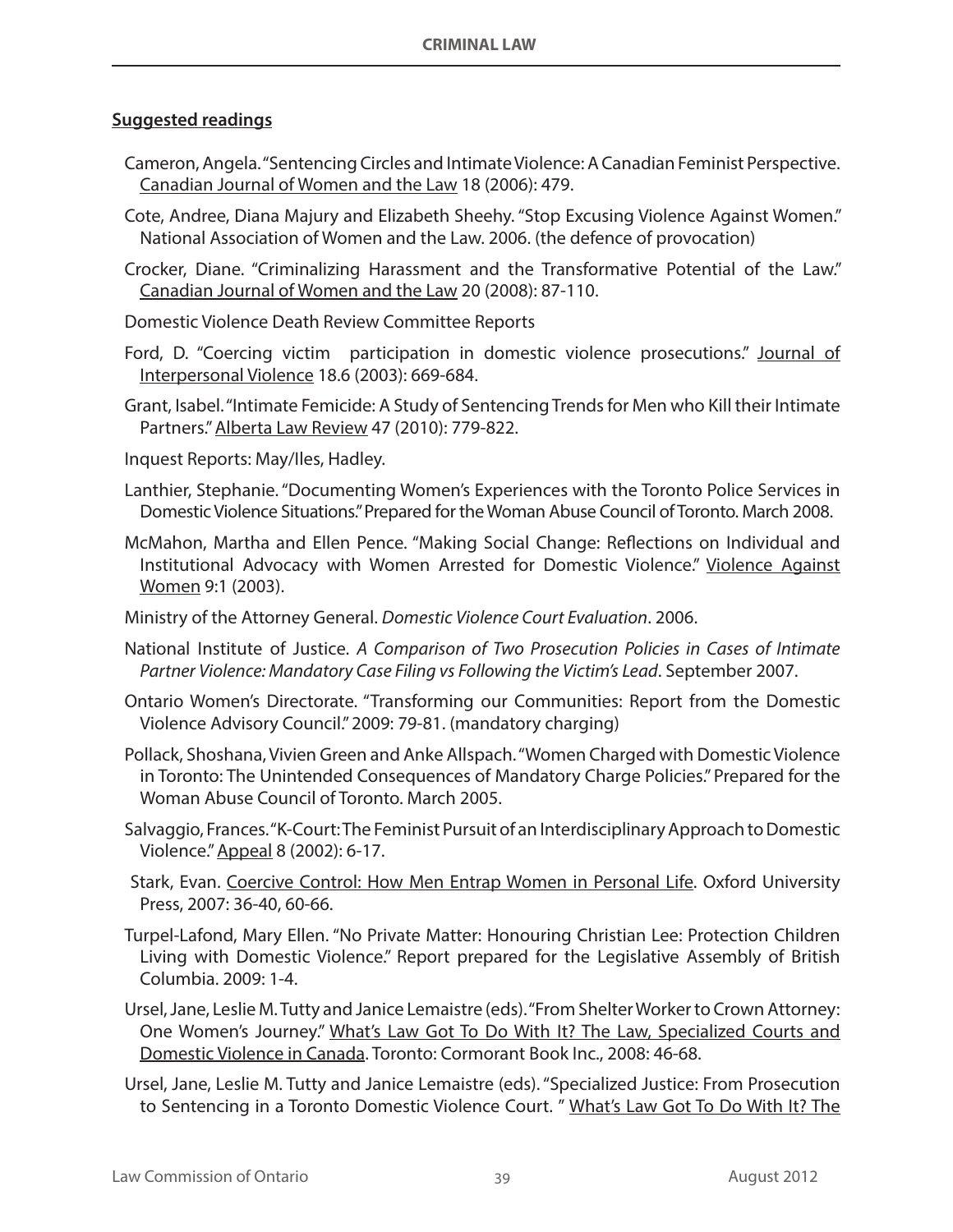#### **Suggested readings**

- Cameron, Angela. "Sentencing Circles and Intimate Violence: A Canadian Feminist Perspective. Canadian Journal of Women and the Law 18 (2006): 479.
- Cote, Andree, Diana Majury and Elizabeth Sheehy. "Stop Excusing Violence Against Women." National Association of Women and the Law. 2006. (the defence of provocation)
- Crocker, Diane. "Criminalizing Harassment and the Transformative Potential of the Law." Canadian Journal of Women and the Law 20 (2008): 87-110.
- Domestic Violence Death Review Committee Reports
- Ford, D. "Coercing victim participation in domestic violence prosecutions." Journal of Interpersonal Violence 18.6 (2003): 669-684.
- Grant, Isabel. "Intimate Femicide: A Study of Sentencing Trends for Men who Kill their Intimate Partners." Alberta Law Review 47 (2010): 779-822.
- Inquest Reports: May/Iles, Hadley.
- Lanthier, Stephanie. "Documenting Women's Experiences with the Toronto Police Services in Domestic Violence Situations." Prepared for the Woman Abuse Council of Toronto. March 2008.
- McMahon, Martha and Ellen Pence. "Making Social Change: Reflections on Individual and Institutional Advocacy with Women Arrested for Domestic Violence." Violence Against Women 9:1 (2003).
- Ministry of the Attorney General. *Domestic Violence Court Evaluation*. 2006.
- National Institute of Justice. *A Comparison of Two Prosecution Policies in Cases of Intimate Partner Violence: Mandatory Case Filing vs Following the Victim's Lead*. September 2007.
- Ontario Women's Directorate. "Transforming our Communities: Report from the Domestic Violence Advisory Council." 2009: 79-81. (mandatory charging)
- Pollack, Shoshana, Vivien Green and Anke Allspach. "Women Charged with Domestic Violence in Toronto: The Unintended Consequences of Mandatory Charge Policies." Prepared for the Woman Abuse Council of Toronto. March 2005.
- Salvaggio, Frances. "K-Court: The Feminist Pursuit of an Interdisciplinary Approach to Domestic Violence." Appeal 8 (2002): 6-17.
- Stark, Evan. Coercive Control: How Men Entrap Women in Personal Life. Oxford University Press, 2007: 36-40, 60-66.
- Turpel-Lafond, Mary Ellen. "No Private Matter: Honouring Christian Lee: Protection Children Living with Domestic Violence." Report prepared for the Legislative Assembly of British Columbia. 2009: 1-4.
- Ursel, Jane, Leslie M. Tutty and Janice Lemaistre (eds). "From Shelter Worker to Crown Attorney: One Women's Journey." What's Law Got To Do With It? The Law, Specialized Courts and Domestic Violence in Canada. Toronto: Cormorant Book Inc., 2008: 46-68.
- Ursel, Jane, Leslie M. Tutty and Janice Lemaistre (eds). "Specialized Justice: From Prosecution to Sentencing in a Toronto Domestic Violence Court. " What's Law Got To Do With It? The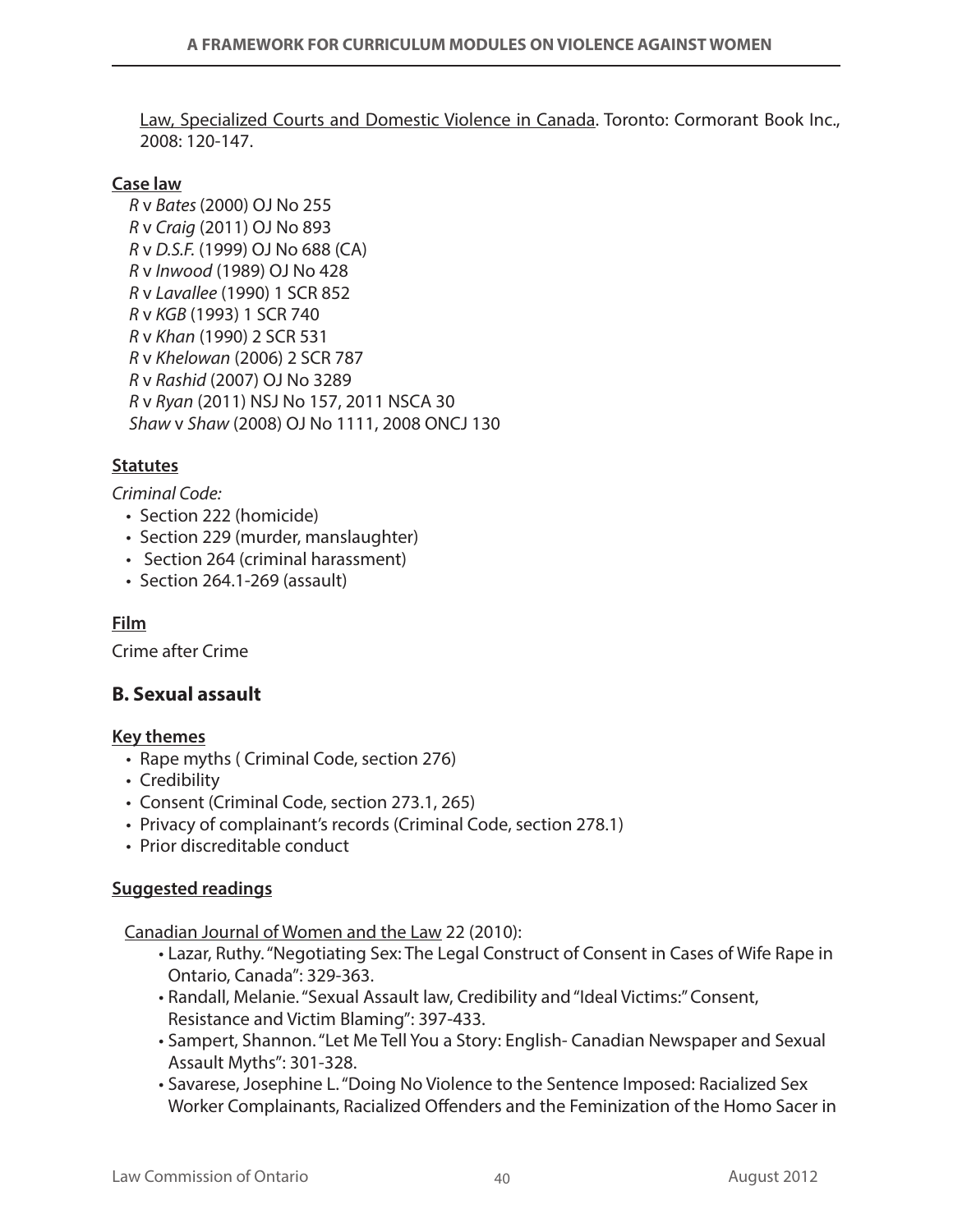Law, Specialized Courts and Domestic Violence in Canada. Toronto: Cormorant Book Inc., 2008: 120-147.

#### **Case law**

*R* v *Bates* (2000) OJ No 255 *R* v *Craig* (2011) OJ No 893 *R* v *D.S.F.* (1999) OJ No 688 (CA) *R* v *Inwood* (1989) OJ No 428 *R* v *Lavallee* (1990) 1 SCR 852 *R* v *KGB* (1993) 1 SCR 740 *R* v *Khan* (1990) 2 SCR 531 *R* v *Khelowan* (2006) 2 SCR 787 *R* v *Rashid* (2007) OJ No 3289 *R* v *Ryan* (2011) NSJ No 157, 2011 NSCA 30 *Shaw* v *Shaw* (2008) OJ No 1111, 2008 ONCJ 130

## **Statutes**

*Criminal Code:* 

- Section 222 (homicide)
- Section 229 (murder, manslaughter)
- Section 264 (criminal harassment)
- Section 264.1-269 (assault)

## **Film**

Crime after Crime

## **B. Sexual assault**

#### **Key themes**

- Rape myths ( Criminal Code, section 276)
- Credibility
- Consent (Criminal Code, section 273.1, 265)
- Privacy of complainant's records (Criminal Code, section 278.1)
- Prior discreditable conduct

#### **Suggested readings**

Canadian Journal of Women and the Law 22 (2010):

- Lazar, Ruthy. "Negotiating Sex: The Legal Construct of Consent in Cases of Wife Rape in Ontario, Canada": 329-363.
- Randall, Melanie. "Sexual Assault law, Credibility and "Ideal Victims:" Consent, Resistance and Victim Blaming": 397-433.
- Sampert, Shannon. "Let Me Tell You a Story: English- Canadian Newspaper and Sexual Assault Myths": 301-328.
- Savarese, Josephine L. "Doing No Violence to the Sentence Imposed: Racialized Sex Worker Complainants, Racialized Offenders and the Feminization of the Homo Sacer in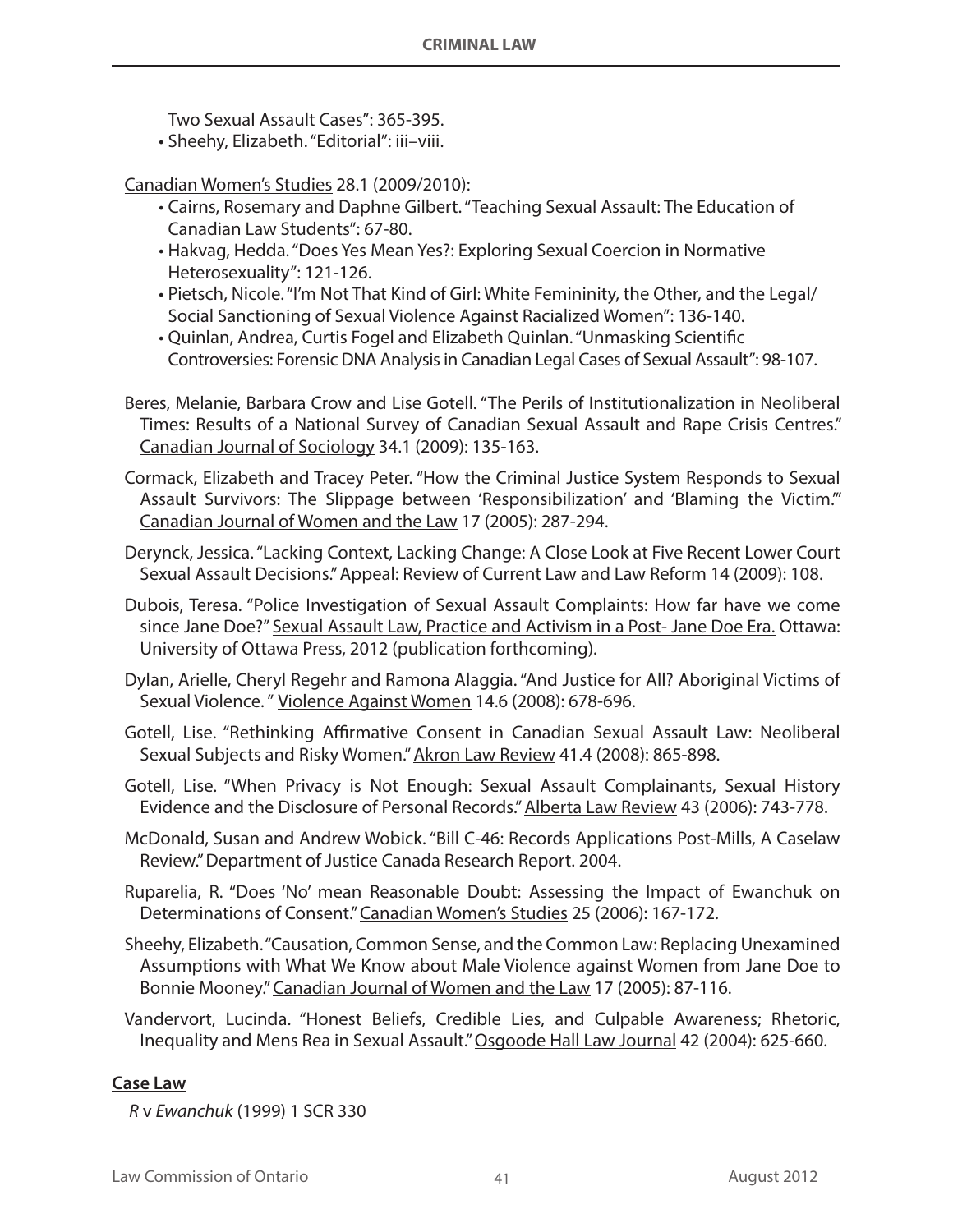Two Sexual Assault Cases": 365-395. • Sheehy, Elizabeth. "Editorial": iii–viii.

Canadian Women's Studies 28.1 (2009/2010):

- • Cairns, Rosemary and Daphne Gilbert. "Teaching Sexual Assault: The Education of Canadian Law Students": 67-80.
- • Hakvag, Hedda. "Does Yes Mean Yes?: Exploring Sexual Coercion in Normative Heterosexuality": 121-126.
- Pietsch, Nicole. "I'm Not That Kind of Girl: White Femininity, the Other, and the Legal/ Social Sanctioning of Sexual Violence Against Racialized Women": 136-140.
- • Quinlan, Andrea, Curtis Fogel and Elizabeth Quinlan. "Unmasking Scientific Controversies: Forensic DNA Analysis in Canadian Legal Cases of Sexual Assault": 98-107.
- Beres, Melanie, Barbara Crow and Lise Gotell. "The Perils of Institutionalization in Neoliberal Times: Results of a National Survey of Canadian Sexual Assault and Rape Crisis Centres." Canadian Journal of Sociology 34.1 (2009): 135-163.
- Cormack, Elizabeth and Tracey Peter. "How the Criminal Justice System Responds to Sexual Assault Survivors: The Slippage between 'Responsibilization' and 'Blaming the Victim.'" Canadian Journal of Women and the Law 17 (2005): 287-294.

Derynck, Jessica. "Lacking Context, Lacking Change: A Close Look at Five Recent Lower Court Sexual Assault Decisions." Appeal: Review of Current Law and Law Reform 14 (2009): 108.

Dubois, Teresa. "Police Investigation of Sexual Assault Complaints: How far have we come since Jane Doe?" Sexual Assault Law, Practice and Activism in a Post- Jane Doe Era. Ottawa: University of Ottawa Press, 2012 (publication forthcoming).

Dylan, Arielle, Cheryl Regehr and Ramona Alaggia. "And Justice for All? Aboriginal Victims of Sexual Violence. " Violence Against Women 14.6 (2008): 678-696.

Gotell, Lise. "Rethinking Affirmative Consent in Canadian Sexual Assault Law: Neoliberal Sexual Subjects and Risky Women." Akron Law Review 41.4 (2008): 865-898.

Gotell, Lise. "When Privacy is Not Enough: Sexual Assault Complainants, Sexual History Evidence and the Disclosure of Personal Records." Alberta Law Review 43 (2006): 743-778.

- McDonald, Susan and Andrew Wobick. "Bill C-46: Records Applications Post-Mills, A Caselaw Review." Department of Justice Canada Research Report. 2004.
- Ruparelia, R. "Does 'No' mean Reasonable Doubt: Assessing the Impact of Ewanchuk on Determinations of Consent." Canadian Women's Studies 25 (2006): 167-172.
- Sheehy, Elizabeth. "Causation, Common Sense, and the Common Law: Replacing Unexamined Assumptions with What We Know about Male Violence against Women from Jane Doe to Bonnie Mooney." Canadian Journal of Women and the Law 17 (2005): 87-116.
- Vandervort, Lucinda. "Honest Beliefs, Credible Lies, and Culpable Awareness; Rhetoric, Inequality and Mens Rea in Sexual Assault." Osgoode Hall Law Journal 42 (2004): 625-660.

#### **Case Law**

*R* v *Ewanchuk* (1999) 1 SCR 330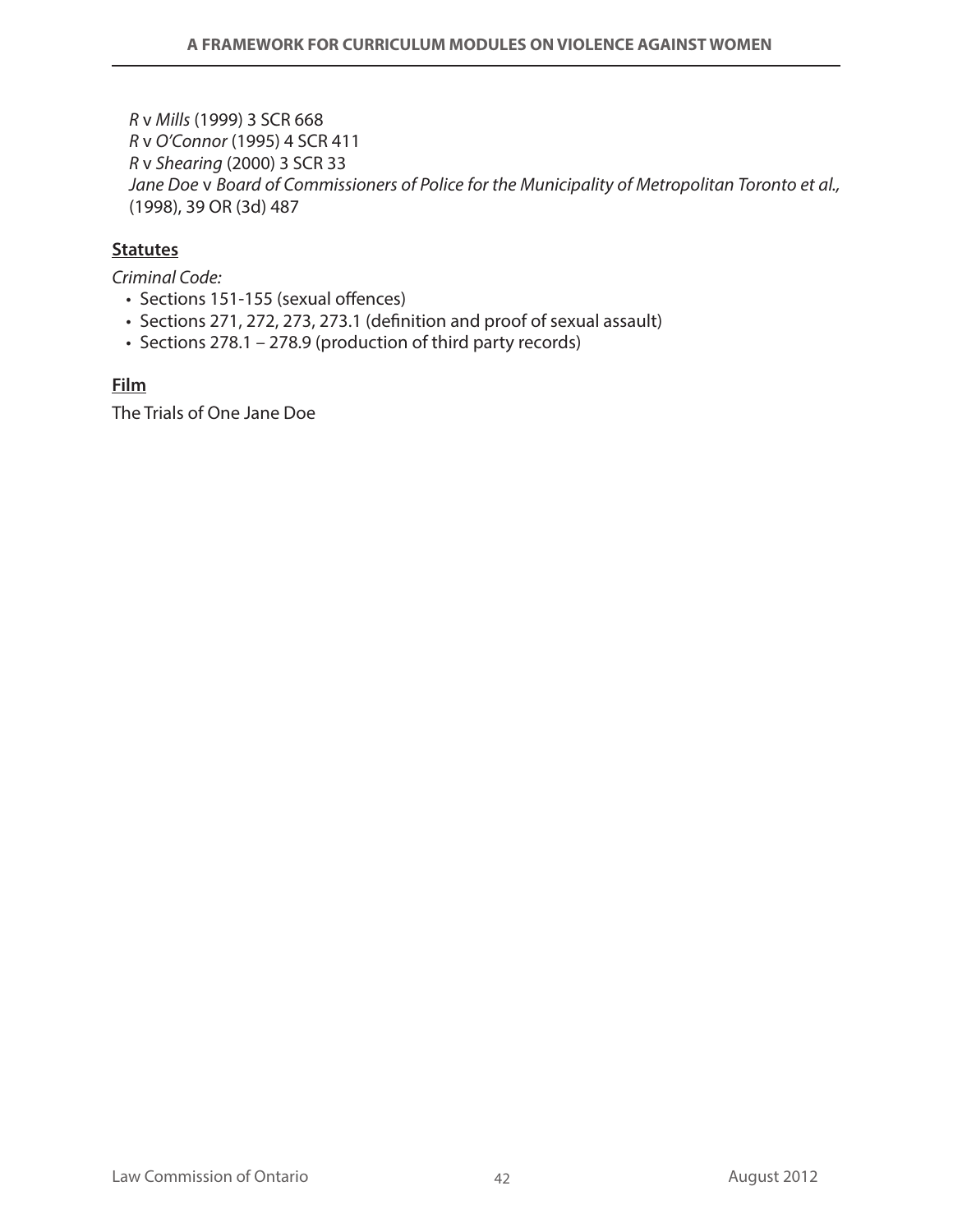*R* v *Mills* (1999) 3 SCR 668 *R* v *O'Connor* (1995) 4 SCR 411 *R* v *Shearing* (2000) 3 SCR 33 *Jane Doe* v *Board of Commissioners of Police for the Municipality of Metropolitan Toronto et al.,* (1998), 39 OR (3d) 487

#### **Statutes**

*Criminal Code:*

- Sections 151-155 (sexual offences)
- Sections 271, 272, 273, 273.1 (definition and proof of sexual assault)
- Sections 278.1 278.9 (production of third party records)

**Film**

The Trials of One Jane Doe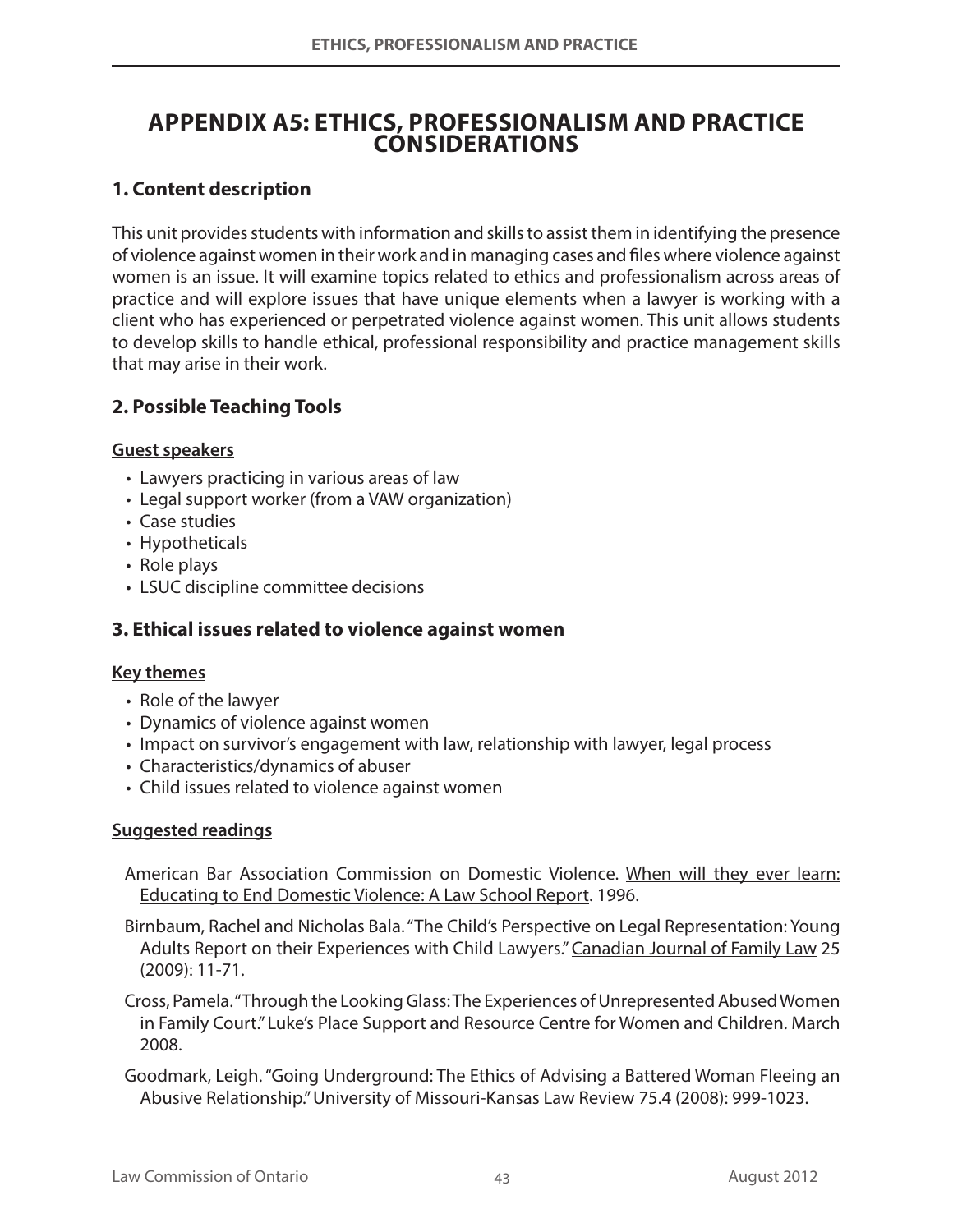## **Appendix A5: Ethics, Professionalism and Practice Considerations**

## **1. Content description**

This unit provides students with information and skills to assist them in identifying the presence of violence against women in their work and in managing cases and files where violence against women is an issue. It will examine topics related to ethics and professionalism across areas of practice and will explore issues that have unique elements when a lawyer is working with a client who has experienced or perpetrated violence against women. This unit allows students to develop skills to handle ethical, professional responsibility and practice management skills that may arise in their work.

### **2. Possible Teaching Tools**

#### **Guest speakers**

- Lawyers practicing in various areas of law
- Legal support worker (from a VAW organization)
- Case studies
- Hypotheticals
- Role plays
- LSUC discipline committee decisions

#### **3. Ethical issues related to violence against women**

#### **Key themes**

- • Role of the lawyer
- Dynamics of violence against women
- Impact on survivor's engagement with law, relationship with lawyer, legal process
- Characteristics/dynamics of abuser
- Child issues related to violence against women

#### **Suggested readings**

- American Bar Association Commission on Domestic Violence. When will they ever learn: Educating to End Domestic Violence: A Law School Report. 1996.
- Birnbaum, Rachel and Nicholas Bala. "The Child's Perspective on Legal Representation: Young Adults Report on their Experiences with Child Lawyers." Canadian Journal of Family Law 25 (2009): 11-71.
- Cross, Pamela. "Through the Looking Glass: The Experiences of Unrepresented Abused Women in Family Court." Luke's Place Support and Resource Centre for Women and Children. March 2008.
- Goodmark, Leigh. "Going Underground: The Ethics of Advising a Battered Woman Fleeing an Abusive Relationship." University of Missouri-Kansas Law Review 75.4 (2008): 999-1023.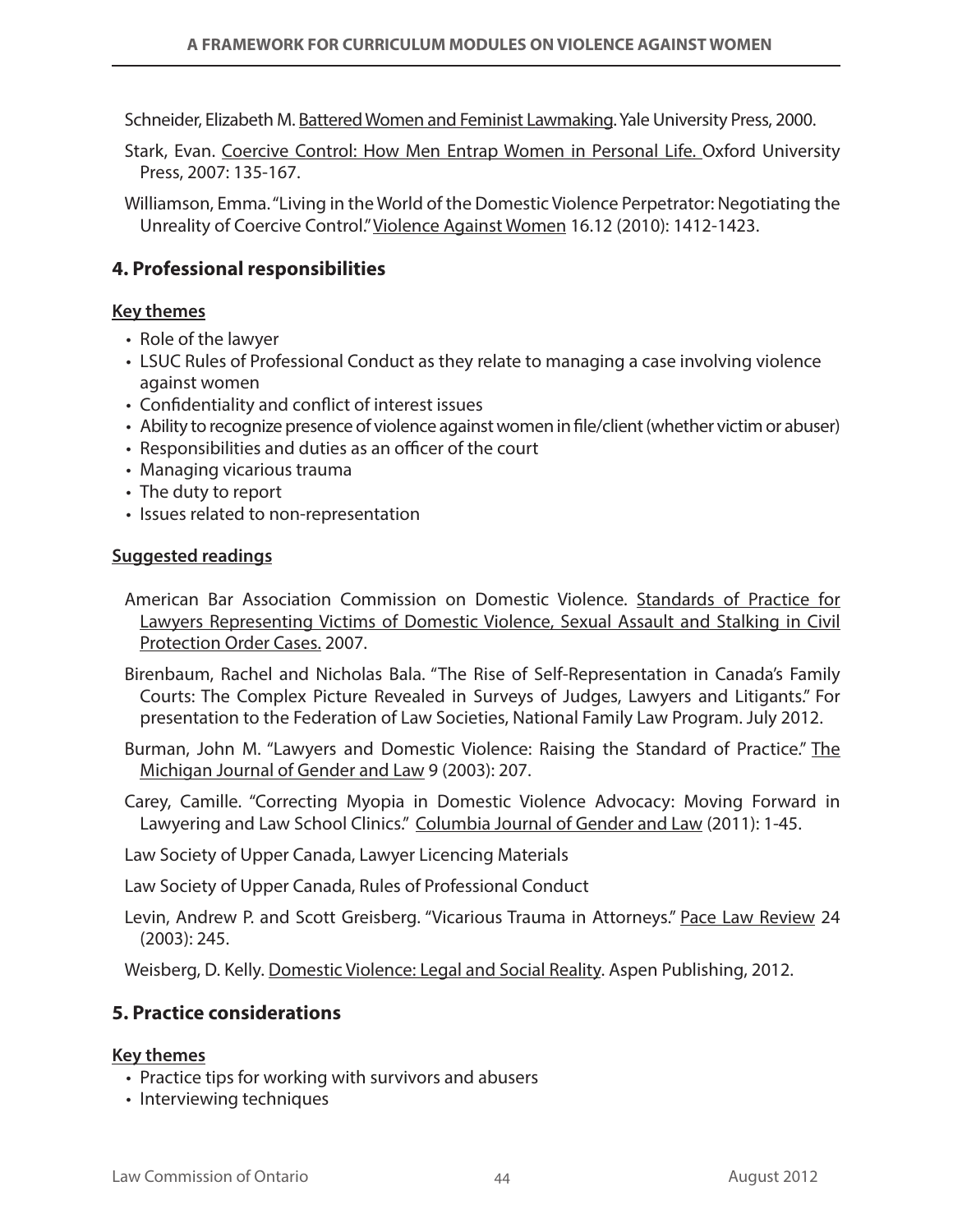Schneider, Elizabeth M. Battered Women and Feminist Lawmaking. Yale University Press, 2000.

- Stark, Evan. Coercive Control: How Men Entrap Women in Personal Life. Oxford University Press, 2007: 135-167.
- Williamson, Emma. "Living in the World of the Domestic Violence Perpetrator: Negotiating the Unreality of Coercive Control." Violence Against Women 16.12 (2010): 1412-1423.

## **4. Professional responsibilities**

#### **Key themes**

- • Role of the lawyer
- LSUC Rules of Professional Conduct as they relate to managing a case involving violence against women
- Confidentiality and conflict of interest issues
- Ability to recognize presence of violence against women in file/client (whether victim or abuser)
- Responsibilities and duties as an officer of the court
- Managing vicarious trauma
- The duty to report
- Issues related to non-representation

#### **Suggested readings**

- American Bar Association Commission on Domestic Violence. Standards of Practice for Lawyers Representing Victims of Domestic Violence, Sexual Assault and Stalking in Civil Protection Order Cases. 2007.
- Birenbaum, Rachel and Nicholas Bala. "The Rise of Self-Representation in Canada's Family Courts: The Complex Picture Revealed in Surveys of Judges, Lawyers and Litigants." For presentation to the Federation of Law Societies, National Family Law Program. July 2012.
- Burman, John M. "Lawyers and Domestic Violence: Raising the Standard of Practice." The Michigan Journal of Gender and Law 9 (2003): 207.
- Carey, Camille. "Correcting Myopia in Domestic Violence Advocacy: Moving Forward in Lawyering and Law School Clinics." Columbia Journal of Gender and Law (2011): 1-45.

Law Society of Upper Canada, Lawyer Licencing Materials

Law Society of Upper Canada, Rules of Professional Conduct

Levin, Andrew P. and Scott Greisberg. "Vicarious Trauma in Attorneys." Pace Law Review 24 (2003): 245.

Weisberg, D. Kelly. Domestic Violence: Legal and Social Reality. Aspen Publishing, 2012.

### **5. Practice considerations**

#### **Key themes**

- Practice tips for working with survivors and abusers
- Interviewing techniques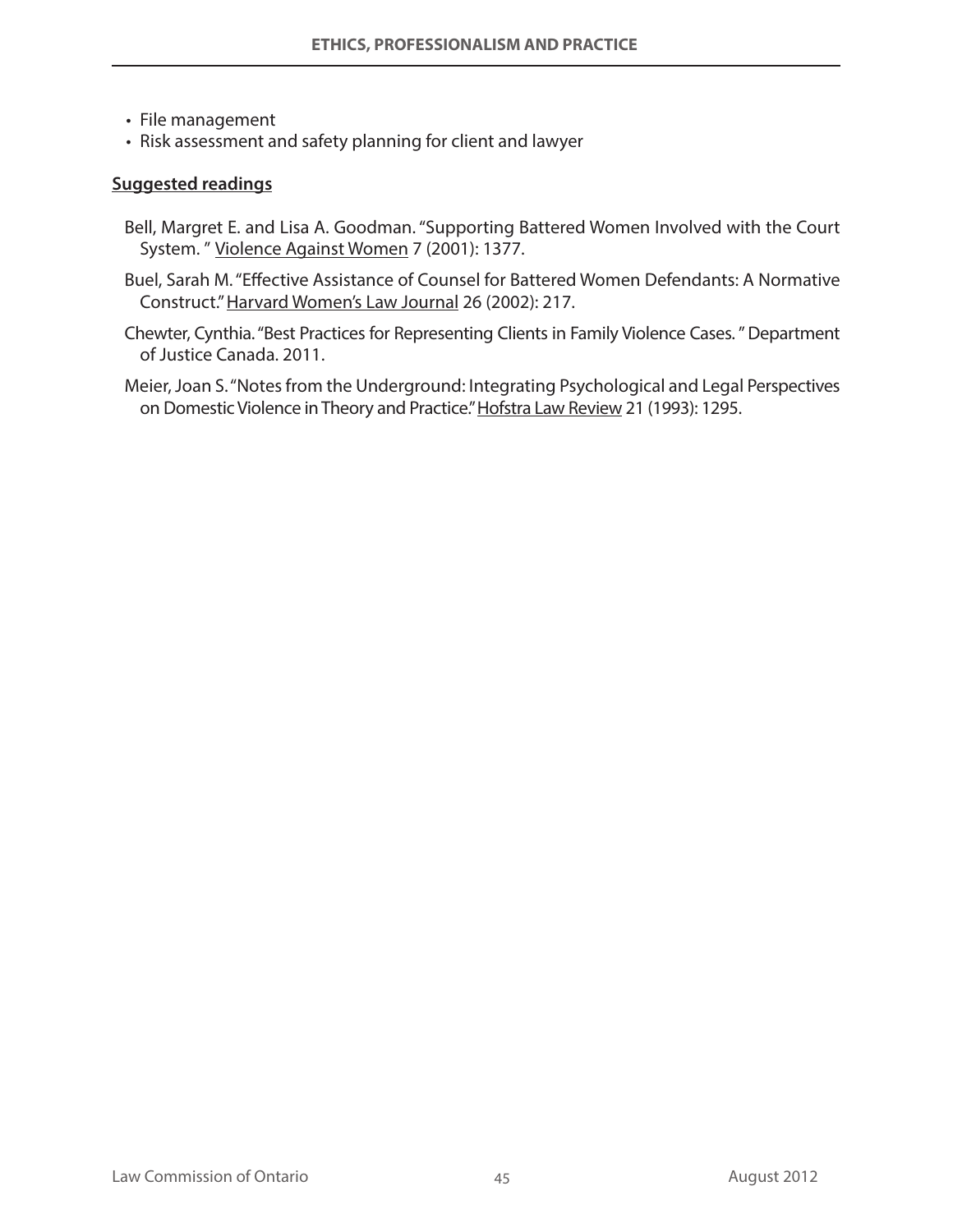- File management
- Risk assessment and safety planning for client and lawyer

#### **Suggested readings**

- Bell, Margret E. and Lisa A. Goodman. "Supporting Battered Women Involved with the Court System. " Violence Against Women 7 (2001): 1377.
- Buel, Sarah M. "Effective Assistance of Counsel for Battered Women Defendants: A Normative Construct." Harvard Women's Law Journal 26 (2002): 217.
- Chewter, Cynthia. "Best Practices for Representing Clients in Family Violence Cases. " Department of Justice Canada. 2011.
- Meier, Joan S. "Notes from the Underground: Integrating Psychological and Legal Perspectives on Domestic Violence in Theory and Practice." Hofstra Law Review 21 (1993): 1295.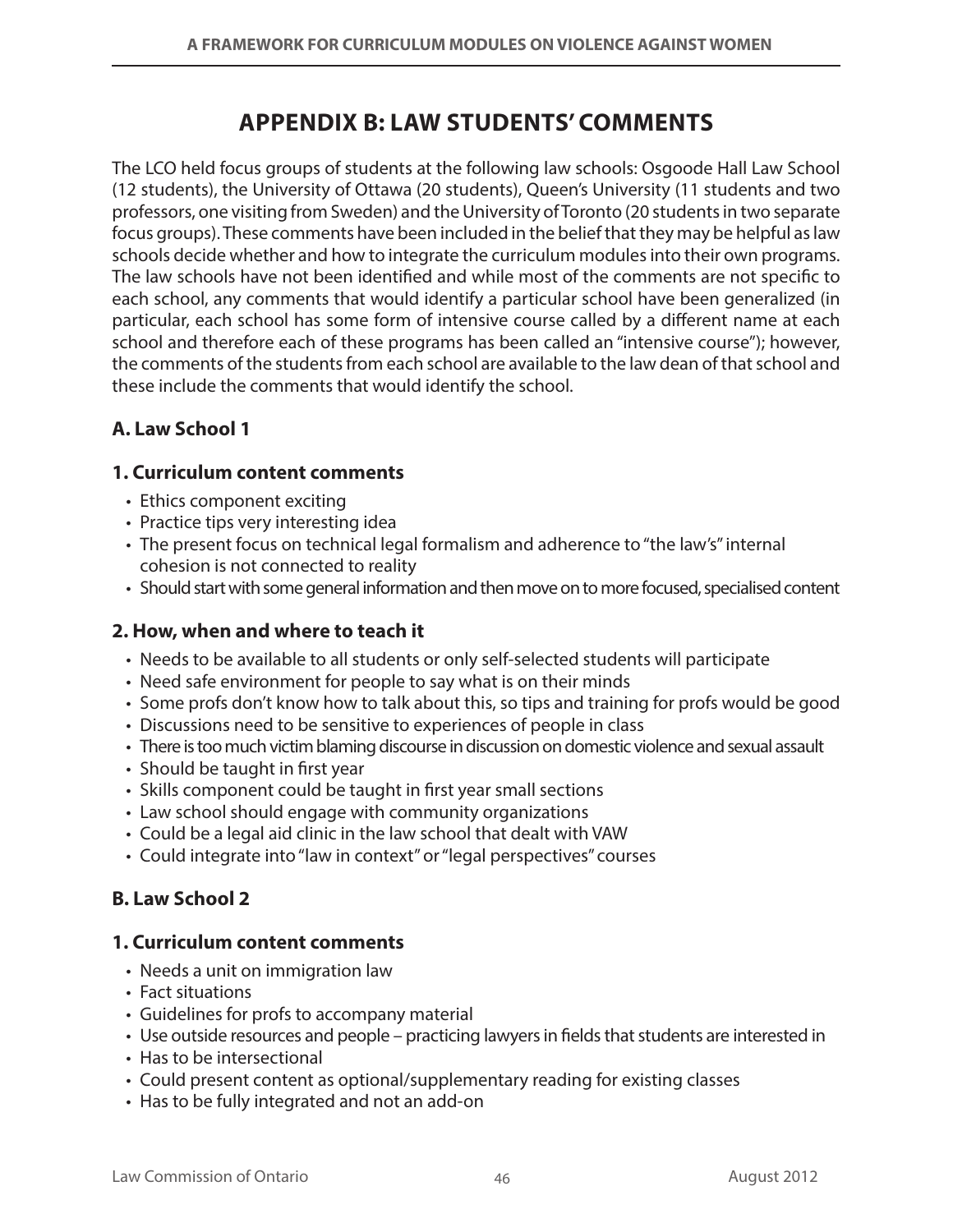## **APPENDIX B: Law Students' Comments**

The LCO held focus groups of students at the following law schools: Osgoode Hall Law School (12 students), the University of Ottawa (20 students), Queen's University (11 students and two professors, one visiting from Sweden) and the University of Toronto (20 students in two separate focus groups). These comments have been included in the belief that they may be helpful as law schools decide whether and how to integrate the curriculum modules into their own programs. The law schools have not been identified and while most of the comments are not specific to each school, any comments that would identify a particular school have been generalized (in particular, each school has some form of intensive course called by a different name at each school and therefore each of these programs has been called an "intensive course"); however, the comments of the students from each school are available to the law dean of that school and these include the comments that would identify the school.

## **A. Law School 1**

### **1. Curriculum content comments**

- Ethics component exciting
- Practice tips very interesting idea
- The present focus on technical legal formalism and adherence to "the law's" internal cohesion is not connected to reality
- • Should start with some general information and then move on to more focused, specialised content

## **2. How, when and where to teach it**

- • Needs to be available to all students or only self-selected students will participate
- Need safe environment for people to say what is on their minds
- Some profs don't know how to talk about this, so tips and training for profs would be good
- Discussions need to be sensitive to experiences of people in class
- • There is too much victim blaming discourse in discussion on domestic violence and sexual assault
- Should be taught in first year
- Skills component could be taught in first year small sections
- Law school should engage with community organizations
- • Could be a legal aid clinic in the law school that dealt with VAW
- Could integrate into "law in context" or "legal perspectives" courses

## **B. Law School 2**

## **1. Curriculum content comments**

- Needs a unit on immigration law
- Fact situations
- • Guidelines for profs to accompany material
- • Use outside resources and people practicing lawyers in fields that students are interested in
- Has to be intersectional
- • Could present content as optional/supplementary reading for existing classes
- Has to be fully integrated and not an add-on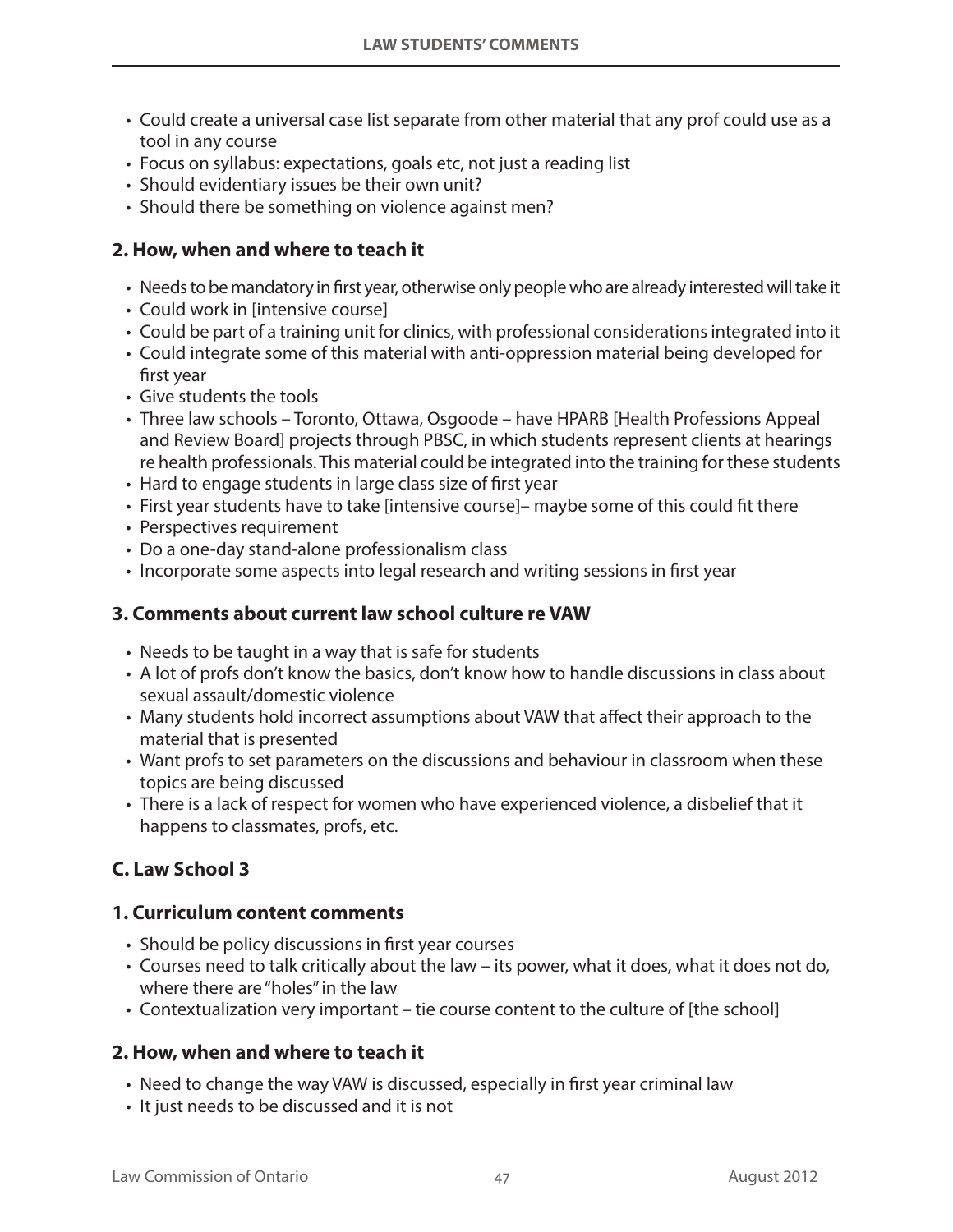- Could create a universal case list separate from other material that any prof could use as a tool in any course
- Focus on syllabus: expectations, goals etc, not just a reading list
- Should evidentiary issues be their own unit?
- Should there be something on violence against men?

## **2. How, when and where to teach it**

- Needs to be mandatory in first year, otherwise only people who are already interested will take it
- Could work in [intensive course]
- • Could be part of a training unit for clinics, with professional considerations integrated into it
- Could integrate some of this material with anti-oppression material being developed for first year
- Give students the tools
- Three law schools Toronto, Ottawa, Osgoode have HPARB [Health Professions Appeal and Review Board] projects through PBSC, in which students represent clients at hearings re health professionals. This material could be integrated into the training for these students
- Hard to engage students in large class size of first year
- First year students have to take [intensive course]- maybe some of this could fit there
- Perspectives requirement
- Do a one-day stand-alone professionalism class
- Incorporate some aspects into legal research and writing sessions in first year

## **3. Comments about current law school culture re VAW**

- Needs to be taught in a way that is safe for students
- • A lot of profs don't know the basics, don't know how to handle discussions in class about sexual assault/domestic violence
- Many students hold incorrect assumptions about VAW that affect their approach to the material that is presented
- • Want profs to set parameters on the discussions and behaviour in classroom when these topics are being discussed
- There is a lack of respect for women who have experienced violence, a disbelief that it happens to classmates, profs, etc.

## **C. Law School 3**

## **1. Curriculum content comments**

- Should be policy discussions in first year courses
- Courses need to talk critically about the law its power, what it does, what it does not do, where there are "holes" in the law
- • Contextualization very important tie course content to the culture of [the school]

## **2. How, when and where to teach it**

- Need to change the way VAW is discussed, especially in first year criminal law
- It just needs to be discussed and it is not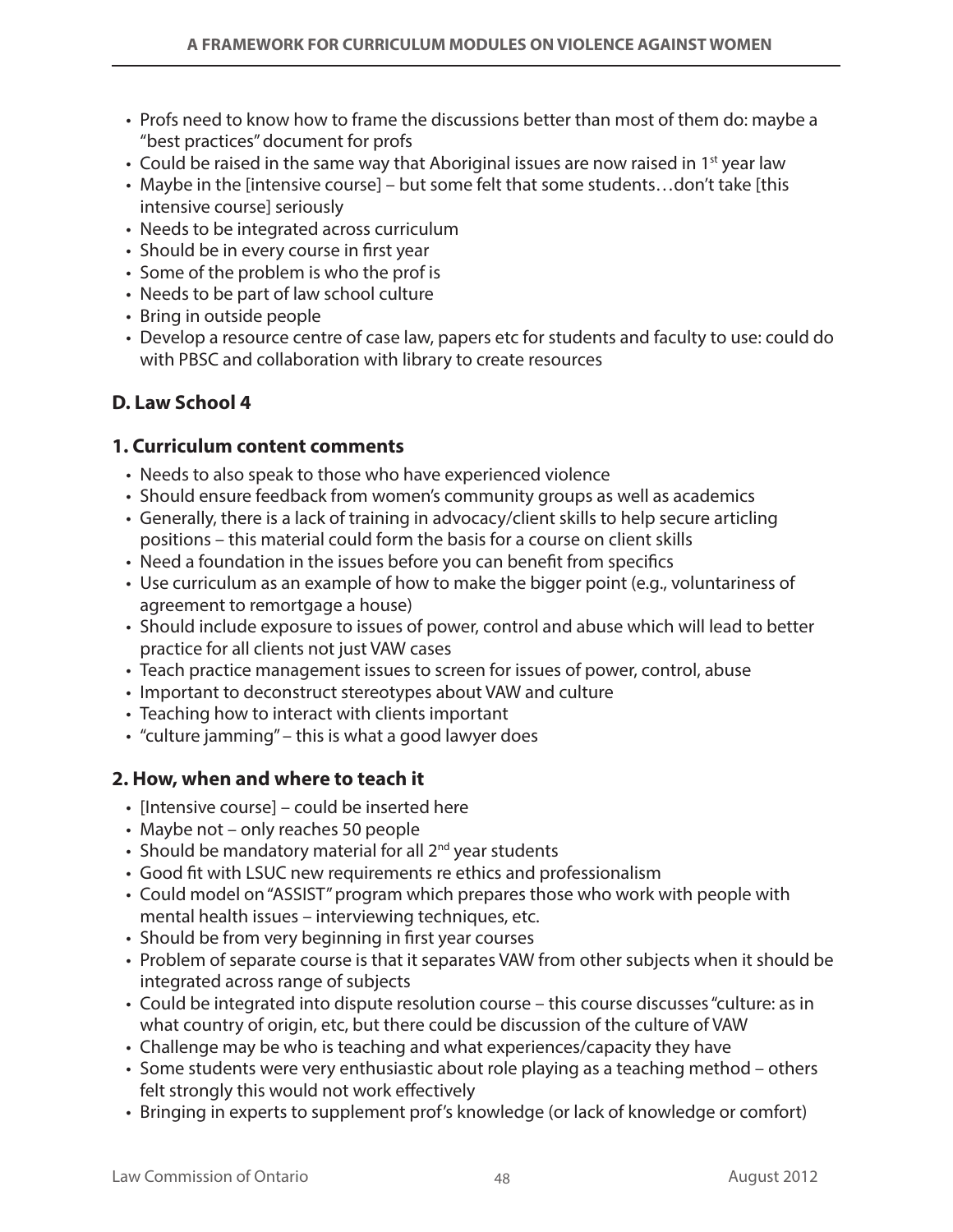- Profs need to know how to frame the discussions better than most of them do: maybe a "best practices" document for profs
- Could be raised in the same way that Aboriginal issues are now raised in 1<sup>st</sup> year law
- Maybe in the [intensive course] but some felt that some students...don't take [this intensive course] seriously
- Needs to be integrated across curriculum
- Should be in every course in first year
- Some of the problem is who the prof is
- Needs to be part of law school culture
- Bring in outside people
- • Develop a resource centre of case law, papers etc for students and faculty to use: could do with PBSC and collaboration with library to create resources

### **D. Law School 4**

#### **1. Curriculum content comments**

- Needs to also speak to those who have experienced violence
- Should ensure feedback from women's community groups as well as academics
- Generally, there is a lack of training in advocacy/client skills to help secure articling positions – this material could form the basis for a course on client skills
- Need a foundation in the issues before you can benefit from specifics
- • Use curriculum as an example of how to make the bigger point (e.g., voluntariness of agreement to remortgage a house)
- Should include exposure to issues of power, control and abuse which will lead to better practice for all clients not just VAW cases
- • Teach practice management issues to screen for issues of power, control, abuse
- Important to deconstruct stereotypes about VAW and culture
- Teaching how to interact with clients important
- "culture jamming" this is what a good lawyer does

#### **2. How, when and where to teach it**

- [Intensive course] could be inserted here
- Maybe not only reaches 50 people
- Should be mandatory material for all  $2^{nd}$  year students
- Good fit with LSUC new requirements re ethics and professionalism
- Could model on "ASSIST" program which prepares those who work with people with mental health issues – interviewing techniques, etc.
- Should be from very beginning in first year courses
- Problem of separate course is that it separates VAW from other subjects when it should be integrated across range of subjects
- • Could be integrated into dispute resolution course this course discusses "culture: as in what country of origin, etc, but there could be discussion of the culture of VAW
- • Challenge may be who is teaching and what experiences/capacity they have
- Some students were very enthusiastic about role playing as a teaching method others felt strongly this would not work effectively
- • Bringing in experts to supplement prof's knowledge (or lack of knowledge or comfort)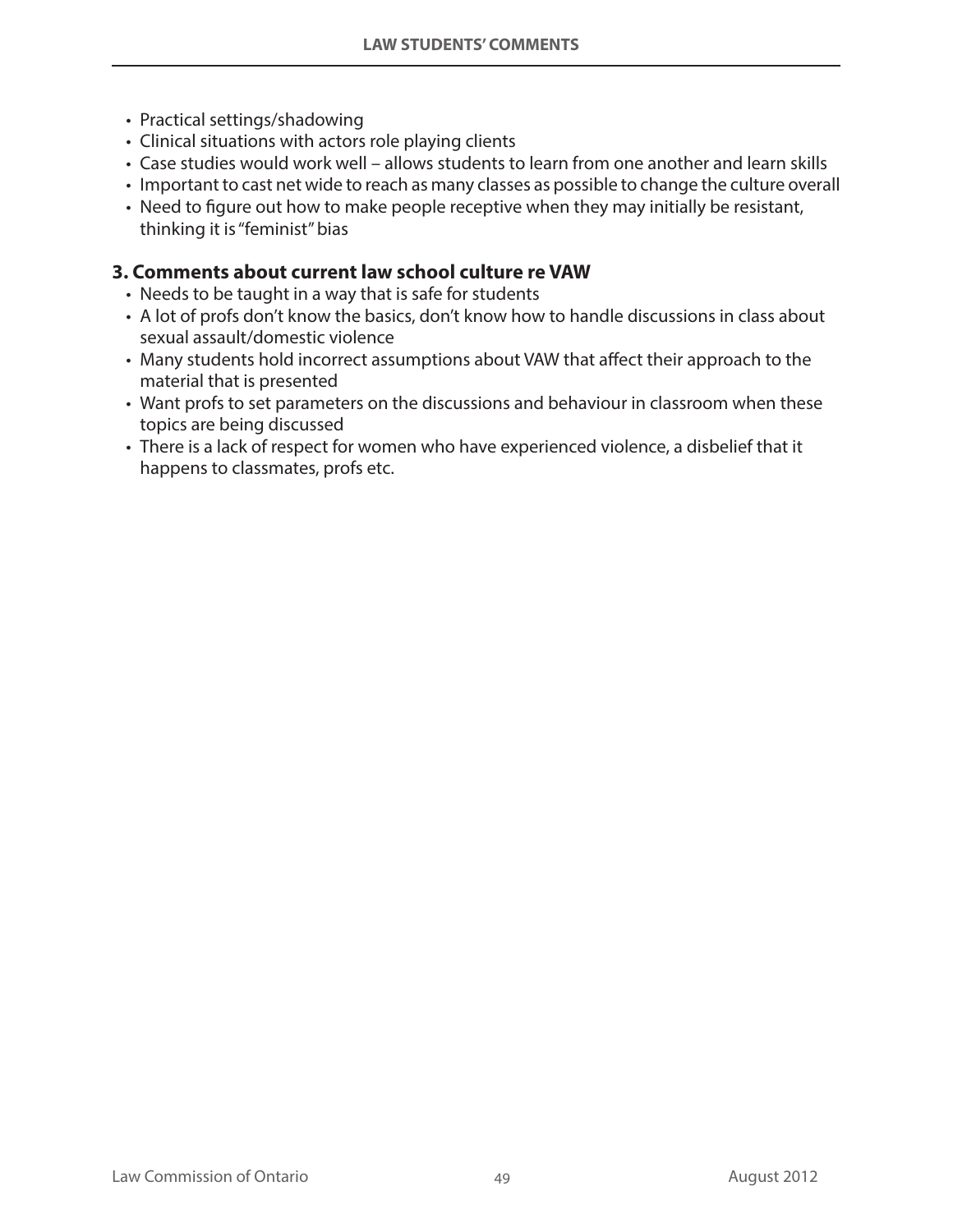- Practical settings/shadowing
- Clinical situations with actors role playing clients
- Case studies would work well allows students to learn from one another and learn skills
- • Important to cast net wide to reach as many classes as possible to change the culture overall
- Need to figure out how to make people receptive when they may initially be resistant, thinking it is "feminist" bias

## **3. Comments about current law school culture re VAW**

- Needs to be taught in a way that is safe for students
- A lot of profs don't know the basics, don't know how to handle discussions in class about sexual assault/domestic violence
- Many students hold incorrect assumptions about VAW that affect their approach to the material that is presented
- Want profs to set parameters on the discussions and behaviour in classroom when these topics are being discussed
- There is a lack of respect for women who have experienced violence, a disbelief that it happens to classmates, profs etc.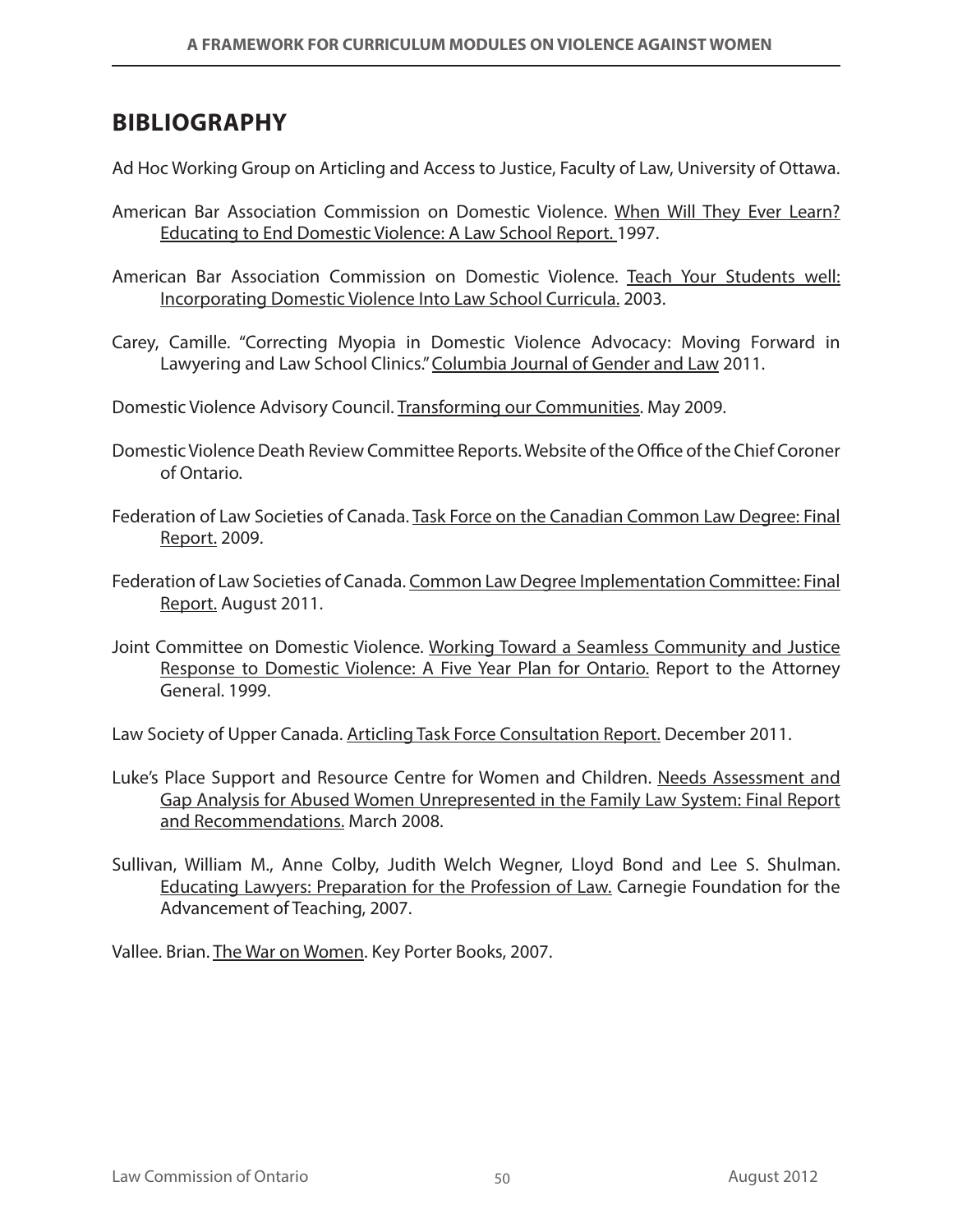## **BIBLIOGRAPHY**

Ad Hoc Working Group on Articling and Access to Justice, Faculty of Law, University of Ottawa.

- American Bar Association Commission on Domestic Violence. When Will They Ever Learn? Educating to End Domestic Violence: A Law School Report. 1997.
- American Bar Association Commission on Domestic Violence. Teach Your Students well: Incorporating Domestic Violence Into Law School Curricula. 2003.
- Carey, Camille. "Correcting Myopia in Domestic Violence Advocacy: Moving Forward in Lawyering and Law School Clinics." Columbia Journal of Gender and Law 2011.
- Domestic Violence Advisory Council. Transforming our Communities. May 2009.
- Domestic Violence Death Review Committee Reports. Website of the Office of the Chief Coroner of Ontario.
- Federation of Law Societies of Canada. Task Force on the Canadian Common Law Degree: Final Report. 2009.
- Federation of Law Societies of Canada. Common Law Degree Implementation Committee: Final Report. August 2011.
- Joint Committee on Domestic Violence. Working Toward a Seamless Community and Justice Response to Domestic Violence: A Five Year Plan for Ontario. Report to the Attorney General. 1999.

Law Society of Upper Canada. Articling Task Force Consultation Report. December 2011.

- Luke's Place Support and Resource Centre for Women and Children. Needs Assessment and Gap Analysis for Abused Women Unrepresented in the Family Law System: Final Report and Recommendations. March 2008.
- Sullivan, William M., Anne Colby, Judith Welch Wegner, Lloyd Bond and Lee S. Shulman. Educating Lawyers: Preparation for the Profession of Law. Carnegie Foundation for the Advancement of Teaching, 2007.

Vallee. Brian. The War on Women. Key Porter Books, 2007.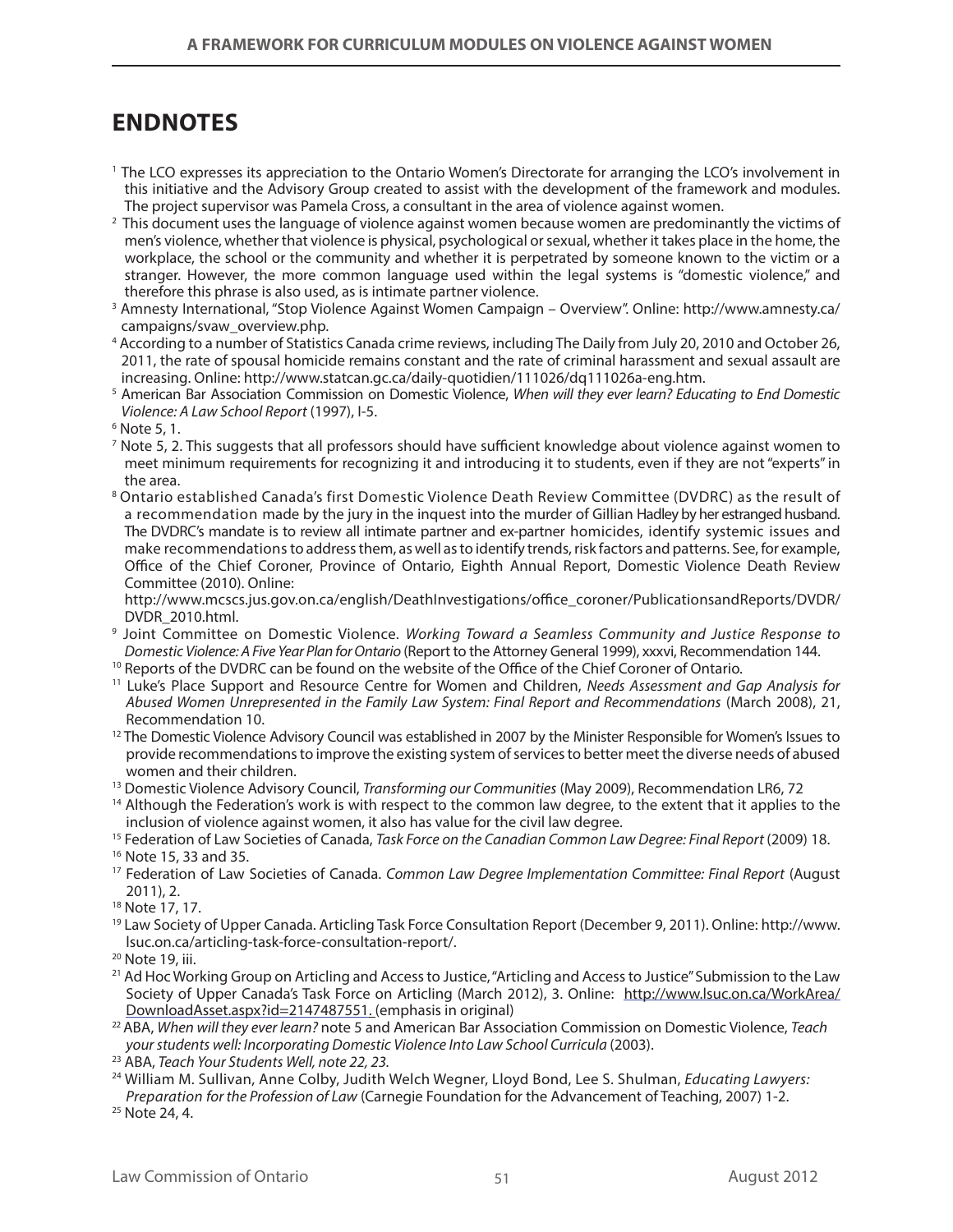# **ENDNOTES**

- 1 The LCO expresses its appreciation to the Ontario Women's Directorate for arranging the LCO's involvement in this initiative and the Advisory Group created to assist with the development of the framework and modules. The project supervisor was Pamela Cross, a consultant in the area of violence against women.
- $^2$  This document uses the language of violence against women because women are predominantly the victims of men's violence, whether that violence is physical, psychological or sexual, whether it takes place in the home, the workplace, the school or the community and whether it is perpetrated by someone known to the victim or a stranger. However, the more common language used within the legal systems is "domestic violence," and therefore this phrase is also used, as is intimate partner violence.
- <sup>3</sup> Amnesty International, "Stop Violence Against Women Campaign Overview". Online: http://www.amnesty.ca/ campaigns/svaw\_overview.php.
- 4 According to a number of Statistics Canada crime reviews, including The Daily from July 20, 2010 and October 26, 2011, the rate of spousal homicide remains constant and the rate of criminal harassment and sexual assault are increasing. Online: http://www.statcan.gc.ca/daily-quotidien/111026/dq111026a-eng.htm.
- 5 American Bar Association Commission on Domestic Violence, *When will they ever learn? Educating to End Domestic Violence: A Law School Report* (1997), I-5.
- 6 Note 5, 1.
- 7 Note 5, 2. This suggests that all professors should have sufficient knowledge about violence against women to meet minimum requirements for recognizing it and introducing it to students, even if they are not "experts" in the area.
- <sup>8</sup> Ontario established Canada's first Domestic Violence Death Review Committee (DVDRC) as the result of a recommendation made by the jury in the inquest into the murder of Gillian Hadley by her estranged husband. The DVDRC's mandate is to review all intimate partner and ex-partner homicides, identify systemic issues and make recommendations to address them, as well as to identify trends, risk factors and patterns. See, for example, Office of the Chief Coroner, Province of Ontario, Eighth Annual Report, Domestic Violence Death Review Committee (2010). Online:

http://www.mcscs.jus.gov.on.ca/english/DeathInvestigations/office\_coroner/PublicationsandReports/DVDR/ DVDR\_2010.html. 9

- Joint Committee on Domestic Violence. *Working Toward a Seamless Community and Justice Response to*
- <sup>10</sup> Reports of the DVDRC can be found on the website of the Office of the Chief Coroner of Ontario.
- 11 Luke's Place Support and Resource Centre for Women and Children, *Needs Assessment and Gap Analysis for Abused Women Unrepresented in the Family Law System: Final Report and Recommendations* (March 2008), 21, Recommendation 10.
- $12$  The Domestic Violence Advisory Council was established in 2007 by the Minister Responsible for Women's Issues to provide recommendations to improve the existing system of services to better meet the diverse needs of abused women and their children.
- 13 Domestic Violence Advisory Council, *Transforming our Communities* (May 2009), Recommendation LR6, 72
- <sup>14</sup> Although the Federation's work is with respect to the common law degree, to the extent that it applies to the inclusion of violence against women, it also has value for the civil law degree.
- <sup>15</sup> Federation of Law Societies of Canada, *Task Force on the Canadian Common Law Degree: Final Report* (2009) 18.
- 16 Note 15, 33 and 35.
- 17 Federation of Law Societies of Canada. *Common Law Degree Implementation Committee: Final Report* (August 2011), 2.
- 18 Note 17, 17.
- 19 Law Society of Upper Canada. Articling Task Force Consultation Report (December 9, 2011). Online: http://www. lsuc.on.ca/articling-task-force-consultation-report/.

- <sup>21</sup> Ad Hoc Working Group on Articling and Access to Justice, "Articling and Access to Justice" Submission to the Law Society of Upper Canada's Task Force on Articling (March 2012), 3. Online: http://www.lsuc.on.ca/WorkArea/ DownloadAsset.aspx?id=2147487551. (emphasis in original) 22 ABA, *When will they ever learn?* note 5 and American Bar Association Commission on Domestic Violence, *Teach*
- *your students well: Incorporating Domestic Violence Into Law School Curricula* (2003).
- 23 ABA, *Teach Your Students Well, note 22, 23.*
- 24 William M. Sullivan, Anne Colby, Judith Welch Wegner, Lloyd Bond, Lee S. Shulman, *Educating Lawyers: Preparation for the Profession of Law* (Carnegie Foundation for the Advancement of Teaching, 2007) 1-2.

<sup>25</sup> Note 24, 4.

<sup>20</sup> Note 19, iii.